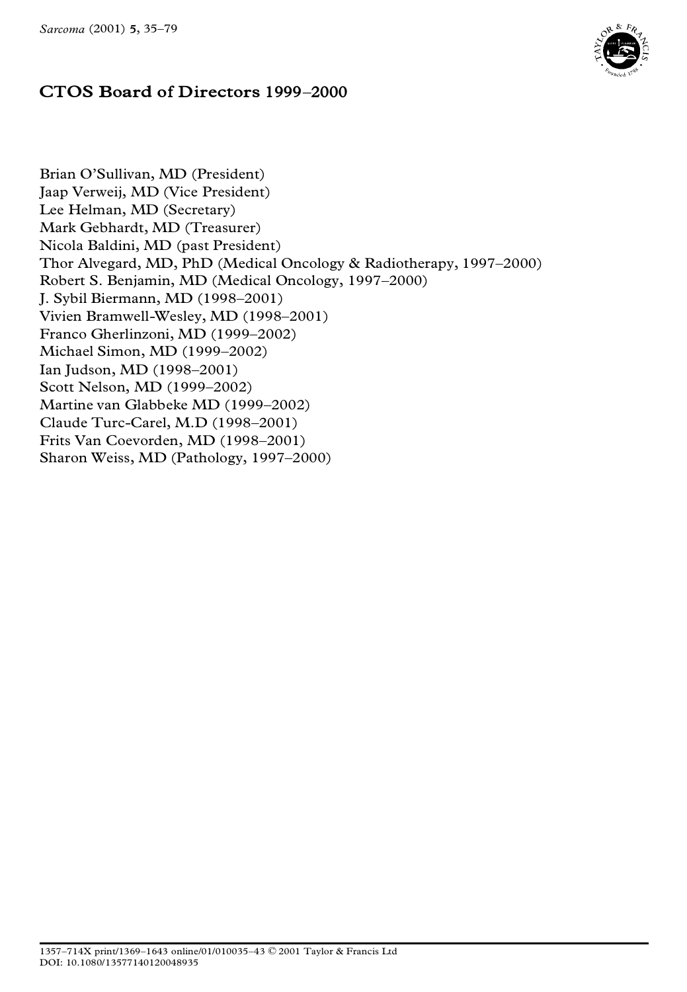

# **CTOS Board of Directors 1999±2000**

Brian O'Sullivan, MD (President) Jaap Verweij, MD (Vice President) Lee Helman, MD (Secretary) Mark Gebhardt, MD (Treasurer) Nicola Baldini, MD (past President) Thor Alvegard, MD, PhD (Medical Oncology & Radiotherapy, 1997-2000) Robert S. Benjamin, MD (Medical Oncology, 1997–2000) J. Sybil Biermann, MD (1998-2001) Vivien Bramwell-Wesley, MD (1998-2001) Franco Gherlinzoni, MD (1999-2002) Michael Simon, MD (1999-2002) Ian Judson, MD (1998-2001) Scott Nelson, MD (1999-2002) Martine van Glabbeke MD (1999-2002) Claude Turc-Carel, M.D  $(1998-2001)$ Frits Van Coevorden, MD (1998-2001) Sharon Weiss, MD (Pathology, 1997-2000)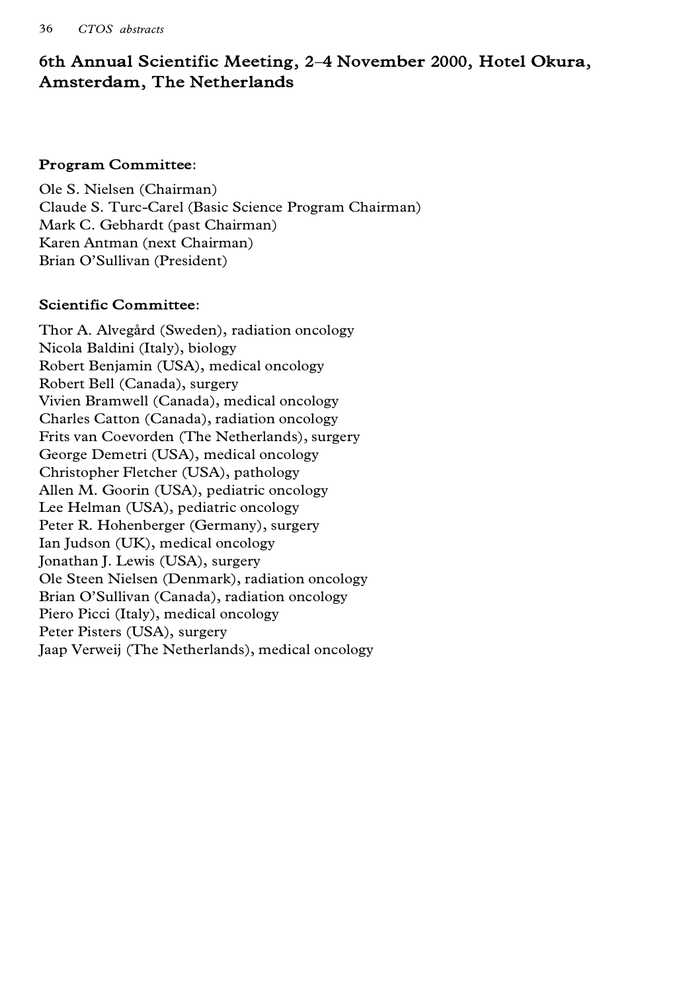# **6th Annual Scientific Meeting, 2±4 November 2000, Hotel Okura, Amsterdam, The Netherlands**

# **Program Committee:**

Ole S. Nielsen (Chairman) Claude S. Turc-Carel (Basic Science Program Chairman) Mark C. Gebhardt (past Chairman) Karen Antman (next Chairman) Brian O'Sullivan (President)

# **Scientific Committee:**

Thor A. Alvegård (Sweden), radiation oncology Nicola Baldini (Italy), biology Robert Benjamin (USA), medical oncology Robert Bell (Canada), surgery Vivien Bramwell (Canada), medical oncology Charles Catton (Canada), radiation oncology Frits van Coevorden (The Netherlands), surgery George Demetri (USA), medical oncology Christopher Fletcher (USA), pathology Allen M. Goorin (USA), pediatric oncology Lee Helman (USA), pediatric oncology Peter R. Hohenberger (Germany), surgery Ian Judson (UK), medical oncology Jonathan J. Lewis (USA), surgery Ole Steen Nielsen (Denmark), radiation oncology Brian O'Sullivan (Canada), radiation oncology Piero Picci (Italy), medical oncology Peter Pisters (USA), surgery Jaap Verweij (The Netherlands), medical oncology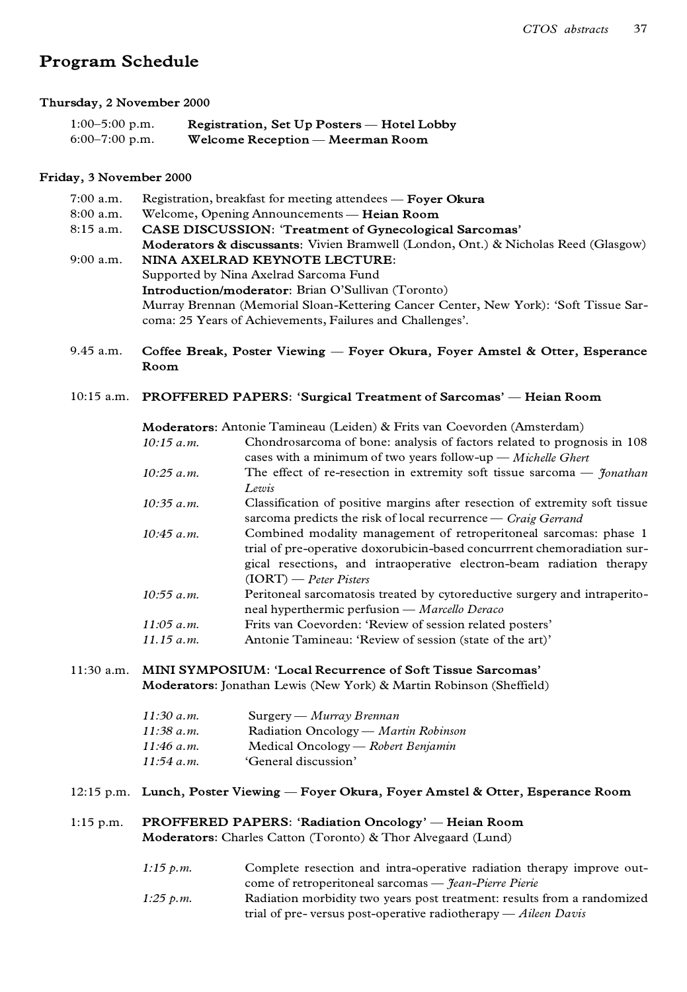# **Program Schedule**

# **Thursday, 2 November 2000**

| $1:00-5:00$ p.m. | Registration, Set Up Posters — Hotel Lobby |
|------------------|--------------------------------------------|
| $6:00-7:00$ p.m. | Welcome Reception — Meerman Room           |

# **Friday, 3 November 2000**

| $7:00$ a.m. | Registration, breakfast for meeting attendees — Fover Okura                                   |
|-------------|-----------------------------------------------------------------------------------------------|
| $8:00$ a.m. | Welcome, Opening Announcements — Heian Room                                                   |
| $8:15$ a.m. | <b>CASE DISCUSSION: 'Treatment of Gynecological Sarcomas'</b>                                 |
|             | <b>Moderators &amp; discussants:</b> Vivien Bramwell (London, Ont.) & Nicholas Reed (Glasgow) |
| $9:00$ a.m. | NINA AXELRAD KEYNOTE LECTURE:                                                                 |
|             | Supported by Nina Axelrad Sarcoma Fund                                                        |
|             | <b>Introduction/moderator:</b> Brian O'Sullivan (Toronto)                                     |
|             | Murray Brennan (Memorial Sloan-Kettering Cancer Center, New York): 'Soft Tissue Sar-          |
|             | coma: 25 Years of Achievements, Failures and Challenges'.                                     |
|             |                                                                                               |

9.45 a.m. **Coffee Break, Poster Viewing — Foyer Okura, Foyer Amstel & Otter, Esperance Room**

# 10:15 a.m. **PROFFERED PAPERS: `Surgical Treatment of Sarcomas' Ð Heian Room**

**Moderators:** Antonie Tamineau (Leiden) & Frits van Coevorden (Amsterdam)

| $10:15$ a.m. | Chondrosarcoma of bone: analysis of factors related to prognosis in 108              |
|--------------|--------------------------------------------------------------------------------------|
|              | cases with a minimum of two years follow-up — Michelle Ghert                         |
| 10:25 a.m.   | The effect of re-resection in extremity soft tissue sarcoma $ \gamma$ <i>onathan</i> |
|              | Lewis                                                                                |
| 10:35 a.m.   | Classification of positive margins after resection of extremity soft tissue          |
|              | sarcoma predicts the risk of local recurrence — Craig Gerrand                        |
| 10:45 a.m.   | Combined modality management of retroperitoneal sarcomas: phase 1                    |
|              | trial of pre-operative doxorubicin-based concurrrent chemoradiation sur-             |
|              | gical resections, and intraoperative electron-beam radiation therapy                 |
|              | $(IORT)$ – Peter Pisters                                                             |
| 10:55 a.m.   | Peritoneal sarcomatosis treated by cytoreductive surgery and intraperito-            |
|              | neal hyperthermic perfusion — Marcello Deraco                                        |
| 11:05 a.m.   | Frits van Coevorden: 'Review of session related posters'                             |
| 11.15 a.m.   | Antonie Tamineau: 'Review of session (state of the art)'                             |
|              |                                                                                      |

11:30 a.m. **MINI SYMPOSIUM: `Local Recurrence of Soft Tissue Sarcomas' Moderators:** Jonathan Lewis (New York) & Martin Robinson (Sheffield)

| 11:30 a.m. | $Surgery$ <i>Murray Brennan</i>      |
|------------|--------------------------------------|
| 11:38 a.m. | Radiation Oncology — Martin Robinson |
| 11:46 a.m. | Medical Oncology - Robert Benjamin   |
| 11:54 a.m. | 'General discussion'                 |

- 12:15 p.m. Lunch, Poster Viewing Foyer Okura, Foyer Amstel & Otter, Esperance Room
- 1:15 p.m. **PROFFERED PAPERS: `Radiation Oncology' Ð Heian Room Moderators:** Charles Catton (Toronto) & Thor Alvegaard (Lund)

| $1:15 \; p.m.$ | Complete resection and intra-operative radiation therapy improve out-        |
|----------------|------------------------------------------------------------------------------|
|                | come of retroperitoneal sarcomas — $\mathcal{F}_{\text{ean}}$ -Pierre Pierie |
| $1:25 \; p.m.$ | Radiation morbidity two years post treatment: results from a randomized      |
|                | trial of pre-versus post-operative radiotherapy — Aileen Davis               |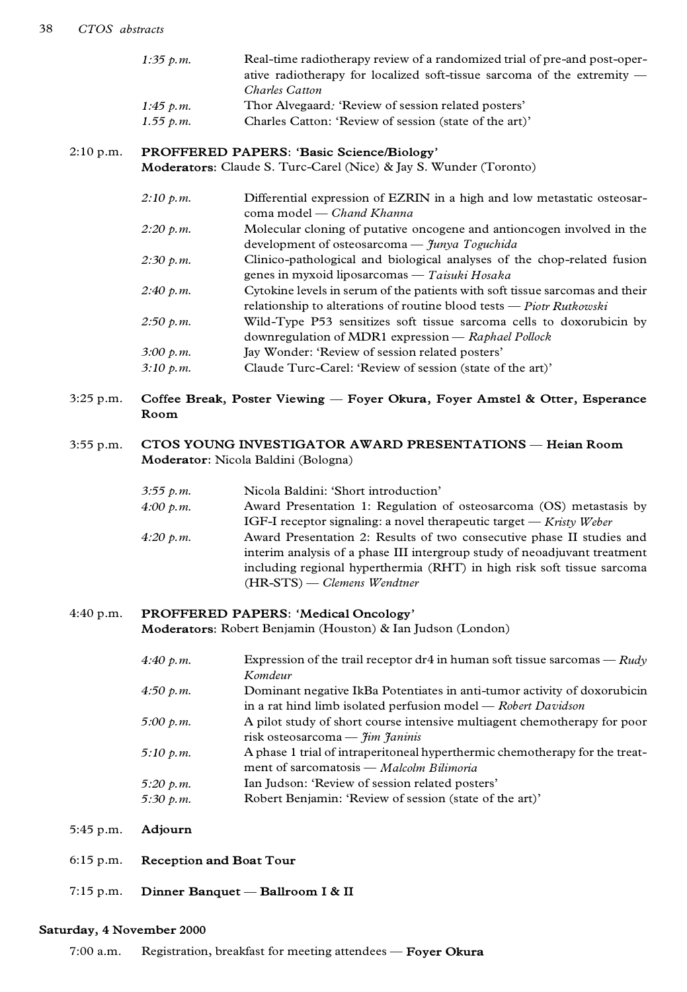| 1:35 p.m. | Real-time radiotherapy review of a randomized trial of pre-and post-oper-             |
|-----------|---------------------------------------------------------------------------------------|
|           | ative radiotherapy for localized soft-tissue sarcoma of the extremity $-$             |
|           | Charles Catton                                                                        |
| 1:45 p.m. | Thor Alvegaard: 'Review of session related posters'                                   |
|           | $\alpha$ , $\alpha$ , $\alpha$ , $\alpha$ , $\alpha$ , $\alpha$ , $\alpha$ , $\alpha$ |

1.55 p.m. Charles Catton: 'Review of session (state of the art)'

# 2:10 p.m. **PROFFERED PAPERS: `Basic Science/Biology' Moderators:** Claude S. Turc-Carel (Nice) & Jay S. Wunder (Toronto)

| 2:10 p.m. | Differential expression of EZRIN in a high and low metastatic osteosar-       |
|-----------|-------------------------------------------------------------------------------|
|           | coma model — Chand Khanna                                                     |
| 2:20 p.m. | Molecular cloning of putative oncogene and antioncogen involved in the        |
|           | development of osteosarcoma - $\tilde{\jmath}$ unya Toguchida                 |
| 2:30 p.m. | Clinico-pathological and biological analyses of the chop-related fusion       |
|           | genes in myxoid liposarcomas — Taisuki Hosaka                                 |
| 2:40 p.m. | Cytokine levels in serum of the patients with soft tissue sarcomas and their  |
|           | relationship to alterations of routine blood tests $-$ <i>Piotr Rutkowski</i> |
| 2:50 p.m. | Wild-Type P53 sensitizes soft tissue sarcoma cells to doxorubicin by          |
|           | downregulation of MDR1 expression - Raphael Pollock                           |
| 3:00 p.m. | Jay Wonder: 'Review of session related posters'                               |
| 3:10 p.m. | Claude Turc-Carel: 'Review of session (state of the art)'                     |
|           |                                                                               |

# 3:25 p.m. **Coffee Break, Poster Viewing — Foyer Okura, Foyer Amstel & Otter, Esperance Room**

# 3:55 p.m. **CTOS YOUNG INVESTIGATOR AWARD PRESENTATIONS — Heian Room Moderator:** Nicola Baldini (Bologna)

| $3:55 \; p.m.$ | Nicola Baldini: 'Short introduction'                                      |
|----------------|---------------------------------------------------------------------------|
| 4:00 $p.m.$    | Award Presentation 1: Regulation of osteosarcoma (OS) metastasis by       |
|                | IGF-I receptor signaling: a novel therapeutic target $-Kristy$ Weber      |
| 4:20 p.m.      | Award Presentation 2: Results of two consecutive phase II studies and     |
|                | interim analysis of a phase III intergroup study of neoadjuvant treatment |
|                | including regional hyperthermia (RHT) in high risk soft tissue sarcoma    |
|                | $(HR-STS)$ - Clemens Wendtner                                             |

# 4:40 p.m. **PROFFERED PAPERS: `Medical Oncology' Moderators:** Robert Benjamin (Houston) & Ian Judson (London)

| 4:40 $p.m.$ | Expression of the trail receptor $dr4$ in human soft tissue sarcomas — $Rudy$<br>Komdeur                                                    |
|-------------|---------------------------------------------------------------------------------------------------------------------------------------------|
| 4:50 $p.m.$ | Dominant negative IkBa Potentiates in anti-tumor activity of doxorubicin<br>in a rat hind limb isolated perfusion model — $Robert$ Davidson |
| 5:00 $p.m.$ | A pilot study of short course intensive multiagent chemotherapy for poor<br>risk osteosarcoma — Jim Janinis                                 |
| 5:10 $p.m.$ | A phase 1 trial of intraperitoneal hyperthermic chemotherapy for the treat-<br>ment of sarcomatosis - Malcolm Bilimoria                     |
| 5:20 $p.m.$ | Ian Judson: 'Review of session related posters'                                                                                             |
| 5:30 $p.m.$ | Robert Benjamin: 'Review of session (state of the art)'                                                                                     |

- 5:45 p.m. **Adjourn**
- 6:15 p.m. **Reception and Boat Tour**
- 7:15 p.m. **Dinner Banquet Ð Ballroom I & II**

# **Saturday, 4 November 2000**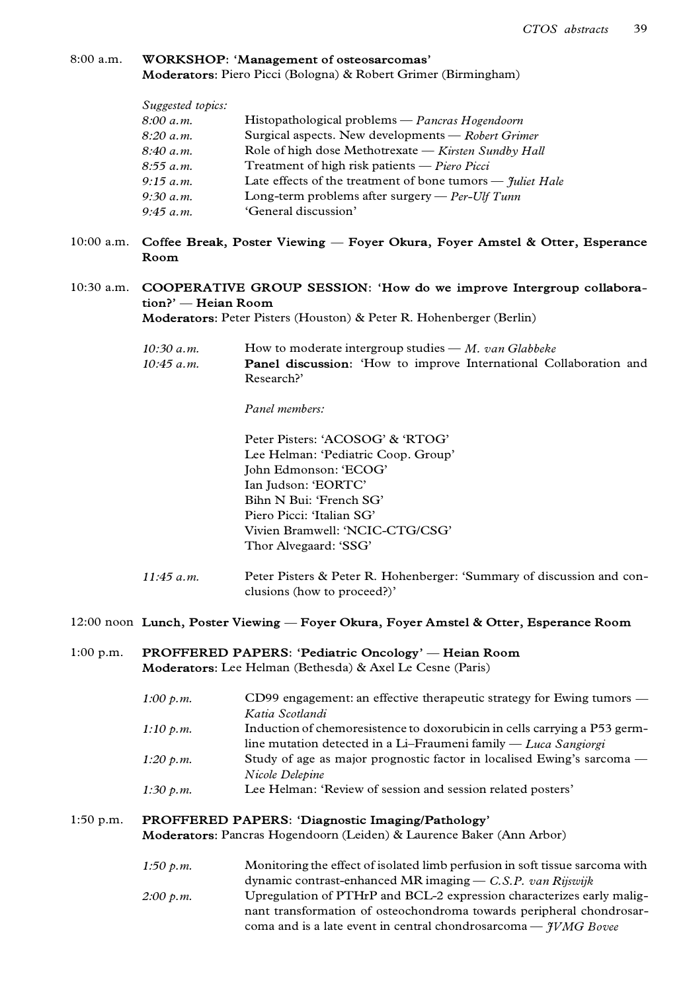| $8:00$ a.m. | WORKSHOP: 'Management of osteosarcomas'                               |  |
|-------------|-----------------------------------------------------------------------|--|
|             | <b>Moderators:</b> Piero Picci (Bologna) & Robert Grimer (Birmingham) |  |

| Suggested topics: |                                                                     |
|-------------------|---------------------------------------------------------------------|
| 8:00 a.m.         | Histopathological problems - Pancras Hogendoorn                     |
| 8:20 a.m.         | Surgical aspects. New developments $-$ Robert Grimer                |
| 8:40 a.m.         | Role of high dose Methotrexate $-Kirsten$ Sundby Hall               |
| 8:55 a.m.         | Treatment of high risk patients — Piero Picci                       |
| 9:15 a.m.         | Late effects of the treatment of bone tumors $-$ <i>fuliet Hale</i> |
| 9:30 a.m.         | Long-term problems after surgery $-$ Per-Ulf Tunn                   |
| 9:45 a.m.         | 'General discussion'                                                |

10:00 a.m. Coffee Break, Poster Viewing — Foyer Okura, Foyer Amstel & Otter, Esperance **Room**

# 10:30 a.m. **COOPERATIVE GROUP SESSION: `How do we improve Intergroup collaboration?' Ð Heian Room**

**Moderators:** Peter Pisters (Houston) & Peter R. Hohenberger (Berlin)

| 10:30 a.m. | How to moderate intergroup studies $-M$ . van Glabbeke                   |
|------------|--------------------------------------------------------------------------|
| 10:45 a.m. | <b>Panel discussion:</b> 'How to improve International Collaboration and |
|            | Research?'                                                               |

*Panel members:*

Peter Pisters: 'ACOSOG' & 'RTOG' Lee Helman: 'Pediatric Coop. Group' John Edmonson: 'ECOG' Ian Judson: 'EORTC' Bihn N Bui: 'French SG' Piero Picci: 'Italian SG' Vivien Bramwell: `NCIC-CTG/CSG' Thor Alvegaard: 'SSG'

*11:45 a.m.* Peter Pisters & Peter R. Hohenberger: `Summary of discussion and con clusions (how to proceed?)'

12:00 noon Lunch, Poster Viewing — Foyer Okura, Foyer Amstel & Otter, Esperance Room

1:00 p.m. **PROFFERED PAPERS: `Pediatric Oncology' Ð Heian Room Moderators:** Lee Helman (Bethesda) & Axel Le Cesne (Paris)

| 1:00 $p.m.$    | CD99 engagement: an effective therapeutic strategy for Ewing tumors $\overline{\phantom{a}}$ |
|----------------|----------------------------------------------------------------------------------------------|
|                | Katia Scotlandi                                                                              |
| $1:10 \; p.m.$ | Induction of chemoresistence to doxorubicin in cells carrying a P53 germ-                    |
|                | line mutation detected in a Li-Fraumeni family — Luca Sangiorgi                              |
| 1:20 $p.m.$    | Study of age as major prognostic factor in localised Ewing's sarcoma —                       |
|                | Nicole Delepine                                                                              |
| 1:30 $p.m.$    | Lee Helman: 'Review of session and session related posters'                                  |

# 1:50 p.m. **PROFFERED PAPERS: `Diagnostic Imaging/Pathology' Moderators:** Pancras Hogendoorn (Leiden) & Laurence Baker (Ann Arbor)

| 1:50 p.m. | Monitoring the effect of isolated limb perfusion in soft tissue sarcoma with |
|-----------|------------------------------------------------------------------------------|
|           | dynamic contrast-enhanced MR imaging $- C.S.P.$ van Rijswijk                 |
| 2:00 p.m. | Upregulation of PTHrP and BCL-2 expression characterizes early malig-        |
|           | nant transformation of osteochondroma towards peripheral chondrosar-         |
|           | coma and is a late event in central chondrosarcoma — $\gamma VMG$ Bovee      |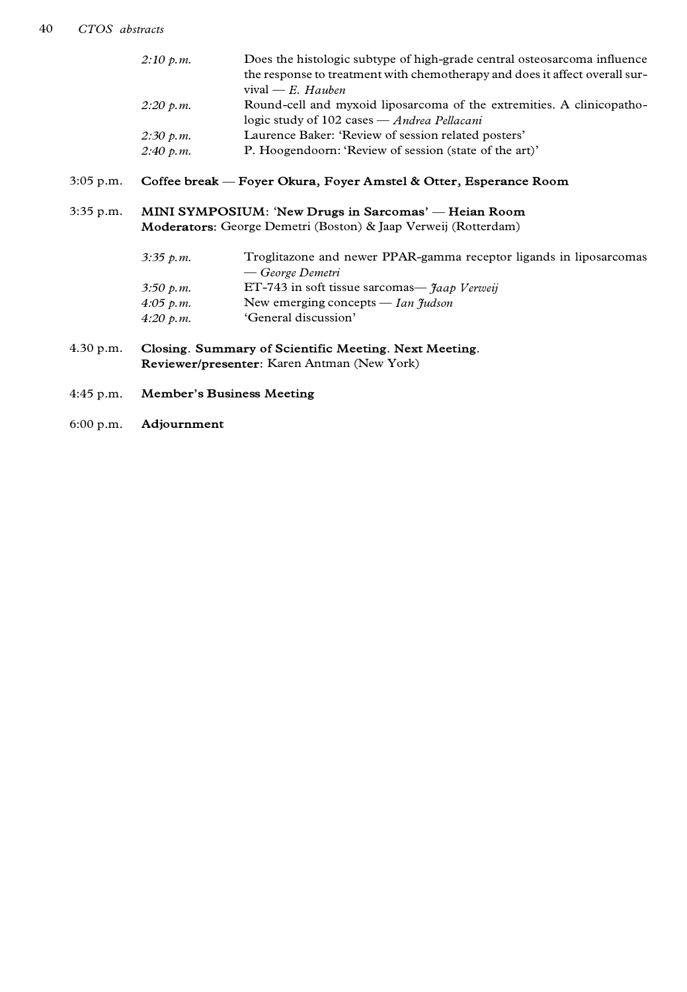| $2:10 \; p.m.$ | Does the histologic subtype of high-grade central osteosarcoma influence<br>the response to treatment with chemotherapy and does it affect overall sur- |
|----------------|---------------------------------------------------------------------------------------------------------------------------------------------------------|
|                | vival — $E$ . Hauben                                                                                                                                    |
| $2:20 \, p.m.$ | Round-cell and myxoid liposarcoma of the extremities. A clinicopatho-                                                                                   |
|                | logic study of 102 cases $-Andrea$ Pellacani                                                                                                            |
| $2:30 \; p.m.$ | Laurence Baker: 'Review of session related posters'                                                                                                     |
| $2:40 \; p.m.$ | P. Hoogendoorn: 'Review of session (state of the art)'                                                                                                  |

# 3:05 p.m. Coffee break — Foyer Okura, Foyer Amstel & Otter, Esperance Room

# 3:35 p.m. MINI SYMPOSIUM: 'New Drugs in Sarcomas' - Heian Room **Moderators:** George Demetri (Boston) & Jaap Verweij (Rotterdam)

| $3:35 \; p.m.$ | Troglitazone and newer PPAR-gamma receptor ligands in liposarcomas |
|----------------|--------------------------------------------------------------------|
|                | — George Demetri                                                   |
| 3:50 p.m.      | ET-743 in soft tissue sarcomas— $\hat{f}$ aap Verweij              |
| 4:05 $p.m.$    | New emerging concepts — Ian $\tilde{\tau}$ udson                   |
| 4:20 p.m.      | 'General discussion'                                               |

- 4.30 p.m. **Closing. Summary of Scientific Meeting. Next Meeting. Reviewer/presenter:** Karen Antman (New York)
- 4:45 p.m. **Member's Business Meeting**
- 6:00 p.m. **Adjournment**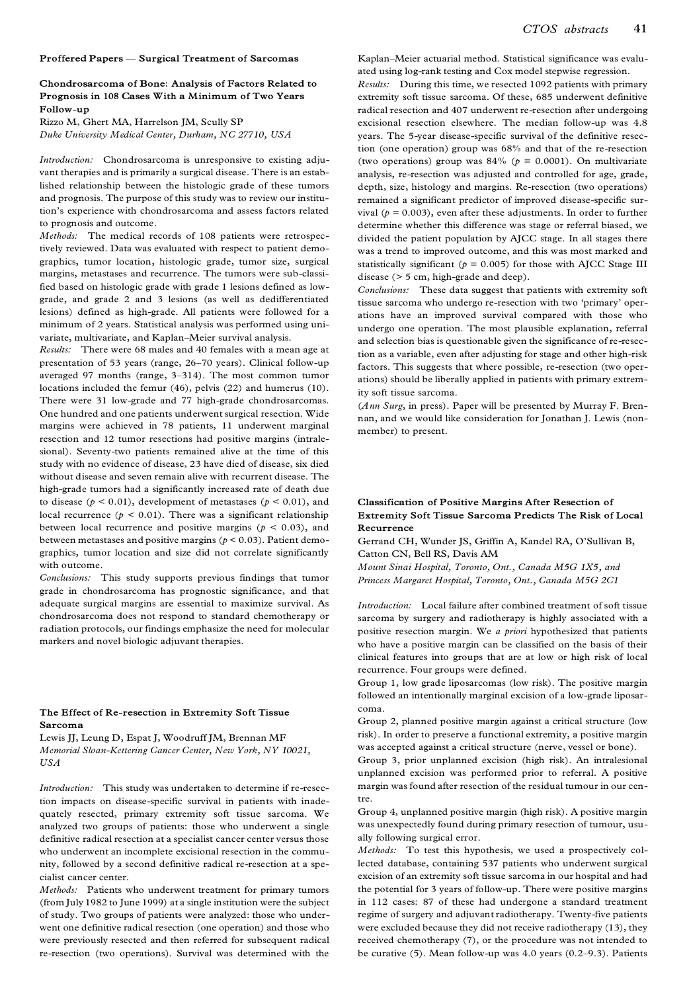#### **Proffered Papers Ð Surgical Treatment of Sarcomas**

# **Chondrosarcoma of Bone: Analysis of Factors Related to Prognosis in 108 Cases With a Minimum of Two Years Follow-up**

Rizzo M, Ghert MA, Harrelson JM, Scully SP *Duke University Medical Center, Durham, NC 27710, USA*

*Introduction:* Chondrosarcoma is unresponsive to existing adju vant therapies and is primarily a surgical disease. There is an established relationship between the histologic grade of these tumors and prognosis. The purpose of this study was to review our institution's experience with chondrosarcoma and assess factors related to prognosis and outcome.

*Methods:* The medical records of 108 patients were retrospectively reviewed. Data was evaluated with respect to patient demographics, tumor location, histologic grade, tumor size, surgical margins, metastases and recurrence. The tumors were sub-classified based on histologic grade with grade 1 lesions defined as lowgrade, and grade 2 and 3 lesions (as well as dedifferentiated lesions) defined as high-grade. All patients were followed for a minimum of 2 years. Statistical analysis was performed using univariate, multivariate, and Kaplan-Meier survival analysis.

*Results:* There were 68 males and 40 females with a mean age at presentation of 53 years (range, 26-70 years). Clinical follow-up averaged 97 months (range, 3-314). The most common tumor locations included the femur (46), pelvis (22) and humerus (10). There were 31 low-grade and 77 high-grade chondrosarcomas. One hundred and one patients underwent surgical resection. Wide margins were achieved in 78 patients, 11 underwent marginal resection and 12 tumor resections had positive margins (intralesional). Seventy-two patients remained alive at the time of this study with no evidence of disease, 23 have died of disease, six died without disease and seven remain alive with recurrent disease. The high-grade tumors had a significantly increased rate of death due to disease  $(p < 0.01)$ , development of metastases  $(p < 0.01)$ , and local recurrence  $(p < 0.01)$ . There was a significant relationship between local recurrence and positive margins ( $p < 0.03$ ), and between metastases and positive margins (*p* < 0.03). Patient demographics, tumor location and size did not correlate significantly with outcome.

*Conclusions:* This study supports previous findings that tumor grade in chondrosarcoma has prognostic significance, and that adequate surgical margins are essential to maximize survival. As chondrosarcoma does not respond to standard chemotherapy or radiation protocols, our findings emphasize the need for molecular markers and novel biologic adjuvant therapies.

### **The Effect of Re-resection in Extremity Soft Tissue Sarcoma**

Lewis JJ, Leung D, Espat J, Woodruff JM, Brennan MF *Memorial Sloan-Kettering Cancer Center, New York, NY 10021, USA*

*Introduction:* This study was undertaken to determine if re-resection impacts on disease-specific survival in patients with inadequately resected, primary extremity soft tissue sarcoma. We analyzed two groups of patients: those who underwent a single definitive radical resection at a specialist cancer center versus those who underwent an incomplete excisional resection in the commu nity, followed by a second definitive radical re-resection at a specialist cancer center.

*Methods:* Patients who underwent treatment for primary tumors (from July 1982 to June 1999) at a single institution were the subject of study. Two groups of patients were analyzed: those who under went one definitive radical resection (one operation) and those who were previously resected and then referred for subsequent radical re-resection (two operations). Survival was determined with the

Kaplan-Meier actuarial method. Statistical significance was evaluated using log-rank testing and Cox model stepwise regression.

*Results:* During this time, we resected 1092 patients with primary extremity soft tissue sarcoma. Of these, 685 underwent definitive radical resection and 407 underwent re-resection after undergoing excisional resection elsewhere. The median follow-up was 4.8 years. The 5-year disease-specific survival of the definitive resection (one operation) group was 68% and that of the re-resection (two operations) group was  $84\%$  ( $p = 0.0001$ ). On multivariate analysis, re-resection was adjusted and controlled for age, grade, depth, size, histology and margins. Re-resection (two operations) remained a significant predictor of improved disease-specific sur vival ( $p = 0.003$ ), even after these adjustments. In order to further determine whether this difference was stage or referral biased, we divided the patient population by AJCC stage. In all stages there was a trend to improved outcome, and this was most marked and statistically significant ( $p = 0.005$ ) for those with AJCC Stage III disease (> 5 cm, high-grade and deep).

*Conclusions:* These data suggest that patients with extremity soft tissue sarcoma who undergo re-resection with two `primary' operations have an improved survival compared with those who undergo one operation. The most plausible explanation, referral and selection bias is questionable given the significance of re-resection as a variable, even after adjusting for stage and other high-risk factors. This suggests that where possible, re-resection (two operations) should be liberally applied in patients with primary extremity soft tissue sarcoma.

(*Ann Surg*, in press). Paper will be presented by Murray F. Brennan, and we would like consideration for Jonathan J. Lewis (non member) to present.

### **Classification of Positive Margins After Resection of Extremity Soft Tissue Sarcoma Predicts The Risk of Local Recurrence**

Gerrand CH, Wunder JS, Griffin A, Kandel RA, O'Sullivan B, Catton CN, Bell RS, Davis AM

*Mount Sinai Hospital, Toronto, Ont., Canada M5G 1X5, and Princess Margaret Hospital, Toronto, Ont., Canada M5G 2C1*

*Introduction:* Local failure after combined treatment of soft tissue sarcoma by surgery and radiotherapy is highly associated with a positive resection margin. We *a priori* hypothesized that patients who have a positive margin can be classified on the basis of their clinical features into groups that are at low or high risk of local recurrence. Four groups were defined.

Group 1, low grade liposarcomas (low risk). The positive margin followed an intentionally marginal excision of a low-grade liposar coma.

Group 2, planned positive margin against a critical structure (low risk). In order to preserve a functional extremity, a positive margin was accepted against a critical structure (nerve, vessel or bone).

Group 3, prior unplanned excision (high risk). An intralesional unplanned excision was performed prior to referral. A positive margin was found after resection of the residual tumour in our centre.

Group 4, unplanned positive margin (high risk). A positive margin was unexpectedly found during primary resection of tumour, usu ally following surgical error.

*Methods:* To test this hypothesis, we used a prospectively collected database, containing 537 patients who underwent surgical excision of an extremity soft tissue sarcoma in our hospital and had the potential for 3 years of follow-up. There were positive margins in 112 cases: 87 of these had undergone a standard treatment regime of surgery and adjuvant radiotherapy. Twenty-five patients were excluded because they did not receive radiotherapy (13), they received chemotherapy (7), or the procedure was not intended to be curative (5). Mean follow-up was 4.0 years (0.2-9.3). Patients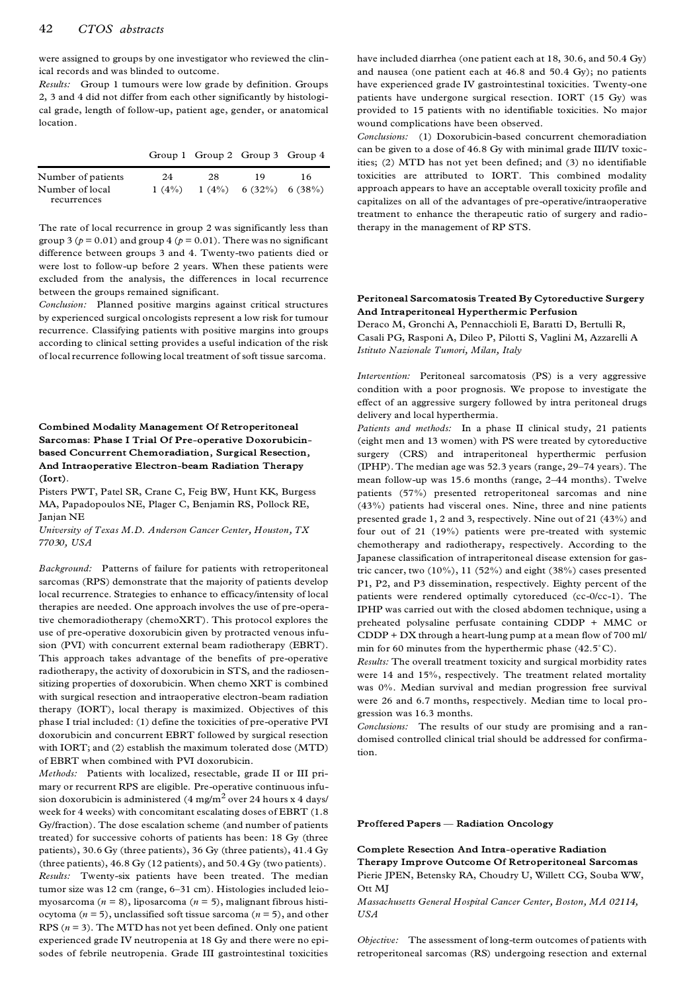were assigned to groups by one investigator who reviewed the clinical records and was blinded to outcome.

*Results:* Group 1 tumours were low grade by definition. Groups 2, 3 and 4 did not differ from each other significantly by histological grade, length of follow-up, patient age, gender, or anatomical location.

|                    |          | Group 1 Group 2 Group 3 Group 4 |                            |    |  |
|--------------------|----------|---------------------------------|----------------------------|----|--|
| Number of patients | 24       | 28                              | 19                         | 16 |  |
| Number of local    | $1(4\%)$ |                                 | $1(4\%)$ 6 (32\%) 6 (38\%) |    |  |
| recurrences        |          |                                 |                            |    |  |

The rate of local recurrence in group 2 was significantly less than group 3 ( $p = 0.01$ ) and group 4 ( $p = 0.01$ ). There was no significant difference between groups 3 and 4. Twenty-two patients died or were lost to follow-up before 2 years. When these patients were excluded from the analysis, the differences in local recurrence between the groups remained significant.

*Conclusion:* Planned positive margins against critical structures by experienced surgical oncologists represent a low risk for tumour recurrence. Classifying patients with positive margins into groups according to clinical setting provides a useful indication of the risk of local recurrence following local treatment of soft tissue sarcoma.

# **Combined Modality Management Of Retroperitoneal Sarcomas: Phase I Trial Of Pre-operative Doxorubicinbased Concurrent Chemoradiation, Surgical Resection, And Intraoperative Electron-beam Radiation Therapy (Iort).**

Pisters PWT, Patel SR, Crane C, Feig BW, Hunt KK, Burgess MA, Papadopoulos NE, Plager C, Benjamin RS, Pollock RE, Janjan NE

*University of Texas M.D. Anderson Cancer Center, Houston, TX 77030, USA* 

*Background:* Patterns of failure for patients with retroperitoneal sarcomas (RPS) demonstrate that the majority of patients develop local recurrence. Strategies to enhance to efficacy/intensity of local therapies are needed. One approach involves the use of pre-operative chemoradiotherapy (chemoXRT). This protocol explores the use of pre-operative doxorubicin given by protracted venous infusion (PVI) with concurrent external beam radiotherapy (EBRT). This approach takes advantage of the benefits of pre-operative radiotherapy, the activity of doxorubicin in STS, and the radiosensitizing properties of doxorubicin. When chemo XRT is combined with surgical resection and intraoperative electron-beam radiation therapy (IORT), local therapy is maximized. Objectives of this phase I trial included: (1) define the toxicities of pre-operative PVI doxorubicin and concurrent EBRT followed by surgical resection with IORT; and (2) establish the maximum tolerated dose (MTD) of EBRT when combined with PVI doxorubicin.

*Methods:* Patients with localized, resectable, grade II or III primary or recurrent RPS are eligible. Pre-operative continuous infusion doxorubicin is administered (4 mg/m $^2$  over 24 hours x 4 days/ week for 4 weeks) with concomitant escalating doses of EBRT (1.8 Gy/fraction). The dose escalation scheme (and number of patients treated) for successive cohorts of patients has been: 18 Gy (three patients), 30.6 Gy (three patients), 36 Gy (three patients), 41.4 Gy (three patients), 46.8 Gy (12 patients), and 50.4 Gy (two patients). *Results:* Twenty-six patients have been treated. The median tumor size was 12 cm (range, 6-31 cm). Histologies included leiomyosarcoma (*n* = 8), liposarcoma (*n* = 5), malignant fibrous histiocytoma (*n* = 5), unclassified soft tissue sarcoma (*n* = 5), and other RPS (*n* = 3). The MTD has not yet been defined. Only one patient experienced grade IV neutropenia at 18 Gy and there were no episodes of febrile neutropenia. Grade III gastrointestinal toxicities

have included diarrhea (one patient each at 18, 30.6, and 50.4 Gy) and nausea (one patient each at 46.8 and 50.4 Gy); no patients have experienced grade IV gastrointestinal toxicities. Twenty-one patients have undergone surgical resection. IORT (15 Gy) was provided to 15 patients with no identifiable toxicities. No major wound complications have been observed.

*Conclusions:* (1) Doxorubicin-based concurrent chemoradiation can be given to a dose of 46.8 Gy with minimal grade III/IV toxicities; (2) MTD has not yet been defined; and (3) no identifiable toxicities are attributed to IORT. This combined modality approach appears to have an acceptable overall toxicity profile and capitalizes on all of the advantages of pre-operative/intraoperative treatment to enhance the therapeutic ratio of surgery and radiotherapy in the management of RP STS.

### **Peritoneal Sarcomatosis Treated By Cytoreductive Surgery And Intraperitoneal Hyperthermic Perfusion**

Deraco M, Gronchi A, Pennacchioli E, Baratti D, Bertulli R, Casali PG, Rasponi A, Dileo P, Pilotti S, Vaglini M, Azzarelli A *Istituto Nazionale Tumori, Milan, Italy*

*Intervention:* Peritoneal sarcomatosis (PS) is a very aggressive condition with a poor prognosis. We propose to investigate the effect of an aggressive surgery followed by intra peritoneal drugs delivery and local hyperthermia.

*Patients and methods:* In a phase II clinical study, 21 patients (eight men and 13 women) with PS were treated by cytoreductive surgery (CRS) and intraperitoneal hyperthermic perfusion (IPHP). The median age was 52.3 years (range, 29-74 years). The mean follow-up was 15.6 months (range, 2-44 months). Twelve patients (57%) presented retroperitoneal sarcomas and nine (43%) patients had visceral ones. Nine, three and nine patients presented grade 1, 2 and 3, respectively. Nine out of 21 (43%) and four out of 21 (19%) patients were pre-treated with systemic chemotherapy and radiotherapy, respectively. According to the Japanese classification of intraperitoneal disease extension for gastric cancer, two (10%), 11 (52%) and eight (38%) cases presented P1, P2, and P3 dissemination, respectively. Eighty percent of the patients were rendered optimally cytoreduced (cc-0/cc-1). The IPHP was carried out with the closed abdomen technique, using a preheated polysaline perfusate containing CDDP + MMC or CDDP + DX through a heart-lung pump at a mean flow of 700 ml/ min for 60 minutes from the hyperthermic phase  $(42.5^{\circ}C)$ .

*Results:* The overall treatment toxicity and surgical morbidity rates were 14 and 15%, respectively. The treatment related mortality was 0%. Median survival and median progression free survival were 26 and 6.7 months, respectively. Median time to local progression was 16.3 months.

*Conclusions:* The results of our study are promising and a ran domised controlled clinical trial should be addressed for confirmation.

**Proffered Papers Ð Radiation Oncology**

**Complete Resection And Intra-operative Radiation Therapy Improve Outcome Of Retroperitoneal Sarcomas** Pierie JPEN, Betensky RA, Choudry U, Willett CG, Souba WW, Ott MJ

*Massachusetts General Hospital Cancer Center, Boston, MA 02114, USA*

*Objective:* The assessment of long-term outcomes of patients with retroperitoneal sarcomas (RS) undergoing resection and external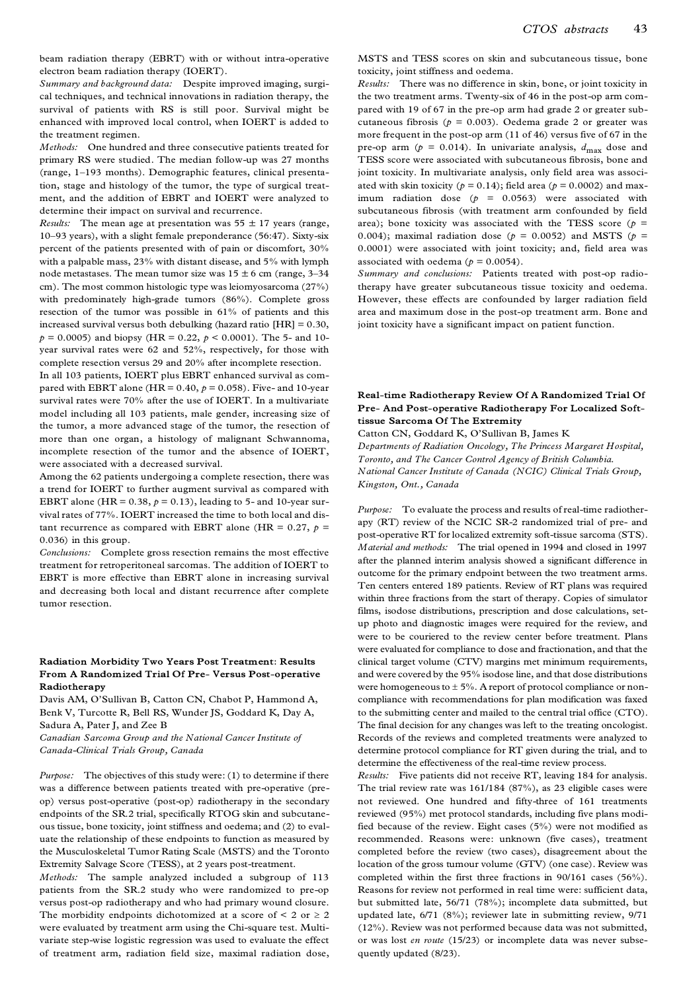beam radiation therapy (EBRT) with or without intra-operative electron beam radiation therapy (IOERT).

*Summary and background data:* Despite improved imaging, surgical techniques, and technical innovations in radiation therapy, the survival of patients with RS is still poor. Survival might be enhanced with improved local control, when IOERT is added to the treatment regimen.

*Methods:* One hundred and three consecutive patients treated for primary RS were studied. The median follow-up was 27 months (range, 1-193 months). Demographic features, clinical presentation, stage and histology of the tumor, the type of surgical treat ment, and the addition of EBRT and IOERT were analyzed to determine their impact on survival and recurrence.

*Results:* The mean age at presentation was  $55 \pm 17$  years (range, 10-93 years), with a slight female preponderance (56:47). Sixty-six percent of the patients presented with of pain or discomfort, 30% with a palpable mass, 23% with distant disease, and 5% with lymph node metastases. The mean tumor size was  $15 \pm 6$  cm (range, 3-34 cm). The most common histologic type was leiomyosarcoma (27%) with predominately high-grade tumors (86%). Complete gross resection of the tumor was possible in 61% of patients and this increased survival versus both debulking (hazard ratio [HR] = 0.30,  $p = 0.0005$ ) and biopsy (HR = 0.22,  $p < 0.0001$ ). The 5- and 10year survival rates were 62 and 52%, respectively, for those with complete resection versus 29 and 20% after incomplete resection.

In all 103 patients, IOERT plus EBRT enhanced survival as com pared with EBRT alone (HR =  $0.40$ ,  $p = 0.058$ ). Five- and 10-year survival rates were 70% after the use of IOERT. In a multivariate model including all 103 patients, male gender, increasing size of the tumor, a more advanced stage of the tumor, the resection of more than one organ, a histology of malignant Schwannoma, incomplete resection of the tumor and the absence of IOERT, were associated with a decreased survival.

Among the 62 patients undergoing a complete resection, there was a trend for IOERT to further augment survival as compared with EBRT alone (HR =  $0.38$ ,  $p = 0.13$ ), leading to 5- and 10-year survival rates of 77%. IOERT increased the time to both local and distant recurrence as compared with EBRT alone (HR =  $0.27$ ,  $p =$ 0.036) in this group.

*Conclusions:* Complete gross resection remains the most effective treatment for retroperitoneal sarcomas. The addition of IOERT to EBRT is more effective than EBRT alone in increasing survival and decreasing both local and distant recurrence after complete tumor resection.

### **Radiation Morbidity Two Years Post Treatment: Results From A Randomized Trial Of Pre- Versus Post-operative Radiotherapy**

Davis AM, O'Sullivan B, Catton CN, Chabot P, Hammond A, Benk V, Turcotte R, Bell RS, Wunder JS, Goddard K, Day A, Sadura A, Pater J, and Zee B

*Canadian Sarcoma Group and the National Cancer Institute of Canada-Clinical Trials Group, Canada*

*Purpose:* The objectives of this study were: (1) to determine if there was a difference between patients treated with pre-operative (preop) versus post-operative (post-op) radiotherapy in the secondary endpoints of the SR.2 trial, specifically RTOG skin and subcutane ous tissue, bone toxicity, joint stiffness and oedema; and (2) to eval uate the relationship of these endpoints to function as measured by the Musculoskeletal Tumor Rating Scale (MSTS) and the Toronto Extremity Salvage Score (TESS), at 2 years post-treatment.

*Methods:* The sample analyzed included a subgroup of 113 patients from the SR.2 study who were randomized to pre-op versus post-op radiotherapy and who had primary wound closure. The morbidity endpoints dichotomized at a score of  $\leq 2$  or  $\geq 2$ were evaluated by treatment arm using the Chi-square test. Multivariate step-wise logistic regression was used to evaluate the effect of treatment arm, radiation field size, maximal radiation dose, MSTS and TESS scores on skin and subcutaneous tissue, bone toxicity, joint stiffness and oedema.

*Results:* There was no difference in skin, bone, or joint toxicity in the two treatment arms. Twenty-six of 46 in the post-op arm com pared with 19 of 67 in the pre-op arm had grade 2 or greater sub cutaneous fibrosis ( $p = 0.003$ ). Oedema grade 2 or greater was more frequent in the post-op arm (11 of 46) versus five of 67 in the pre-op arm ( $p = 0.014$ ). In univariate analysis,  $d_{\text{max}}$  dose and TESS score were associated with subcutaneous fibrosis, bone and joint toxicity. In multivariate analysis, only field area was associated with skin toxicity ( $p = 0.14$ ); field area ( $p = 0.0002$ ) and maximum radiation dose (*p* = 0.0563) were associated with subcutaneous fibrosis (with treatment arm confounded by field area); bone toxicity was associated with the TESS score  $(p =$ 0.004); maximal radiation dose ( $p = 0.0052$ ) and MSTS ( $p =$ 0.0001) were associated with joint toxicity; and, field area was associated with oedema  $(p = 0.0054)$ .

*Summary and conclusions:* Patients treated with post-op radiotherapy have greater subcutaneous tissue toxicity and oedema. However, these effects are confounded by larger radiation field area and maximum dose in the post-op treatment arm. Bone and joint toxicity have a significant impact on patient function.

# **Real-time Radiotherapy Review Of A Randomized Trial Of Pre- And Post-operative Radiotherapy For Localized Softtissue Sarcoma Of The Extremity**

Catton CN, Goddard K, O'Sullivan B, James K

*Departments of Radiation Oncology, The Princess Margaret Hospital, Toronto, and The Cancer Control Agency of British Columbia. National Cancer Institute of Canada (NCIC) Clinical Trials Group, Kingston, Ont., Canada*

*Purpose:* To evaluate the process and results of real-time radiotherapy (RT) review of the NCIC SR-2 randomized trial of pre- and post-operative RT for localized extremity soft-tissue sarcoma (STS). *Material and methods:* The trial opened in 1994 and closed in 1997 after the planned interim analysis showed a significant difference in outcome for the primary endpoint between the two treatment arms. Ten centers entered 189 patients. Review of RT plans was required within three fractions from the start of therapy. Copies of simulator films, isodose distributions, prescription and dose calculations, set up photo and diagnostic images were required for the review, and were to be couriered to the review center before treatment. Plans were evaluated for compliance to dose and fractionation, and that the clinical target volume (CTV) margins met minimum requirements, and were covered by the 95% isodose line, and that dose distributions were homogeneous to ± 5%. A report of protocol compliance or non compliance with recommendations for plan modification was faxed to the submitting center and mailed to the central trial office (CTO). The final decision for any changes was left to the treating oncologist. Records of the reviews and completed treatments were analyzed to determine protocol compliance for RT given during the trial, and to determine the effectiveness of the real-time review process.

*Results:* Five patients did not receive RT, leaving 184 for analysis. The trial review rate was 161/184 (87%), as 23 eligible cases were not reviewed. One hundred and fifty-three of 161 treatments reviewed (95%) met protocol standards, including five plans modified because of the review. Eight cases (5%) were not modified as recommended. Reasons were: unknown (five cases), treatment completed before the review (two cases), disagreement about the location of the gross tumour volume (GTV) (one case). Review was completed within the first three fractions in 90/161 cases (56%). Reasons for review not performed in real time were: sufficient data, but submitted late, 56/71 (78%); incomplete data submitted, but updated late, 6/71 (8%); reviewer late in submitting review, 9/71 (12%). Review was not performed because data was not submitted, or was lost *en route* (15/23) or incomplete data was never subsequently updated (8/23).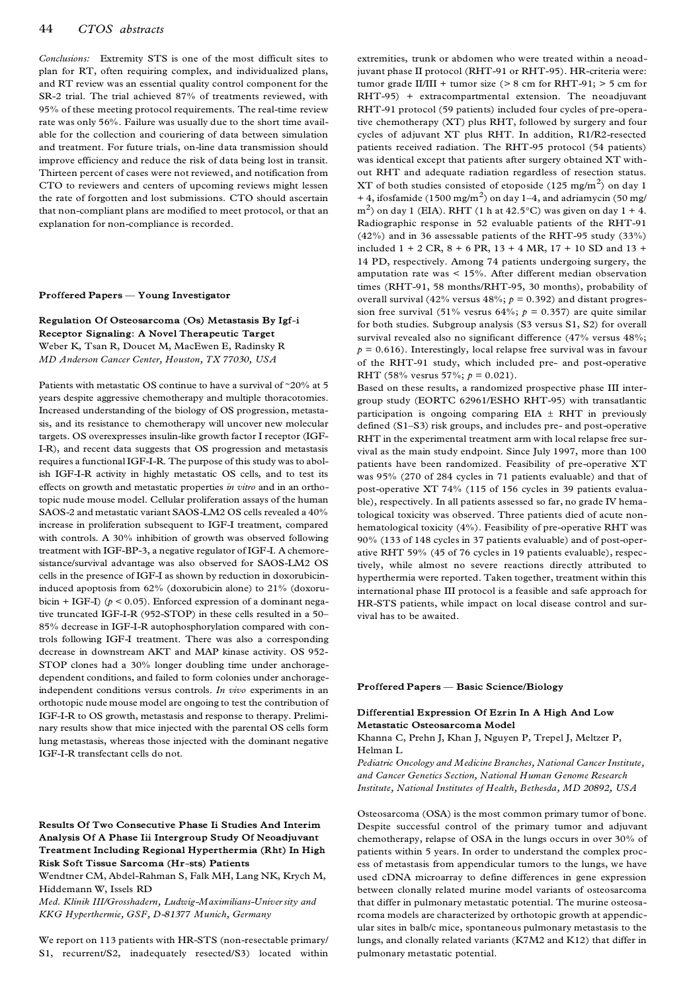### 44 *CTOS abstracts*

*Conclusions:* Extremity STS is one of the most difficult sites to plan for RT, often requiring complex, and individualized plans, and RT review was an essential quality control component for the SR-2 trial. The trial achieved 87% of treatments reviewed, with 95% of these meeting protocol requirements. The real-time review rate was only 56%. Failure was usually due to the short time available for the collection and couriering of data between simulation and treatment. For future trials, on-line data transmission should improve efficiency and reduce the risk of data being lost in transit. Thirteen percent of cases were not reviewed, and notification from CTO to reviewers and centers of upcoming reviews might lessen the rate of forgotten and lost submissions. CTO should ascertain that non-compliant plans are modified to meet protocol, or that an explanation for non-compliance is recorded.

### **Proffered Papers Ð Young Investigator**

**Regulation Of Osteosarcoma (Os) Metastasis By Igf-i Receptor Signaling: A Novel Therapeutic Target** Weber K, Tsan R, Doucet M, MacEwen E, Radinsky R *MD Anderson Cancer Center, Houston, TX 77030, USA*

Patients with metastatic OS continue to have a survival of ~20% at 5 years despite aggressive chemotherapy and multiple thoracotomies. Increased understanding of the biology of OS progression, metastasis, and its resistance to chemotherapy will uncover new molecular targets. OS overexpresses insulin-like growth factor I receptor (IGF-I-R), and recent data suggests that OS progression and metastasis requires a functional IGF-I-R. The purpose of this study was to abolish IGF-I-R activity in highly metastatic OS cells, and to test its effects on growth and metastatic properties *in vitro* and in an orthotopic nude mouse model. Cellular proliferation assays of the human SAOS-2 and metastatic variant SAOS-LM2 OS cells revealed a 40% increase in proliferation subsequent to IGF-I treatment, compared with controls. A 30% inhibition of growth was observed following treatment with IGF-BP-3, a negative regulator of IGF-I. A chemoresistance/survival advantage was also observed for SAOS-LM2 OS cells in the presence of IGF-I as shown by reduction in doxorubicininduced apoptosis from 62% (doxorubicin alone) to 21% (doxorubicin + IGF-I) ( $p < 0.05$ ). Enforced expression of a dominant negative truncated IGF-I-R (952-STOP) in these cells resulted in a 50-85% decrease in IGF-I-R autophosphorylation compared with controls following IGF-I treatment. There was also a corresponding decrease in downstream AKT and MAP kinase activity. OS 952- STOP clones had a 30% longer doubling time under anchoragedependent conditions, and failed to form colonies under anchorageindependent conditions versus controls. *In vivo* experiments in an orthotopic nude mouse model are ongoing to test the contribution of IGF-I-R to OS growth, metastasis and response to therapy. Preliminary results show that mice injected with the parental OS cells form lung metastasis, whereas those injected with the dominant negative IGF-I-R transfectant cells do not.

**Results Of Two Consecutive Phase Ii Studies And Interim Analysis Of A Phase Iii Intergroup Study Of Neoadjuvant Treatment Including Regional Hyperthermia (Rht) In High Risk Soft Tissue Sarcoma (Hr-sts) Patients**

Wendtner CM, Abdel-Rahman S, Falk MH, Lang NK, Krych M, Hiddemann W, Issels RD

*Med. Klinik III/Grosshadern, Ludwig-Maximilians-University and KKG Hyperthermie, GSF, D-81377 Munich, Germany*

We report on 113 patients with HR-STS (non-resectable primary/ S1, recurrent/S2, inadequately resected/S3) located within

extremities, trunk or abdomen who were treated within a neoadjuvant phase II protocol (RHT-91 or RHT-95). HR-criteria were: tumor grade II/III + tumor size  $(> 8$  cm for RHT-91;  $> 5$  cm for RHT-95) + extracompartmental extension. The neoadjuvant RHT-91 protocol (59 patients) included four cycles of pre-operative chemotherapy (XT) plus RHT, followed by surgery and four cycles of adjuvant XT plus RHT. In addition, R1/R2-resected patients received radiation. The RHT-95 protocol (54 patients) was identical except that patients after surgery obtained XT with out RHT and adequate radiation regardless of resection status.  $XT$  of both studies consisted of etoposide (125 mg/m<sup>2</sup>) on day 1 + 4, ifosfamide (1500 mg/m<sup>2</sup>) on day 1–4, and adriamycin (50 mg/  $\text{m}^2$ ) on day 1 (EIA). RHT (1 h at 42.5°C) was given on day 1 + 4. Radiographic response in 52 evaluable patients of the RHT-91 (42%) and in 36 assessable patients of the RHT-95 study (33%) included  $1 + 2$  CR,  $8 + 6$  PR,  $13 + 4$  MR,  $17 + 10$  SD and  $13 +$ 14 PD, respectively. Among 74 patients undergoing surgery, the amputation rate was < 15%. After different median observation times (RHT-91, 58 months/RHT-95, 30 months), probability of overall survival (42% versus 48%;  $p = 0.392$ ) and distant progression free survival (51% vesrus 64%;  $p = 0.357$ ) are quite similar for both studies. Subgroup analysis (S3 versus S1, S2) for overall survival revealed also no significant difference (47% versus 48%;  $p = 0.616$ ). Interestingly, local relapse free survival was in favour of the RHT-91 study, which included pre- and post-operative RHT (58% vesrus 57%; *p* = 0.021).

Based on these results, a randomized prospective phase III intergroup study (EORTC 62961/ESHO RHT-95) with transatlantic participation is ongoing comparing EIA  $\pm$  RHT in previously defined (S1-S3) risk groups, and includes pre- and post-operative RHT in the experimental treatment arm with local relapse free sur vival as the main study endpoint. Since July 1997, more than 100 patients have been randomized. Feasibility of pre-operative XT was 95% (270 of 284 cycles in 71 patients evaluable) and that of post-operative XT 74% (115 of 156 cycles in 39 patients evaluable), respectively. In all patients assessed so far, no grade IV hematological toxicity was observed. Three patients died of acute non hematological toxicity (4%). Feasibility of pre-operative RHT was 90% (133 of 148 cycles in 37 patients evaluable) and of post-operative RHT 59% (45 of 76 cycles in 19 patients evaluable), respectively, while almost no severe reactions directly attributed to hyperthermia were reported. Taken together, treatment within this international phase III protocol is a feasible and safe approach for HR-STS patients, while impact on local disease control and sur vival has to be awaited.

#### **Proffered Papers Ð Basic Science/Biology**

### **Differential Expression Of Ezrin In A High And Low Metastatic Osteosarcoma Model**

Khanna C, Prehn J, Khan J, Nguyen P, Trepel J, Meltzer P, Helman L

*Pediatric Oncology and Medicine Branches, National Cancer Institute, and Cancer Genetics Section, National Human Genome Research Institute, National Institutes of Health, Bethesda, MD 20892, USA*

Osteosarcoma (OSA) is the most common primary tumor of bone. Despite successful control of the primary tumor and adjuvant chemotherapy, relapse of OSA in the lungs occurs in over 30% of patients within 5 years. In order to understand the complex proc ess of metastasis from appendicular tumors to the lungs, we have used cDNA microarray to define differences in gene expression between clonally related murine model variants of osteosarcoma that differ in pulmonary metastatic potential. The murine osteosarcoma models are characterized by orthotopic growth at appendicular sites in balb/c mice, spontaneous pulmonary metastasis to the lungs, and clonally related variants (K7M2 and K12) that differ in pulmonary metastatic potential.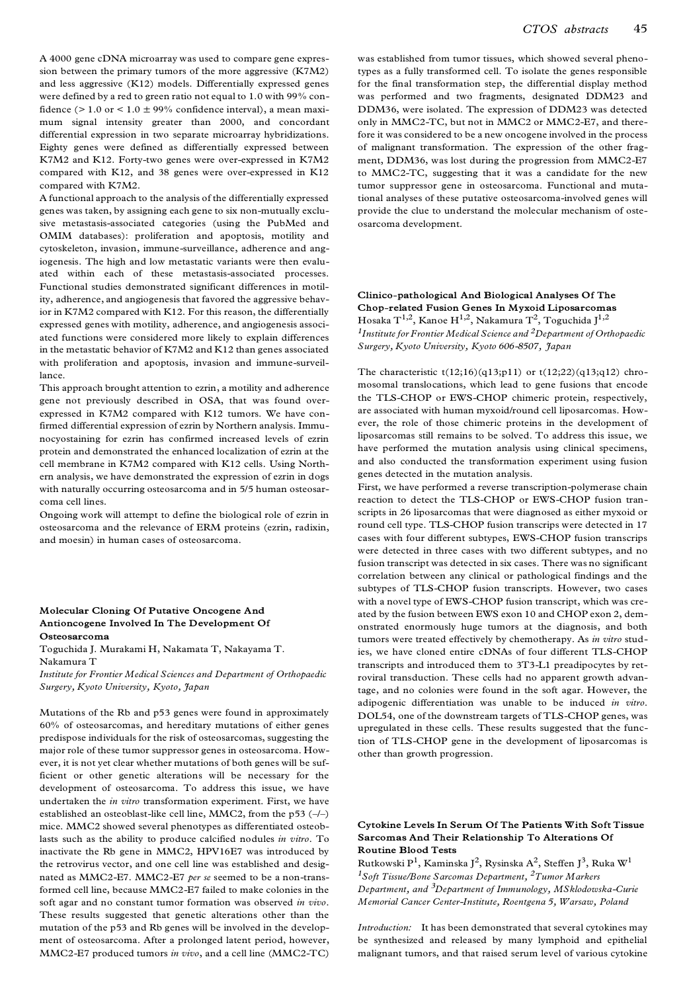A 4000 gene cDNA microarray was used to compare gene expression between the primary tumors of the more aggressive (K7M2) and less aggressive (K12) models. Differentially expressed genes were defined by a red to green ratio not equal to 1.0 with 99% confidence ( $> 1.0$  or  $< 1.0 \pm 99\%$  confidence interval), a mean maximum signal intensity greater than 2000, and concordant differential expression in two separate microarray hybridizations. Eighty genes were defined as differentially expressed between K7M2 and K12. Forty-two genes were over-expressed in K7M2 compared with K12, and 38 genes were over-expressed in K12 compared with K7M2.

A functional approach to the analysis of the differentially expressed genes was taken, by assigning each gene to six non-mutually exclusive metastasis-associated categories (using the PubMed and OMIM databases): proliferation and apoptosis, motility and cytoskeleton, invasion, immune-surveillance, adherence and angiogenesis. The high and low metastatic variants were then evaluated within each of these metastasis-associated processes. Functional studies demonstrated significant differences in motility, adherence, and angiogenesis that favored the aggressive behavior in K7M2 compared with K12. For this reason, the differentially expressed genes with motility, adherence, and angiogenesis associated functions were considered more likely to explain differences in the metastatic behavior of K7M2 and K12 than genes associated with proliferation and apoptosis, invasion and immune-surveillance.

This approach brought attention to ezrin, a motility and adherence gene not previously described in OSA, that was found over expressed in K7M2 compared with K12 tumors. We have confirmed differential expression of ezrin by Northern analysis. Immunocyostaining for ezrin has confirmed increased levels of ezrin protein and demonstrated the enhanced localization of ezrin at the cell membrane in K7M2 compared with K12 cells. Using North ern analysis, we have demonstrated the expression of ezrin in dogs with naturally occurring osteosarcoma and in 5/5 human osteosar coma cell lines.

Ongoing work will attempt to define the biological role of ezrin in osteosarcoma and the relevance of ERM proteins (ezrin, radixin, and moesin) in human cases of osteosarcoma.

### **Molecular Cloning Of Putative Oncogene And Antioncogene Involved In The Development Of Osteosarcoma**

Toguchida J. Murakami H, Nakamata T, Nakayama T. Nakamura T

*Institute for Frontier Medical Sciences and Department of Orthopaedic Surgery, Kyoto University, Kyoto, Japan*

Mutations of the Rb and p53 genes were found in approximately 60% of osteosarcomas, and hereditary mutations of either genes predispose individuals for the risk of osteosarcomas, suggesting the major role of these tumor suppressor genes in osteosarcoma. However, it is not yet clear whether mutations of both genes will be sufficient or other genetic alterations will be necessary for the development of osteosarcoma. To address this issue, we have undertaken the *in vitro* transformation experiment. First, we have established an osteoblast-like cell line, MMC2, from the p53  $(-/-)$ mice. MMC2 showed several phenotypes as differentiated osteoblasts such as the ability to produce calcified nodules *in vitro*. To inactivate the Rb gene in MMC2, HPV16E7 was introduced by the retrovirus vector, and one cell line was established and designated as MMC2-E7. MMC2-E7 *per se* seemed to be a non-transformed cell line, because MMC2-E7 failed to make colonies in the soft agar and no constant tumor formation was observed *in vivo*. These results suggested that genetic alterations other than the mutation of the p53 and Rb genes will be involved in the develop ment of osteosarcoma. After a prolonged latent period, however, MMC2-E7 produced tumors *in vivo*, and a cell line (MMC2-TC) was established from tumor tissues, which showed several phenotypes as a fully transformed cell. To isolate the genes responsible for the final transformation step, the differential display method was performed and two fragments, designated DDM23 and DDM36, were isolated. The expression of DDM23 was detected only in MMC2-TC, but not in MMC2 or MMC2-E7, and therefore it was considered to be a new oncogene involved in the process of malignant transformation. The expression of the other fragment, DDM36, was lost during the progression from MMC2-E7 to MMC2-TC, suggesting that it was a candidate for the new tumor suppressor gene in osteosarcoma. Functional and mutational analyses of these putative osteosarcoma-involved genes will provide the clue to understand the molecular mechanism of oste osarcoma development.

**Clinico-pathological And Biological Analyses Of The Chop-related Fusion Genes In Myxoid Liposarcomas** Hosaka  $\mathrm{T}^{1,2}$ , Kanoe H $^{1,2}$ , Nakamura  $\mathrm{T}^2$ , Toguchida J $^{1,2}$ *1 Institute for Frontier Medical Science and 2Department of Orthopaedic Surgery, Kyoto University, Kyoto 606-8507, Japan*

The characteristic  $t(12;16)(q13;p11)$  or  $t(12;22)(q13;q12)$  chromosomal translocations, which lead to gene fusions that encode the TLS-CHOP or EWS-CHOP chimeric protein, respectively, are associated with human myxoid/round cell liposarcomas. How ever, the role of those chimeric proteins in the development of liposarcomas still remains to be solved. To address this issue, we have performed the mutation analysis using clinical specimens, and also conducted the transformation experiment using fusion genes detected in the mutation analysis.

First, we have performed a reverse transcription-polymerase chain reaction to detect the TLS-CHOP or EWS-CHOP fusion transcripts in 26 liposarcomas that were diagnosed as either myxoid or round cell type. TLS-CHOP fusion transcrips were detected in 17 cases with four different subtypes, EWS-CHOP fusion transcrips were detected in three cases with two different subtypes, and no fusion transcript was detected in six cases. There was no significant correlation between any clinical or pathological findings and the subtypes of TLS-CHOP fusion transcripts. However, two cases with a novel type of EWS-CHOP fusion transcript, which was cre ated by the fusion between EWS exon 10 and CHOP exon 2, demonstrated enormously huge tumors at the diagnosis, and both tumors were treated effectively by chemotherapy. As *in vitro* studies, we have cloned entire cDNAs of four different TLS-CHOP transcripts and introduced them to 3T3-L1 preadipocytes by retroviral transduction. These cells had no apparent growth advantage, and no colonies were found in the soft agar. However, the adipogenic differentiation was unable to be induced *in vitro*. DOL54, one of the downstream targets of TLS-CHOP genes, was upregulated in these cells. These results suggested that the function of TLS-CHOP gene in the development of liposarcomas is other than growth progression.

### **Cytokine Levels In Serum Of The Patients With Soft Tissue Sarcomas And Their Relationship To Alterations Of Routine Blood Tests**

Rutkowski P $^1$ , Kaminska J $^2$ , Rysinska A $^2$ , Steffen J $^3$ , Ruka W $^1$ *<sup>1</sup>Soft Tissue/Bone Sarcomas Department, 2Tumor Markers Department, and 3Department of Immunology, MSklodowska-Curie Memorial Cancer Center-Institute, Roentgena 5, Warsaw, Poland*

*Introduction:* It has been demonstrated that several cytokines may be synthesized and released by many lymphoid and epithelial malignant tumors, and that raised serum level of various cytokine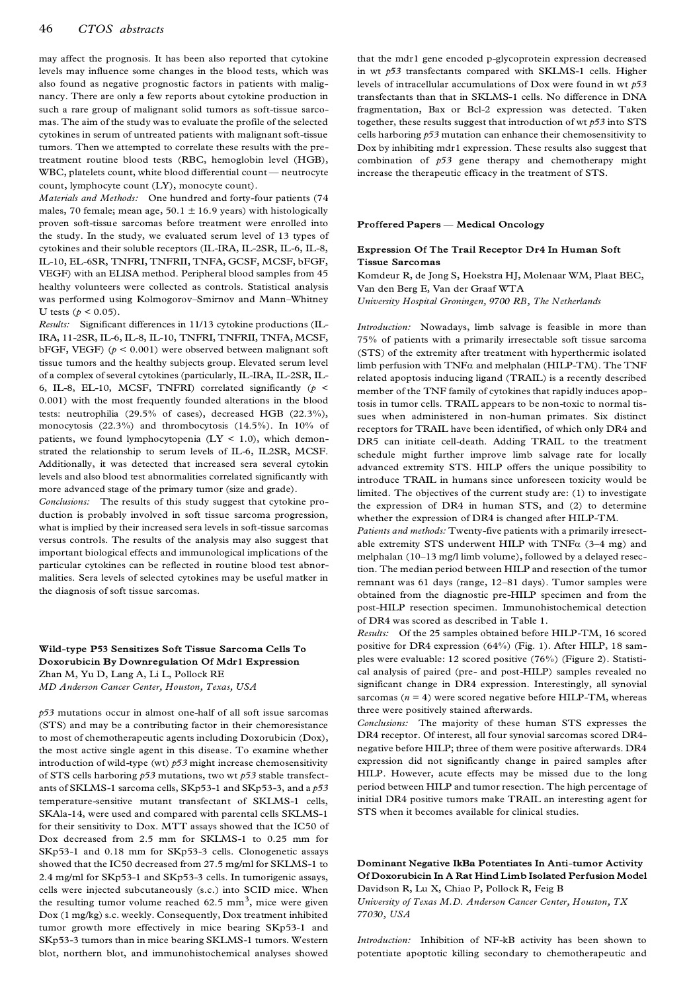may affect the prognosis. It has been also reported that cytokine levels may influence some changes in the blood tests, which was also found as negative prognostic factors in patients with malignancy. There are only a few reports about cytokine production in such a rare group of malignant solid tumors as soft-tissue sarco mas. The aim of the study was to evaluate the profile of the selected cytokines in serum of untreated patients with malignant soft-tissue tumors. Then we attempted to correlate these results with the pretreatment routine blood tests (RBC, hemoglobin level (HGB), WBC, platelets count, white blood differential count - neutrocyte count, lymphocyte count (LY), monocyte count).

*Materials and Methods:* One hundred and forty-four patients (74 males, 70 female; mean age, 50.1  $\pm$  16.9 years) with histologically proven soft-tissue sarcomas before treatment were enrolled into the study. In the study, we evaluated serum level of 13 types of cytokines and their soluble receptors (IL-IRA, IL-2SR, IL-6, IL-8, IL-10, EL-6SR, TNFRI, TNFRII, TNFA, GCSF, MCSF, bFGF, VEGF) with an ELISA method. Peripheral blood samples from 45 healthy volunteers were collected as controls. Statistical analysis was performed using Kolmogorov-Smirnov and Mann-Whitney U tests  $(p < 0.05)$ .

*Results:* Significant differences in 11/13 cytokine productions (IL-IRA, 11-2SR, IL-6, IL-8, IL-10, TNFRI, TNFRII, TNFA, MCSF, bFGF, VEGF) (*p* < 0.001) were observed between malignant soft tissue tumors and the healthy subjects group. Elevated serum level of a complex of several cytokines (particularly, IL-IRA, IL-2SR, IL-6, IL-8, EL-10, MCSF, TNFRI) correlated significantly (*p* < 0.001) with the most frequently founded alterations in the blood tests: neutrophilia (29.5% of cases), decreased HGB (22.3%), monocytosis (22.3%) and thrombocytosis (14.5%). In 10% of patients, we found lymphocytopenia  $(LY < 1.0)$ , which demonstrated the relationship to serum levels of IL-6, IL2SR, MCSF. Additionally, it was detected that increased sera several cytokin levels and also blood test abnormalities correlated significantly with more advanced stage of the primary tumor (size and grade).

*Conclusions:* The results of this study suggest that cytokine production is probably involved in soft tissue sarcoma progression, what is implied by their increased sera levels in soft-tissue sarcomas versus controls. The results of the analysis may also suggest that important biological effects and immunological implications of the particular cytokines can be reflected in routine blood test abnormalities. Sera levels of selected cytokines may be useful matker in the diagnosis of soft tissue sarcomas.

# **Wild-type P53 Sensitizes Soft Tissue Sarcoma Cells To Doxorubicin By Downregulation Of Mdr1 Expression** Zhan M, Yu D, Lang A, Li L, Pollock RE

*MD Anderson Cancer Center, Houston, Texas, USA*

*p53* mutations occur in almost one-half of all soft issue sarcomas (STS) and may be a contributing factor in their chemoresistance to most of chemotherapeutic agents including Doxorubicin (Dox), the most active single agent in this disease. To examine whether introduction of wild-type (wt) *p53* might increase chemosensitivity of STS cells harboring *p53* mutations, two wt *p53* stable transfect ants of SKLMS-1 sarcoma cells, SKp53-1 and SKp53-3, and a *p53* temperature-sensitive mutant transfectant of SKLMS-1 cells, SKAla-14, were used and compared with parental cells SKLMS-1 for their sensitivity to Dox. MTT assays showed that the IC50 of Dox decreased from 2.5 mm for SKLMS-1 to 0.25 mm for SKp53-1 and 0.18 mm for SKp53-3 cells. Clonogenetic assays showed that the IC50 decreased from 27.5 mg/ml for SKLMS-1 to 2.4 mg/ml for SKp53-1 and SKp53-3 cells. In tumorigenic assays, cells were injected subcutaneously (s.c.) into SCID mice. When the resulting tumor volume reached  $62.5 \text{ mm}^3$ , mice were given Dox (1 mg/kg) s.c. weekly. Consequently, Dox treatment inhibited tumor growth more effectively in mice bearing SKp53-1 and SKp53-3 tumors than in mice bearing SKLMS-1 tumors. Western blot, northern blot, and immunohistochemical analyses showed

that the mdr1 gene encoded p-glycoprotein expression decreased in wt *p53* transfectants compared with SKLMS-1 cells. Higher levels of intracellular accumulations of Dox were found in wt *p53* transfectants than that in SKLMS-1 cells. No difference in DNA fragmentation, Bax or Bcl-2 expression was detected. Taken together, these results suggest that introduction of wt *p53* into STS cells harboring *p53* mutation can enhance their chemosensitivity to Dox by inhibiting mdr1 expression. These results also suggest that combination of *p53* gene therapy and chemotherapy might increase the therapeutic efficacy in the treatment of STS.

**Proffered Papers Ð Medical Oncology**

### **Expression Of The Trail Receptor Dr4 In Human Soft Tissue Sarcomas**

Komdeur R, de Jong S, Hoekstra HJ, Molenaar WM, Plaat BEC, Van den Berg E, Van der Graaf WTA *University Hospital Groningen, 9700 RB, The Netherlands*

*Introduction:* Nowadays, limb salvage is feasible in more than 75% of patients with a primarily irresectable soft tissue sarcoma (STS) of the extremity after treatment with hyperthermic isolated limb perfusion with  $TNF\alpha$  and melphalan (HILP-TM). The TNF related apoptosis inducing ligand (TRAIL) is a recently described member of the TNF family of cytokines that rapidly induces apoptosis in tumor cells. TRAIL appears to be non-toxic to normal tissues when administered in non-human primates. Six distinct receptors for TRAIL have been identified, of which only DR4 and DR5 can initiate cell-death. Adding TRAIL to the treatment schedule might further improve limb salvage rate for locally advanced extremity STS. HILP offers the unique possibility to introduce TRAIL in humans since unforeseen toxicity would be limited. The objectives of the current study are: (1) to investigate the expression of DR4 in human STS, and (2) to determine whether the expression of DR4 is changed after HILP-TM.

*Patients and methods:* Twenty-five patients with a primarily irresectable extremity STS underwent HILP with TNF $\alpha$  (3-4 mg) and melphalan (10-13 mg/l limb volume), followed by a delayed resection. The median period between HILP and resection of the tumor remnant was 61 days (range, 12-81 days). Tumor samples were obtained from the diagnostic pre-HILP specimen and from the post-HILP resection specimen. Immunohistochemical detection of DR4 was scored as described in Table 1.

*Results:* Of the 25 samples obtained before HILP-TM, 16 scored positive for DR4 expression (64%) (Fig. 1). After HILP, 18 sam ples were evaluable: 12 scored positive (76%) (Figure 2). Statistical analysis of paired (pre- and post-HILP) samples revealed no significant change in DR4 expression. Interestingly, all synovial sarcomas  $(n = 4)$  were scored negative before HILP-TM, whereas three were positively stained afterwards.

*Conclusions:* The majority of these human STS expresses the DR4 receptor. Of interest, all four synovial sarcomas scored DR4 negative before HILP; three of them were positive afterwards. DR4 expression did not significantly change in paired samples after HILP. However, acute effects may be missed due to the long period between HILP and tumor resection. The high percentage of initial DR4 positive tumors make TRAIL an interesting agent for STS when it becomes available for clinical studies.

**Dominant Negative IkBa Potentiates In Anti-tumor Activity Of Doxorubicin In A Rat Hind Limb Isolated Perfusion Model** Davidson R, Lu X, Chiao P, Pollock R, Feig B

*University of Texas M.D. Anderson Cancer Center, Houston, TX 77030, USA*

*Introduction:* Inhibition of NF-kB activity has been shown to potentiate apoptotic killing secondary to chemotherapeutic and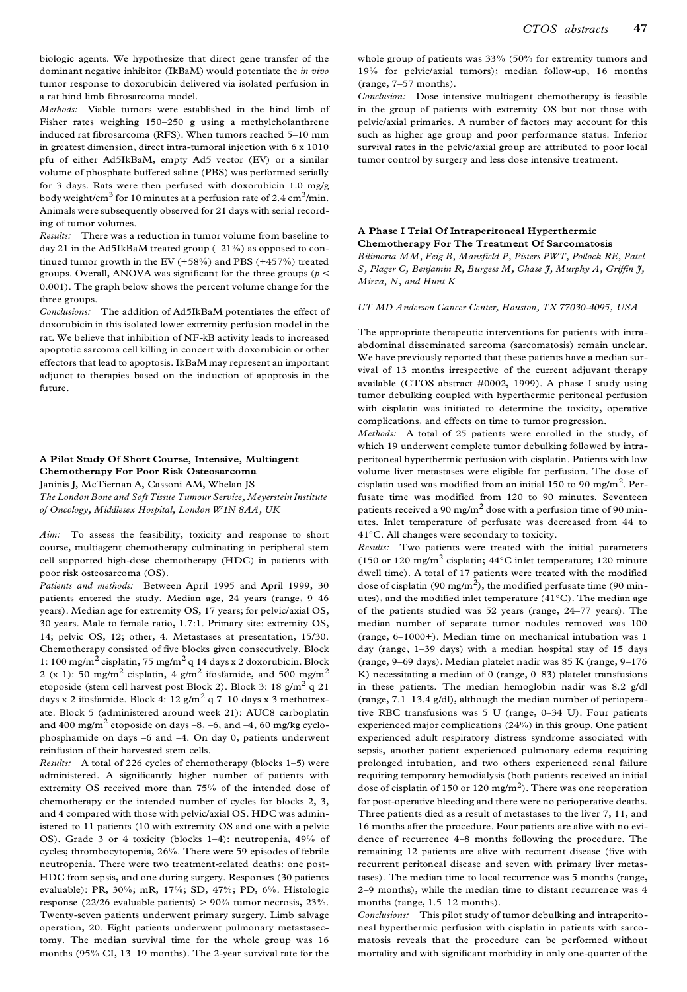biologic agents. We hypothesize that direct gene transfer of the dominant negative inhibitor (IkBaM) would potentiate the *in vivo* tumor response to doxorubicin delivered via isolated perfusion in a rat hind limb fibrosarcoma model.

*Methods:* Viable tumors were established in the hind limb of Fisher rates weighing 150-250 g using a methylcholanthrene induced rat fibrosarcoma (RFS). When tumors reached 5-10 mm in greatest dimension, direct intra-tumoral injection with 6 x 1010 pfu of either Ad5IkBaM, empty Ad5 vector (EV) or a similar volume of phosphate buffered saline (PBS) was performed serially for 3 days. Rats were then perfused with doxorubicin 1.0 mg/g body weight/cm $^3$  for 10 minutes at a perfusion rate of 2.4 cm $^3$ /min. Animals were subsequently observed for 21 days with serial recording of tumor volumes.

*Results:* There was a reduction in tumor volume from baseline to day 21 in the Ad5IkBaM treated group  $(-21\%)$  as opposed to continued tumor growth in the EV  $(+58%)$  and PBS  $(+457%)$  treated groups. Overall, ANOVA was significant for the three groups (*p* < 0.001). The graph below shows the percent volume change for the three groups.

*Conclusions:* The addition of Ad5IkBaM potentiates the effect of doxorubicin in this isolated lower extremity perfusion model in the rat. We believe that inhibition of NF-kB activity leads to increased apoptotic sarcoma cell killing in concert with doxorubicin or other effectors that lead to apoptosis. IkBaM may represent an important adjunct to therapies based on the induction of apoptosis in the future.

# **A Pilot Study Of Short Course, Intensive, Multiagent Chemotherapy For Poor Risk Osteosarcoma**

Janinis J, McTiernan A, Cassoni AM, Whelan JS

*The London Bone and Soft Tissue Tumour Service, Meyerstein Institute of Oncology, Middlesex Hospital, London W1N 8AA, UK*

*Aim:* To assess the feasibility, toxicity and response to short course, multiagent chemotherapy culminating in peripheral stem cell supported high-dose chemotherapy (HDC) in patients with poor risk osteosarcoma (OS).

*Patients and methods:* Between April 1995 and April 1999, 30 patients entered the study. Median age, 24 years (range, 9-46 years). Median age for extremity OS, 17 years; for pelvic/axial OS, 30 years. Male to female ratio, 1.7:1. Primary site: extremity OS, 14; pelvic OS, 12; other, 4. Metastases at presentation, 15/30. Chemotherapy consisted of five blocks given consecutively. Block 1: 100 mg/m<sup>2</sup> cisplatin, 75 mg/m<sup>2</sup> q 14 days x 2 doxorubicin. Block 2 (x 1): 50 mg/m<sup>2</sup> cisplatin, 4 g/m<sup>2</sup> ifosfamide, and 500 mg/m<sup>2</sup> etoposide (stem cell harvest post Block 2). Block 3: 18 g/m<sup>2</sup> q 21 days x 2 ifosfamide. Block 4: 12  $g/m^2$  q 7-10 days x 3 methotrexate. Block 5 (administered around week 21): AUC8 carboplatin and 400 mg/m $^2$  etoposide on days –8, –6, and –4, 60 mg/kg cyclophosphamide on days  $-6$  and  $-4$ . On day 0, patients underwent reinfusion of their harvested stem cells.

*Results:* A total of 226 cycles of chemotherapy (blocks 1-5) were administered. A significantly higher number of patients with extremity OS received more than 75% of the intended dose of chemotherapy or the intended number of cycles for blocks 2, 3, and 4 compared with those with pelvic/axial OS. HDC was administered to 11 patients (10 with extremity OS and one with a pelvic OS). Grade 3 or 4 toxicity (blocks 1-4): neutropenia, 49% of cycles; thrombocytopenia, 26%. There were 59 episodes of febrile neutropenia. There were two treatment-related deaths: one post-HDC from sepsis, and one during surgery. Responses (30 patients evaluable): PR, 30%; mR, 17%; SD, 47%; PD, 6%. Histologic response (22/26 evaluable patients) > 90% tumor necrosis, 23%. Twenty-seven patients underwent primary surgery. Limb salvage operation, 20. Eight patients underwent pulmonary metastasectomy. The median survival time for the whole group was 16 months (95% CI, 13-19 months). The 2-year survival rate for the whole group of patients was 33% (50% for extremity tumors and 19% for pelvic/axial tumors); median follow-up, 16 months  $(range, 7-57 months).$ 

*Conclusion:* Dose intensive multiagent chemotherapy is feasible in the group of patients with extremity OS but not those with pelvic/axial primaries. A number of factors may account for this such as higher age group and poor performance status. Inferior survival rates in the pelvic/axial group are attributed to poor local tumor control by surgery and less dose intensive treatment.

# **A Phase I Trial Of Intraperitoneal Hyperthermic**

**Chemotherapy For The Treatment Of Sarcomatosis** *Bilimoria MM, Feig B, Mansfield P, Pisters PWT, Pollock RE, Patel S, Plager C, Benjamin R, Burgess M, Chase J, Murphy A, Griffin J, Mirza, N, and Hunt K*

#### *UT MD Anderson Cancer Center, Houston, TX 77030-4095, USA*

The appropriate therapeutic interventions for patients with intraabdominal disseminated sarcoma (sarcomatosis) remain unclear. We have previously reported that these patients have a median sur vival of 13 months irrespective of the current adjuvant therapy available (CTOS abstract #0002, 1999). A phase I study using tumor debulking coupled with hyperthermic peritoneal perfusion with cisplatin was initiated to determine the toxicity, operative complications, and effects on time to tumor progression.

*Methods:* A total of 25 patients were enrolled in the study, of which 19 underwent complete tumor debulking followed by intraperitoneal hyperthermic perfusion with cisplatin. Patients with low volume liver metastases were eligible for perfusion. The dose of cisplatin used was modified from an initial 150 to 90 mg/m<sup>2</sup>. Perfusate time was modified from 120 to 90 minutes. Seventeen patients received a 90 mg/m<sup>2</sup> dose with a perfusion time of 90 minutes. Inlet temperature of perfusate was decreased from 44 to 41°C. All changes were secondary to toxicity.

*Results:* Two patients were treated with the initial parameters (150 or 120 mg/m<sup>2</sup> cisplatin;  $44^{\circ}$ C inlet temperature; 120 minute dwell time). A total of 17 patients were treated with the modified dose of cisplatin (90 mg/m<sup>2</sup>), the modified perfusate time (90 minutes), and the modified inlet temperature (41°C). The median age of the patients studied was 52 years (range, 24-77 years). The median number of separate tumor nodules removed was 100 (range, 6-1000+). Median time on mechanical intubation was 1 day (range, 1-39 days) with a median hospital stay of 15 days (range, 9-69 days). Median platelet nadir was 85 K (range, 9-176 K) necessitating a median of 0 (range,  $0-83$ ) platelet transfusions in these patients. The median hemoglobin nadir was 8.2 g/dl (range, 7.1-13.4 g/dl), although the median number of perioperative RBC transfusions was 5 U (range, 0-34 U). Four patients experienced major complications (24%) in this group. One patient experienced adult respiratory distress syndrome associated with sepsis, another patient experienced pulmonary edema requiring prolonged intubation, and two others experienced renal failure requiring temporary hemodialysis (both patients received an initial dose of cisplatin of 150 or 120 mg/m<sup>2</sup>). There was one reoperation for post-operative bleeding and there were no perioperative deaths. Three patients died as a result of metastases to the liver 7, 11, and 16 months after the procedure. Four patients are alive with no evidence of recurrence 4-8 months following the procedure. The remaining 12 patients are alive with recurrent disease (five with recurrent peritoneal disease and seven with primary liver metastases). The median time to local recurrence was 5 months (range, 2-9 months), while the median time to distant recurrence was 4 months (range, 1.5-12 months).

*Conclusions:* This pilot study of tumor debulking and intraperito neal hyperthermic perfusion with cisplatin in patients with sarco matosis reveals that the procedure can be performed without mortality and with significant morbidity in only one-quarter of the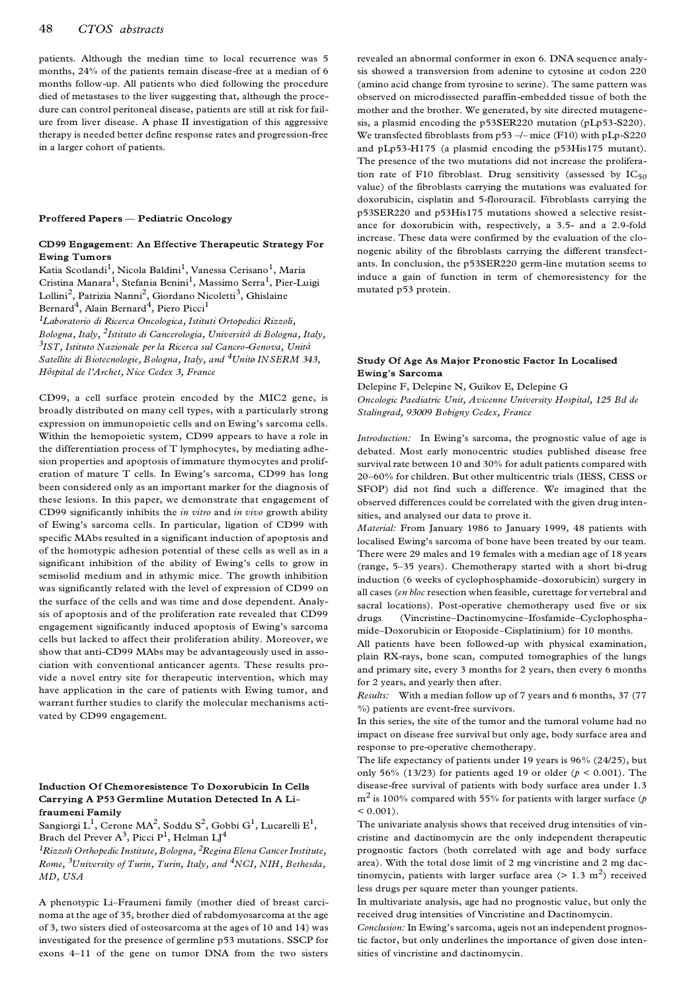patients. Although the median time to local recurrence was 5 months, 24% of the patients remain disease-free at a median of 6 months follow-up. All patients who died following the procedure died of metastases to the liver suggesting that, although the procedure can control peritoneal disease, patients are still at risk for fail ure from liver disease. A phase II investigation of this aggressive therapy is needed better define response rates and progression-free in a larger cohort of patients.

#### **Proffered Papers Ð Pediatric Oncology**

#### **CD99 Engagement: An Effective Therapeutic Strategy For Ewing Tumors**

Katia Scotlandi<sup>1</sup>, Nicola Baldini<sup>1</sup>, Vanessa Cerisano<sup>1</sup>, Maria Cristina Manara<sup>1</sup>, Stefania Benini<sup>1</sup>, Massimo Serra<sup>1</sup>, Pier-Luigi Lollini<sup>2</sup>, Patrizia Nanni<sup>2</sup>, Giordano Nicoletti<sup>3</sup>, Ghislaine  $\mathrm{Bernard}^4,$  Alain  $\mathrm{Bernard}^4,$  Piero Picci $^1$ 

*<sup>1</sup>Laboratorio di Ricerca Oncologica, Istituti Ortopedici Rizzoli, Bologna, Italy, <sup>2</sup> Istituto di Cancerologia, Università di Bologna, Italy, 3 IST, Istituto Nazionale per la Ricerca sul Cancro-Genova, Unità Satellite di Biotecnologie, Bologna, Italy, and 4Unitù INSERM 343, Hôspital de l'Archet, Nice Cedex 3, France*

CD99, a cell surface protein encoded by the MIC2 gene, is broadly distributed on many cell types, with a particularly strong expression on immunopoietic cells and on Ewing's sarcoma cells. Within the hemopoietic system, CD99 appears to have a role in the differentiation process of T lymphocytes, by mediating adhesion properties and apoptosis of immature thymocytes and proliferation of mature T cells. In Ewing's sarcoma, CD99 has long been considered only as an important marker for the diagnosis of these lesions. In this paper, we demonstrate that engagement of CD99 significantly inhibits the *in vitro* and *in vivo* growth ability of Ewing's sarcoma cells. In particular, ligation of CD99 with specific MAbs resulted in a significant induction of apoptosis and of the homotypic adhesion potential of these cells as well as in a significant inhibition of the ability of Ewing's cells to grow in semisolid medium and in athymic mice. The growth inhibition was significantly related with the level of expression of CD99 on the surface of the cells and was time and dose dependent. Analysis of apoptosis and of the proliferation rate revealed that CD99 engagement significantly induced apoptosis of Ewing's sarcoma cells but lacked to affect their proliferation ability. Moreover, we show that anti-CD99 MAbs may be advantageously used in asso ciation with conventional anticancer agents. These results provide a novel entry site for therapeutic intervention, which may have application in the care of patients with Ewing tumor, and warrant further studies to clarify the molecular mechanisms activated by CD99 engagement.

### **Induction Of Chemoresistence To Doxorubicin In Cells Carrying A P53 Germline Mutation Detected In A Lifraumeni Family**

Sangiorgi L<sup>1</sup>, Cerone MA<sup>2</sup>, Soddu S<sup>2</sup>, Gobbi G<sup>1</sup>, Lucarelli E<sup>1</sup>,<br>Brach del Prever A<sup>3</sup>, Picci P<sup>1</sup>, Helman LJ<sup>4</sup>  $^3$ , Picci P $^1$ , Helman LJ $^4$ 

*<sup>1</sup>Rizzoli Orthopedic Institute, Bologna, 2Regina Elena Cancer Institute, Rome, 3University of Turin, Turin, Italy, and 4NCI, NIH, Bethesda, MD, USA* 

A phenotypic Li-Fraumeni family (mother died of breast carcinoma at the age of 35, brother died of rabdomyosarcoma at the age of 3, two sisters died of osteosarcoma at the ages of 10 and 14) was investigated for the presence of germline p53 mutations. SSCP for exons 4-11 of the gene on tumor DNA from the two sisters revealed an abnormal conformer in exon 6. DNA sequence analysis showed a transversion from adenine to cytosine at codon 220 (amino acid change from tyrosine to serine). The same pattern was observed on microdissected paraffin-embedded tissue of both the mother and the brother. We generated, by site directed mutagenesis, a plasmid encoding the p53SER220 mutation (pLp53-S220). We transfected fibroblasts from  $p53$  -/- mice (F10) with  $pLp-S220$ and pLp53-H175 (a plasmid encoding the p53His175 mutant). The presence of the two mutations did not increase the proliferation rate of F10 fibroblast. Drug sensitivity (assessed by  $IC_{50}$ value) of the fibroblasts carrying the mutations was evaluated for doxorubicin, cisplatin and 5-florouracil. Fibroblasts carrying the p53SER220 and p53His175 mutations showed a selective resist ance for doxorubicin with, respectively, a 3.5- and a 2.9-fold increase. These data were confirmed by the evaluation of the clonogenic ability of the fibroblasts carrying the different transfect ants. In conclusion, the p53SER220 germ-line mutation seems to induce a gain of function in term of chemoresistency for the mutated p53 protein.

## **Study Of Age As Major Pronostic Factor In Localised Ewing's Sarcoma**

Delepine F, Delepine N, Guikov E, Delepine G *Oncologic Paediatric Unit, Avicenne University Hospital, 125 Bd de Stalingrad, 93009 Bobigny Cedex, France*

*Introduction:* In Ewing's sarcoma, the prognostic value of age is debated. Most early monocentric studies published disease free survival rate between 10 and 30% for adult patients compared with 20-60% for children. But other multicentric trials (IESS, CESS or SFOP) did not find such a difference. We imagined that the observed differences could be correlated with the given drug intensities, and analysed our data to prove it.

*Material:* From January 1986 to January 1999, 48 patients with localised Ewing's sarcoma of bone have been treated by our team. There were 29 males and 19 females with a median age of 18 years (range, 5-35 years). Chemotherapy started with a short bi-drug induction (6 weeks of cyclophosphamide-doxorubicin) surgery in all cases (*en bloc* resection when feasible, curettage for vertebral and sacral locations). Post-operative chemotherapy used five or six drugs (Vincristine±Dactinomycine±Ifosfamide±Cyclophosphamide-Doxorubicin or Etoposide-Cisplatinium) for 10 months.

All patients have been followed-up with physical examination, plain RX-rays, bone scan, computed tomographies of the lungs and primary site, every 3 months for 2 years, then every 6 months for 2 years, and yearly then after.

*Results:* With a median follow up of 7 years and 6 months, 37 (77 %) patients are event-free survivors.

In this series, the site of the tumor and the tumoral volume had no impact on disease free survival but only age, body surface area and response to pre-operative chemotherapy.

The life expectancy of patients under 19 years is 96% (24/25), but only 56% (13/23) for patients aged 19 or older ( $p < 0.001$ ). The disease-free survival of patients with body surface area under 1.3 m<sup>2</sup> is 100% compared with 55% for patients with larger surface (*p*  $< 0.001$ .

The univariate analysis shows that received drug intensities of vincristine and dactinomycin are the only independent therapeutic prognostic factors (both correlated with age and body surface area). With the total dose limit of 2 mg vincristine and 2 mg dactinomycin, patients with larger surface area (>  $1.3 \text{ m}^2$ ) received less drugs per square meter than younger patients.

In multivariate analysis, age had no prognostic value, but only the received drug intensities of Vincristine and Dactinomycin.

*Conclusion:* In Ewing's sarcoma, ageis not an independent prognostic factor, but only underlines the importance of given dose intensities of vincristine and dactinomycin.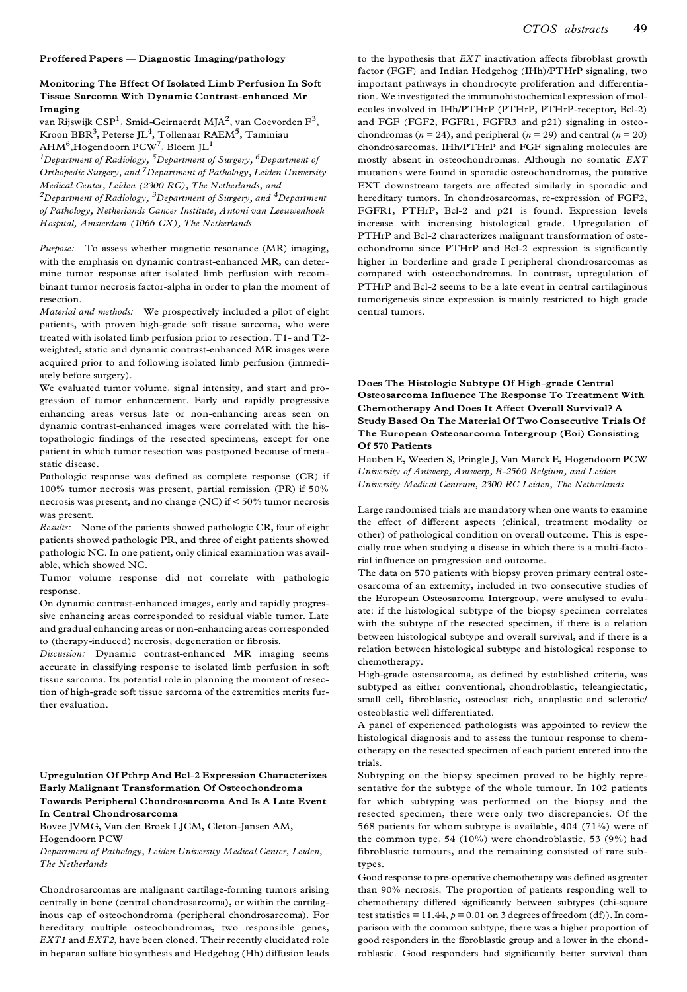#### **Proffered Papers Ð Diagnostic Imaging/pathology**

### **Monitoring The Effect Of Isolated Limb Perfusion In Soft Tissue Sarcoma With Dynamic Contrast-enhanced Mr Imaging**

van Rijswijk  $\mathrm{CSP}^1, \mathrm{Smid}\text{-}\mathrm{Geirnaerdt}\text{~MJA}^2,$  van Coevorden  $\mathrm{F}^3,$ van Rijswijk CSP<sup>1</sup>, Smid-Geirnaerdt MJA<sup>2</sup>, van Coevorden F<sup>3</sup>,<br>Kroon BBR<sup>3</sup>, Peterse JL<sup>4</sup>, Tollenaar RAEM<sup>5</sup>, Taminiau AHM $\rm ^6$ ,Hogendoorn PCW $\rm ^7$ , Bloem JL $\rm ^1$ 

*<sup>1</sup>Department of Radiology, 5Department of Surgery, 6Department of Orthopedic Surgery, and 7Department of Pathology, Leiden University Medical Center, Leiden (2300 RC), The Netherlands, and* 

*<sup>2</sup>Department of Radiology, 3Department of Surgery, and 4Department of Pathology, Netherlands Cancer Institute, Antoni van Leeuwenhoek Hospital, Amsterdam (1066 CX), The Netherlands* 

*Purpose:* To assess whether magnetic resonance (MR) imaging, with the emphasis on dynamic contrast-enhanced MR, can determine tumor response after isolated limb perfusion with recom binant tumor necrosis factor-alpha in order to plan the moment of resection.

*Material and methods:* We prospectively included a pilot of eight patients, with proven high-grade soft tissue sarcoma, who were treated with isolated limb perfusion prior to resection. T1- and T2 weighted, static and dynamic contrast-enhanced MR images were acquired prior to and following isolated limb perfusion (immediately before surgery).

We evaluated tumor volume, signal intensity, and start and progression of tumor enhancement. Early and rapidly progressive enhancing areas versus late or non-enhancing areas seen on dynamic contrast-enhanced images were correlated with the histopathologic findings of the resected specimens, except for one patient in which tumor resection was postponed because of metastatic disease.

Pathologic response was defined as complete response (CR) if 100% tumor necrosis was present, partial remission (PR) if 50% necrosis was present, and no change (NC) if < 50% tumor necrosis was present.

*Results:* None of the patients showed pathologic CR, four of eight patients showed pathologic PR, and three of eight patients showed pathologic NC. In one patient, only clinical examination was available, which showed NC.

Tumor volume response did not correlate with pathologic response.

On dynamic contrast-enhanced images, early and rapidly progressive enhancing areas corresponded to residual viable tumor. Late and gradual enhancing areas or non-enhancing areas corresponded to (therapy-induced) necrosis, degeneration or fibrosis.

*Discussion:* Dynamic contrast-enhanced MR imaging seems accurate in classifying response to isolated limb perfusion in soft tissue sarcoma. Its potential role in planning the moment of resection of high-grade soft tissue sarcoma of the extremities merits further evaluation.

**Upregulation Of Pthrp And Bcl-2 Expression Characterizes Early Malignant Transformation Of Osteochondroma Towards Peripheral Chondrosarcoma And Is A Late Event In Central Chondrosarcoma**

Bovee JVMG, Van den Broek LJCM, Cleton-Jansen AM, Hogendoorn PCW

*Department of Pathology, Leiden University Medical Center, Leiden, The Netherlands*

Chondrosarcomas are malignant cartilage-forming tumors arising centrally in bone (central chondrosarcoma), or within the cartilaginous cap of osteochondroma (peripheral chondrosarcoma). For hereditary multiple osteochondromas, two responsible genes, *EXT1* and *EXT2,* have been cloned. Their recently elucidated role in heparan sulfate biosynthesis and Hedgehog (Hh) diffusion leads

to the hypothesis that *EXT* inactivation affects fibroblast growth factor (FGF) and Indian Hedgehog (IHh)/PTHrP signaling, two important pathways in chondrocyte proliferation and differentiation. We investigated the immunohistochemical expression of molecules involved in IHh/PTHrP (PTHrP, PTHrP-receptor, Bcl-2) and FGF (FGF2, FGFR1, FGFR3 and p21) signaling in osteo chondromas ( $n = 24$ ), and peripheral ( $n = 29$ ) and central ( $n = 20$ ) chondrosarcomas. IHh/PTHrP and FGF signaling molecules are mostly absent in osteochondromas. Although no somatic *EXT* mutations were found in sporadic osteochondromas, the putative EXT downstream targets are affected similarly in sporadic and hereditary tumors. In chondrosarcomas, re-expression of FGF2, FGFR1, PTHrP, Bcl-2 and p21 is found. Expression levels increase with increasing histological grade. Upregulation of PTHrP and Bcl-2 characterizes malignant transformation of oste ochondroma since PTHrP and Bcl-2 expression is significantly higher in borderline and grade I peripheral chondrosarcomas as compared with osteochondromas. In contrast, upregulation of PTHrP and Bcl-2 seems to be a late event in central cartilaginous tumorigenesis since expression is mainly restricted to high grade central tumors.

### **Does The Histologic Subtype Of High-grade Central Osteosarcoma Influence The Response To Treatment With Chemotherapy And Does It Affect Overall Survival? A Study Based On The Material Of Two Consecutive Trials Of The European Osteosarcoma Intergroup (Eoi) Consisting Of 570 Patients**

Hauben E, Weeden S, Pringle J, Van Marck E, Hogendoorn PCW *University of Antwerp, Antwerp, B-2560 Belgium, and Leiden University Medical Centrum, 2300 RC Leiden, The Netherlands*

Large randomised trials are mandatory when one wants to examine the effect of different aspects (clinical, treatment modality or other) of pathological condition on overall outcome. This is especially true when studying a disease in which there is a multi-factorial influence on progression and outcome.

The data on 570 patients with biopsy proven primary central oste osarcoma of an extremity, included in two consecutive studies of the European Osteosarcoma Intergroup, were analysed to evalu ate: if the histological subtype of the biopsy specimen correlates with the subtype of the resected specimen, if there is a relation between histological subtype and overall survival, and if there is a relation between histological subtype and histological response to chemotherapy.

High-grade osteosarcoma, as defined by established criteria, was subtyped as either conventional, chondroblastic, teleangiectatic, small cell, fibroblastic, osteoclast rich, anaplastic and sclerotic/ osteoblastic well differentiated.

A panel of experienced pathologists was appointed to review the histological diagnosis and to assess the tumour response to chemotherapy on the resected specimen of each patient entered into the trials.

Subtyping on the biopsy specimen proved to be highly representative for the subtype of the whole tumour. In 102 patients for which subtyping was performed on the biopsy and the resected specimen, there were only two discrepancies. Of the 568 patients for whom subtype is available, 404 (71%) were of the common type, 54 (10%) were chondroblastic, 53 (9%) had fibroblastic tumours, and the remaining consisted of rare subtypes.

Good response to pre-operative chemotherapy was defined as greater than 90% necrosis. The proportion of patients responding well to chemotherapy differed significantly between subtypes (chi-square test statistics =  $11.44$ ,  $p = 0.01$  on 3 degrees of freedom (df)). In comparison with the common subtype, there was a higher proportion of good responders in the fibroblastic group and a lower in the chondroblastic. Good responders had significantly better survival than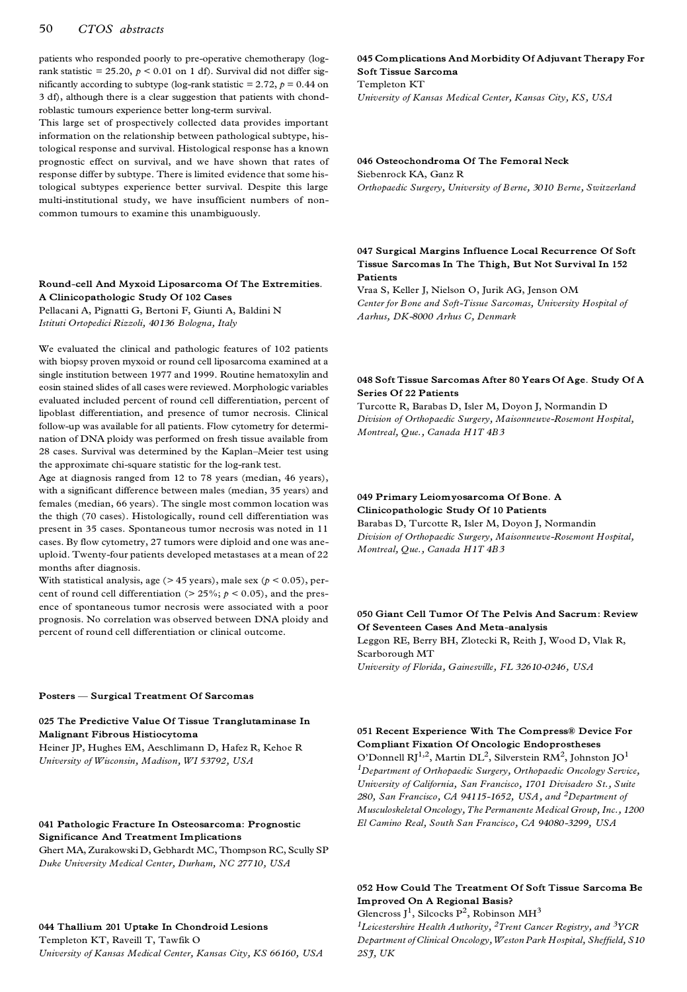### 50 *CTOS abstracts*

patients who responded poorly to pre-operative chemotherapy (logrank statistic = 25.20,  $p < 0.01$  on 1 df). Survival did not differ significantly according to subtype (log-rank statistic  $= 2.72$ ,  $p = 0.44$  on 3 df), although there is a clear suggestion that patients with chondroblastic tumours experience better long-term survival.

This large set of prospectively collected data provides important information on the relationship between pathological subtype, histological response and survival. Histological response has a known prognostic effect on survival, and we have shown that rates of response differ by subtype. There is limited evidence that some histological subtypes experience better survival. Despite this large multi-institutional study, we have insufficient numbers of non common tumours to examine this unambiguously.

### **Round-cell And Myxoid Liposarcoma Of The Extremities. A Clinicopathologic Study Of 102 Cases**

Pellacani A, Pignatti G, Bertoni F, Giunti A, Baldini N *Istituti Ortopedici Rizzoli, 40136 Bologna, Italy*

We evaluated the clinical and pathologic features of 102 patients with biopsy proven myxoid or round cell liposarcoma examined at a single institution between 1977 and 1999. Routine hematoxylin and eosin stained slides of all cases were reviewed. Morphologic variables evaluated included percent of round cell differentiation, percent of lipoblast differentiation, and presence of tumor necrosis. Clinical follow-up was available for all patients. Flow cytometry for determination of DNA ploidy was performed on fresh tissue available from 28 cases. Survival was determined by the Kaplan-Meier test using the approximate chi-square statistic for the log-rank test.

Age at diagnosis ranged from 12 to 78 years (median, 46 years), with a significant difference between males (median, 35 years) and females (median, 66 years). The single most common location was the thigh (70 cases). Histologically, round cell differentiation was present in 35 cases. Spontaneous tumor necrosis was noted in 11 cases. By flow cytometry, 27 tumors were diploid and one was ane uploid. Twenty-four patients developed metastases at a mean of 22 months after diagnosis.

With statistical analysis, age (> 45 years), male sex (*p* < 0.05), per cent of round cell differentiation ( $> 25\%$ ;  $p < 0.05$ ), and the presence of spontaneous tumor necrosis were associated with a poor prognosis. No correlation was observed between DNA ploidy and percent of round cell differentiation or clinical outcome.

#### **Posters Ð Surgical Treatment Of Sarcomas**

**025 The Predictive Value Of Tissue Tranglutaminase In Malignant Fibrous Histiocytoma**

Heiner JP, Hughes EM, Aeschlimann D, Hafez R, Kehoe R *University of Wisconsin, Madison, WI 53792, USA*

# **041 Pathologic Fracture In Osteosarcoma: Prognostic Significance And Treatment Implications**

Ghert MA, Zurakowski D, Gebhardt MC, Thompson RC, Scully SP *Duke University Medical Center, Durham, NC 27710, USA*

# **044 Thallium 201 Uptake In Chondroid Lesions**

Templeton KT, Raveill T, Tawfik O *University of Kansas Medical Center, Kansas City, KS 66160, USA*

# **045 Complications And Morbidity Of Adjuvant Therapy For Soft Tissue Sarcoma**

Templeton KT

*University of Kansas Medical Center, Kansas City, KS, USA*

### **046 Osteochondroma Of The Femoral Neck** Siebenrock KA, Ganz R *Orthopaedic Surgery, University of Berne, 3010 Berne, Switzerland*

### **047 Surgical Margins Influence Local Recurrence Of Soft Tissue Sarcomas In The Thigh, But Not Survival In 152 Patients**

Vraa S, Keller J, Nielson O, Jurik AG, Jenson OM *Center for Bone and Soft-Tissue Sarcomas, University Hospital of Aarhus, DK-8000 Arhus C, Denmark*

# **048 Soft Tissue Sarcomas After 80 Years Of Age. Study Of A Series Of 22 Patients**

Turcotte R, Barabas D, Isler M, Doyon J, Normandin D *Division of Orthopaedic Surgery, Maisonneuve-Rosemont Hospital, Montreal, Que., Canada H1T 4B3*

# **049 Primary Leiomyosarcoma Of Bone. A Clinicopathologic Study Of 10 Patients**

Barabas D, Turcotte R, Isler M, Doyon J, Normandin *Division of Orthopaedic Surgery, Maisonneuve-Rosemont Hospital, Montreal, Que., Canada H1T 4B3*

# **050 Giant Cell Tumor Of The Pelvis And Sacrum: Review Of Seventeen Cases And Meta-analysis**

Leggon RE, Berry BH, Zlotecki R, Reith J, Wood D, Vlak R, Scarborough MT *University of Florida, Gainesville, FL 32610-0246, USA*

# **051 Recent Experience With The Compress¾ Device For Compliant Fixation Of Oncologic Endoprostheses**

O'Donnell RJ $^{1,2}$ , Martin DL $^{2}$ , Silverstein RM $^{2}$ , Johnston JO $^{1}$ *<sup>1</sup>Department of Orthopaedic Surgery, Orthopaedic Oncology Service, University of California, San Francisco, 1701 Divisadero St., Suite 280, San Francisco, CA 94115-1652, USA, and 2Department of Musculoskeletal Oncology, The Permanente Medical Group, Inc., 1200 El Camino Real, South San Francisco, CA 94080-3299, USA*

# **052 How Could The Treatment Of Soft Tissue Sarcoma Be Improved On A Regional Basis?**

Glencross J  $^1$ , Silcocks P<sup>2</sup>, Robinson MH<sup>3</sup>

*<sup>1</sup>Leicestershire Health Authority, 2Trent Cancer Registry, and 3YCR Department of Clinical Oncology, Weston Park Hospital, Sheffield, S10 2SJ, UK*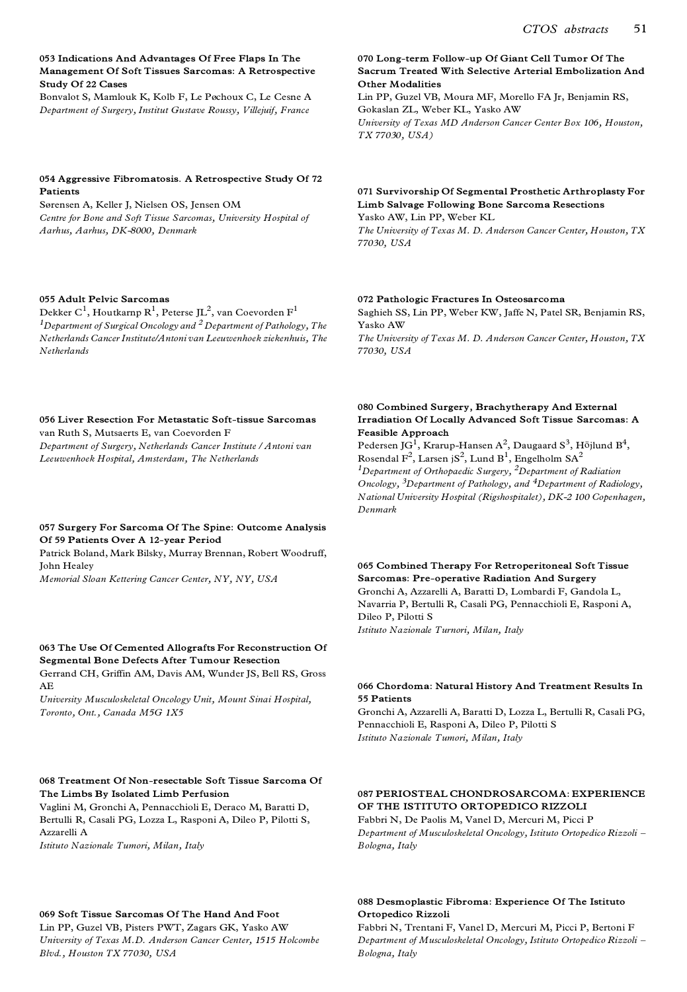## **053 Indications And Advantages Of Free Flaps In The Management Of Soft Tissues Sarcomas: A Retrospective Study Of 22 Cases**

Bonvalot S, Mamlouk K, Kolb F, Le Pøchoux C, Le Cesne A *Department of Surgery, Institut Gustave Roussy, Villejuif, France*

### **054 Aggressive Fibromatosis. A Retrospective Study Of 72 Patients**

Sørensen A, Keller J, Nielsen OS, Jensen OM *Centre for Bone and Soft Tissue Sarcomas, University Hospital of Aarhus, Aarhus, DK-8000, Denmark*

# **055 Adult Pelvic Sarcomas**

Dekker C $^1$ , Houtkarnp R $^1$ , Peterse JL $^2$ , van Coevorden F $^1$ *<sup>1</sup>Department of Surgical Oncology and <sup>2</sup> Department of Pathology, The Netherlands Cancer Institute/Antoni van Leeuwenhoek ziekenhuis, The Netherlands*

### **056 Liver Resection For Metastatic Soft-tissue Sarcomas** van Ruth S, Mutsaerts E, van Coevorden F

*Department of Surgery, Netherlands Cancer Institute / Antoni van Leeuwenhoek Hospital, Amsterdam, The Netherlands*

### **057 Surgery For Sarcoma Of The Spine: Outcome Analysis Of 59 Patients Over A 12-year Period**

Patrick Boland, Mark Bilsky, Murray Brennan, Robert Woodruff, John Healey

*Memorial Sloan Kettering Cancer Center, NY, NY, USA*

# **063 The Use Of Cemented Allografts For Reconstruction Of Segmental Bone Defects After Tumour Resection**

Gerrand CH, Griffin AM, Davis AM, Wunder JS, Bell RS, Gross AE

*University Musculoskeletal Oncology Unit, Mount Sinai Hospital, Toronto, Ont., Canada M5G 1X5*

# **068 Treatment Of Non-resectable Soft Tissue Sarcoma Of The Limbs By Isolated Limb Perfusion**

Vaglini M, Gronchi A, Pennacchioli E, Deraco M, Baratti D, Bertulli R, Casali PG, Lozza L, Rasponi A, Dileo P, Pilotti S, Azzarelli A *Istituto Nazionale Tumori, Milan, Italy*

# **069 Soft Tissue Sarcomas Of The Hand And Foot**

Lin PP, Guzel VB, Pisters PWT, Zagars GK, Yasko AW *University of Texas M.D. Anderson Cancer Center, 1515 Holcombe Blvd., Houston TX 77030, USA*

### **070 Long-term Follow-up Of Giant Cell Tumor Of The Sacrum Treated With Selective Arterial Embolization And Other Modalities**

Lin PP, Guzel VB, Moura MF, Morello FA Jr, Benjamin RS, Gokaslan ZL, Weber KL, Yasko AW *University of Texas MD Anderson Cancer Center Box 106, Houston, TX 77030, USA)*

### **071 Survivorship Of Segmental Prosthetic Arthroplasty For Limb Salvage Following Bone Sarcoma Resections** Yasko AW, Lin PP, Weber KL

*The University of Texas M. D. Anderson Cancer Center, Houston, TX 77030, USA*

# **072 Pathologic Fractures In Osteosarcoma**

Saghieh SS, Lin PP, Weber KW, Jaffe N, Patel SR, Benjamin RS, Yasko AW

*The University of Texas M. D. Anderson Cancer Center, Houston, TX 77030, USA*

### **080 Combined Surgery, Brachytherapy And External Irradiation Of Locally Advanced Soft Tissue Sarcomas: A Feasible Approach**

Pedersen J $\mathrm{G}^1$ , Krarup-Hansen A $^2$ , Daugaard S $^3$ , Höjlund B $^4$ , Pedersen JG<sup>1</sup>, Krarup-Hansen A<sup>2</sup>, Daugaard S<sup>3</sup>, Höjlund B<sup>4</sup>,<br>Rosendal F<sup>2</sup>, Larsen jS<sup>2</sup>, Lund B<sup>1</sup>, Engelholm SA<sup>2</sup> *<sup>1</sup>Department of Orthopaedic Surgery, 2Department of Radiation Oncology, 3Department of Pathology, and 4Department of Radiology, National University Hospital (Rigshospitalet), DK-2 100 Copenhagen, Denmark*

### **065 Combined Therapy For Retroperitoneal Soft Tissue Sarcomas: Pre-operative Radiation And Surgery** Gronchi A, Azzarelli A, Baratti D, Lombardi F, Gandola L,

Navarria P, Bertulli R, Casali PG, Pennacchioli E, Rasponi A, Dileo P, Pilotti S *Istituto Nazionale Turnori, Milan, Italy*

### **066 Chordoma: Natural History And Treatment Results In 55 Patients**

Gronchi A, Azzarelli A, Baratti D, Lozza L, Bertulli R, Casali PG, Pennacchioli E, Rasponi A, Dileo P, Pilotti S *Istituto Nazionale Tumori, Milan, Italy*

# **087 PERIOSTEAL CHONDROSARCOMA: EXPERIENCE OF THE ISTITUTO ORTOPEDICO RIZZOLI**

Fabbri N, De Paolis M, Vanel D, Mercuri M, Picci P *Department of Musculoskeletal Oncology, Istituto Ortopedico Rizzoli ± Bologna, Italy*

# **088 Desmoplastic Fibroma: Experience Of The Istituto Ortopedico Rizzoli**

Fabbri N, Trentani F, Vanel D, Mercuri M, Picci P, Bertoni F *Department of Musculoskeletal Oncology, Istituto Ortopedico Rizzoli ± Bologna, Italy*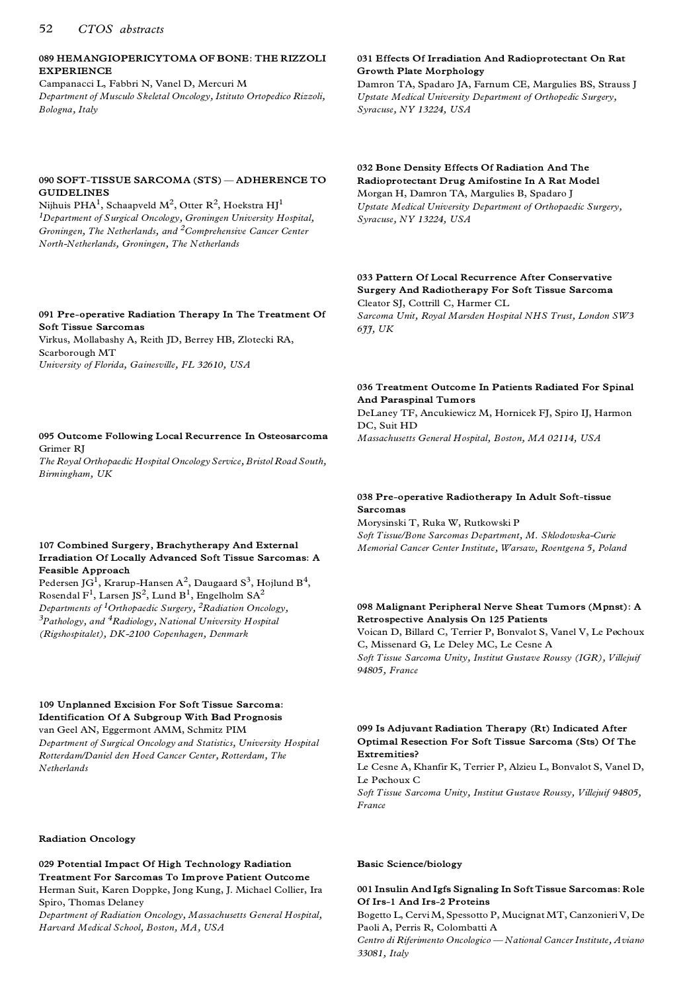### **089 HEMANGIOPERICYTOMA OF BONE: THE RIZZOLI EXPERIENCE**

Campanacci L, Fabbri N, Vanel D, Mercuri M *Department of Musculo Skeletal Oncology, Istituto Ortopedico Rizzoli, Bologna, Italy*

# **031 Effects Of Irradiation And Radioprotectant On Rat Growth Plate Morphology**

Damron TA, Spadaro JA, Farnum CE, Margulies BS, Strauss J *Upstate Medical University Department of Orthopedic Surgery, Syracuse, NY 13224, USA*

### 090 SOFT-TISSUE SARCOMA (STS) - ADHERENCE TO **GUIDELINES**

Nijhuis PHA $^{\rm l}$ , Schaapveld M $^{\rm 2}$ , Otter R $^{\rm 2}$ , Hoekstra HJ $^{\rm l}$ *<sup>1</sup>Department of Surgical Oncology, Groningen University Hospital, Groningen, The Netherlands, and 2Comprehensive Cancer Center North-Netherlands, Groningen, The Netherlands*

# **032 Bone Density Effects Of Radiation And The Radioprotectant Drug Amifostine In A Rat Model** Morgan H, Damron TA, Margulies B, Spadaro J

*Upstate Medical University Department of Orthopaedic Surgery, Syracuse, NY 13224, USA*

### **033 Pattern Of Local Recurrence After Conservative Surgery And Radiotherapy For Soft Tissue Sarcoma** Cleator SJ, Cottrill C, Harmer CL

*Sarcoma Unit, Royal Marsden Hospital NHS Trust, London SW3 6JJ, UK*

# **036 Treatment Outcome In Patients Radiated For Spinal And Paraspinal Tumors**

DeLaney TF, Ancukiewicz M, Hornicek FJ, Spiro IJ, Harmon DC, Suit HD

*Massachusetts General Hospital, Boston, MA 02114, USA*

### **038 Pre-operative Radiotherapy In Adult Soft-tissue Sarcomas**

Morysinski T, Ruka W, Rutkowski P *Soft Tissue/Bone Sarcomas Department, M. Sklodowska-Curie Memorial Cancer Center Institute, Warsaw, Roentgena 5, Poland*

# **098 Malignant Peripheral Nerve Sheat Tumors (Mpnst): A Retrospective Analysis On 125 Patients**

Voican D, Billard C, Terrier P, Bonvalot S, Vanel V, Le Pøchoux C, Missenard G, Le Deley MC, Le Cesne A *Soft Tissue Sarcoma Unity, Institut Gustave Roussy (IGR), Villejuif 94805, France*

### **099 Is Adjuvant Radiation Therapy (Rt) Indicated After Optimal Resection For Soft Tissue Sarcoma (Sts) Of The Extremities?**

Le Cesne A, Khanfir K, Terrier P, Alzieu L, Bonvalot S, Vanel D, Le Pøchoux C

*Soft Tissue Sarcoma Unity, Institut Gustave Roussy, Villejuif 94805, France*

### **Basic Science/biology**

### **001 Insulin And Igfs Signaling In Soft Tissue Sarcomas: Role Of Irs-1 And Irs-2 Proteins**

Bogetto L, Cervi M, Spessotto P, Mucignat MT, Canzonieri V, De Paoli A, Perris R, Colombatti A *Centro di Riferimento Oncologico Ð National Cancer Institute, Aviano 33081, Italy* 

# **Soft Tissue Sarcomas** Virkus, Mollabashy A, Reith JD, Berrey HB, Zlotecki RA, Scarborough MT

**091 Pre-operative Radiation Therapy In The Treatment Of** 

*University of Florida, Gainesville, FL 32610, USA*

### **095 Outcome Following Local Recurrence In Osteosarcoma** Grimer RJ

*The Royal Orthopaedic Hospital Oncology Service, Bristol Road South, Birmingham, UK*

# **107 Combined Surgery, Brachytherapy And External Irradiation Of Locally Advanced Soft Tissue Sarcomas: A Feasible Approach**

Pedersen J $G^1$ , Krarup-Hansen A $^2$ , Daugaard S $^3$ , Hojlund B $^4$ ,<br>Rosendal F $^1$ , Larsen JS $^2$ , Lund B $^1$ , Engelholm SA $^2$  $^1$ , Larsen JS $^2$ , Lund B $^1$ , Engelholm SA $^2$ *Departments of 1Orthopaedic Surgery, 2Radiation Oncology, <sup>3</sup>Pathology, and 4Radiology, National University Hospital (Rigshospitalet), DK-2100 Copenhagen, Denmark* 

### **109 Unplanned Excision For Soft Tissue Sarcoma: Identification Of A Subgroup With Bad Prognosis** van Geel AN, Eggermont AMM, Schmitz PIM *Department of Surgical Oncology and Statistics, University Hospital*

*Rotterdam/Daniel den Hoed Cancer Center, Rotterdam, The Netherlands*

### **Radiation Oncology**

# **029 Potential Impact Of High Technology Radiation Treatment For Sarcomas To Improve Patient Outcome** Herman Suit, Karen Doppke, Jong Kung, J. Michael Collier, Ira

Spiro, Thomas Delaney *Department of Radiation Oncology, Massachusetts General Hospital, Harvard Medical School, Boston, MA, USA*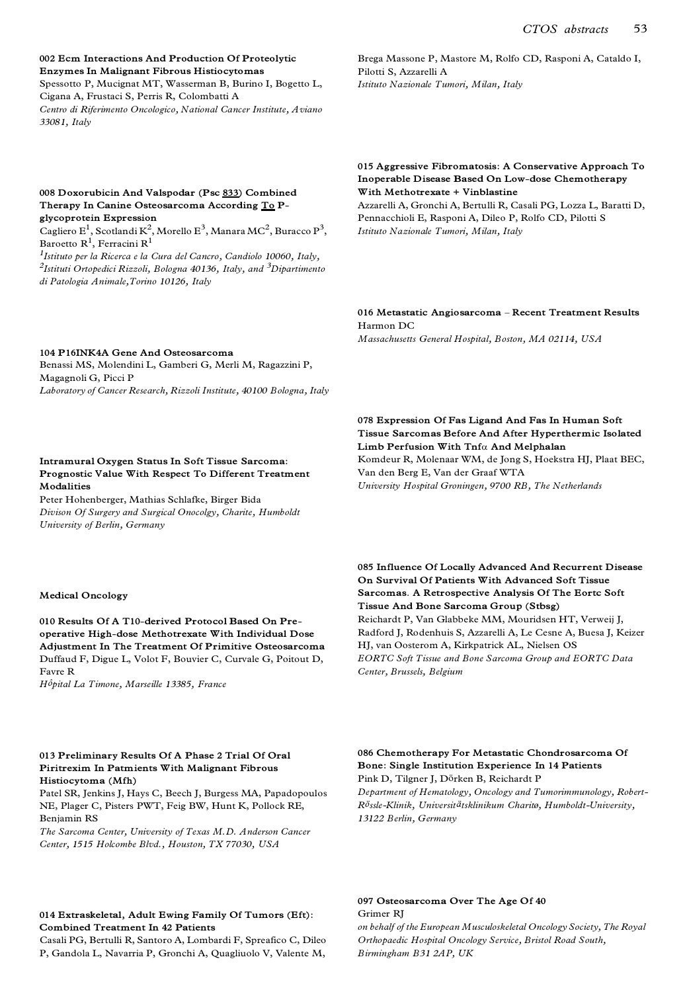### **002 Ecm Interactions And Production Of Proteolytic Enzymes In Malignant Fibrous Histiocytomas**

**008 Doxorubicin And Valspodar (Psc 833) Combined Therapy In Canine Osteosarcoma According To P-**

Cagliero E<sup>1</sup>, Scotlandi K<sup>2</sup>, Morello E<sup>3</sup>, Manara MC<sup>2</sup>, Buracco P<sup>3</sup>,<br>Baroetto R<sup>1</sup>, Ferracini R<sup>1</sup>

*1 Istituto per la Ricerca e la Cura del Cancro, Candiolo 10060, Italy, 2 Istituti Ortopedici Rizzoli, Bologna 40136, Italy, and 3Dipartimento* 

Spessotto P, Mucignat MT, Wasserman B, Burino I, Bogetto L, Cigana A, Frustaci S, Perris R, Colombatti A *Centro di Riferimento Oncologico, National Cancer Institute, Aviano 33081, Italy* 

### Brega Massone P, Mastore M, Rolfo CD, Rasponi A, Cataldo I, Pilotti S, Azzarelli A *Istituto Nazionale Tumori, Milan, Italy*

### **015 Aggressive Fibromatosis: A Conservative Approach To Inoperable Disease Based On Low-dose Chemotherapy With Methotrexate + Vinblastine**

Azzarelli A, Gronchi A, Bertulli R, Casali PG, Lozza L, Baratti D, Pennacchioli E, Rasponi A, Dileo P, Rolfo CD, Pilotti S *Istituto Nazionale Tumori, Milan, Italy*

### 016 Metastatic Angiosarcoma - Recent Treatment Results Harmon DC

*Massachusetts General Hospital, Boston, MA 02114, USA*

### **104 P16INK4A Gene And Osteosarcoma**

 $^{\rm l}$ , Ferracini R $^{\rm l}$ 

*di Patologia Animale,Torino 10126, Italy*

**glycoprotein Expression**

Benassi MS, Molendini L, Gamberi G, Merli M, Ragazzini P, Magagnoli G, Picci P *Laboratory of Cancer Research, Rizzoli Institute, 40100 Bologna, Italy*

### **Intramural Oxygen Status In Soft Tissue Sarcoma: Prognostic Value With Respect To Different Treatment Modalities**

Peter Hohenberger, Mathias Schlafke, Birger Bida *Divison Of Surgery and Surgical Onocolgy, Charite, Humboldt University of Berlin, Germany*

### **Medical Oncology**

**010 Results Of A T10-derived Protocol Based On Preoperative High-dose Methotrexate With Individual Dose Adjustment In The Treatment Of Primitive Osteosarcoma** Duffaud F, Digue L, Volot F, Bouvier C, Curvale G, Poitout D, Favre R

*Hôpital La Timone, Marseille 13385, France*

### **013 Preliminary Results Of A Phase 2 Trial Of Oral Piritrexim In Patmients With Malignant Fibrous Histiocytoma (Mfh)**

Patel SR, Jenkins J, Hays C, Beech J, Burgess MA, Papadopoulos NE, Plager C, Pisters PWT, Feig BW, Hunt K, Pollock RE, Benjamin RS

*The Sarcoma Center, University of Texas M.D. Anderson Cancer Center, 1515 Holcombe Blvd., Houston, TX 77030, USA*

### **014 Extraskeletal, Adult Ewing Family Of Tumors (Eft): Combined Treatment In 42 Patients**

Casali PG, Bertulli R, Santoro A, Lombardi F, Spreafico C, Dileo P, Gandola L, Navarria P, Gronchi A, Quagliuolo V, Valente M,

# **078 Expression Of Fas Ligand And Fas In Human Soft Tissue Sarcomas Before And After Hyperthermic Isolated Limb Perfusion With Tnf**a **And Melphalan**

Komdeur R, Molenaar WM, de Jong S, Hoekstra HJ, Plaat BEC, Van den Berg E, Van der Graaf WTA

*University Hospital Groningen, 9700 RB, The Netherlands*

# **085 Influence Of Locally Advanced And Recurrent Disease On Survival Of Patients With Advanced Soft Tissue Sarcomas. A Retrospective Analysis Of The Eortc Soft Tissue And Bone Sarcoma Group (Stbsg)** Reichardt P, Van Glabbeke MM, Mouridsen HT, Verweij J,

Radford J, Rodenhuis S, Azzarelli A, Le Cesne A, Buesa J, Keizer HJ, van Oosterom A, Kirkpatrick AL, Nielsen OS *EORTC Soft Tissue and Bone Sarcoma Group and EORTC Data Center, Brussels, Belgium*

### **086 Chemotherapy For Metastatic Chondrosarcoma Of Bone: Single Institution Experience In 14 Patients** Pink D, Tilgner J, Dörken B, Reichardt P

*Department of Hematology, Oncology and Tumorimmunology, Robert-<sup>R</sup>össle-Klinik, Universit<sup>ä</sup>tsklinikum Charitù, Humboldt-University, 13122 Berlin, Germany*

### **097 Osteosarcoma Over The Age Of 40** Grimer RJ

*on behalf of the European Musculoskeletal Oncology Society, The Royal Orthopaedic Hospital Oncology Service, Bristol Road South, Birmingham B31 2AP, UK*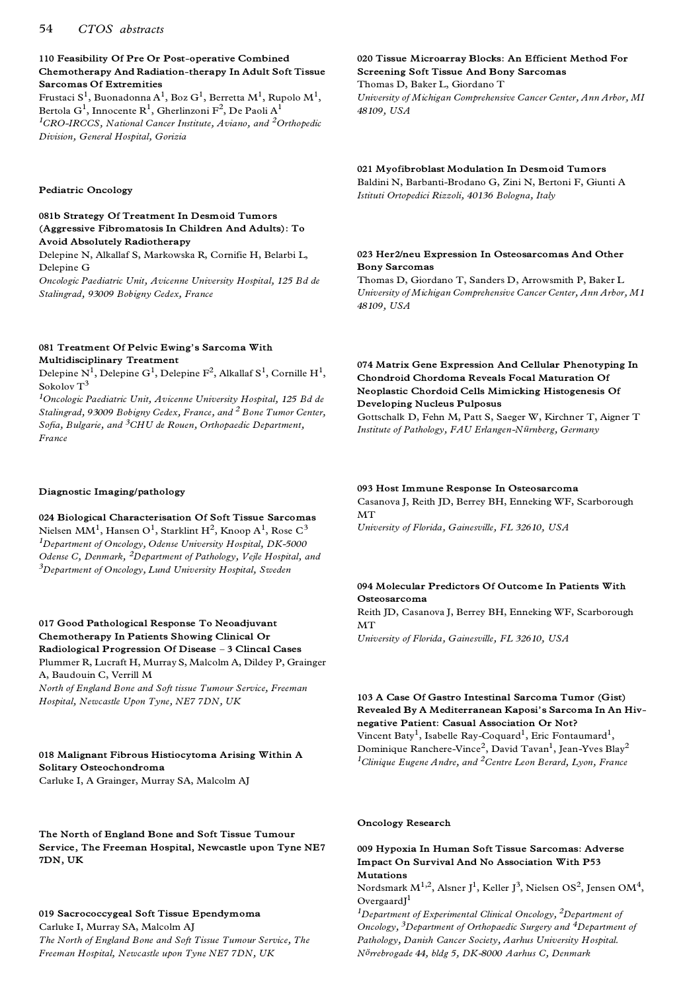# 54 *CTOS abstracts*

### **110 Feasibility Of Pre Or Post-operative Combined Chemotherapy And Radiation-therapy In Adult Soft Tissue Sarcomas Of Extremities**

Frustaci  $\mathrm{S}^1,$  Buonadonna A $^1,$  Boz  $\mathrm{G}^1,$  Berretta  $\mathrm{M}^1,$  Rupolo  $\mathrm{M}^1,$ Frustaci S<sup>1</sup>, Buonadonna A<sup>1</sup>, Boz G<sup>1</sup>, Berretta M<sup>1</sup>, Rupolo M<sup>1</sup>,<br>Bertola G<sup>1</sup>, Innocente R<sup>1</sup>, Gherlinzoni F<sup>2</sup>, De Paoli A<sup>1</sup> *<sup>1</sup>CRO-IRCCS, National Cancer Institute, Aviano, and 2Orthopedic Division, General Hospital, Gorizia*

# **Pediatric Oncology**

# **081b Strategy Of Treatment In Desmoid Tumors (Aggressive Fibromatosis In Children And Adults): To Avoid Absolutely Radiotherapy**

Delepine N, Alkallaf S, Markowska R, Cornifie H, Belarbi L, Delepine G

*Oncologic Paediatric Unit, Avicenne University Hospital, 125 Bd de Stalingrad, 93009 Bobigny Cedex, France*

# **081 Treatment Of Pelvic Ewing' s Sarcoma With Multidisciplinary Treatment**

Delepine  $N^1$ , Delepine  $G^1$ , Delepine  $F^2$ , Alkallaf  $S^1$ , Cornille  $H^1$ ,<br>Sokolov  $T^3$ Sokolov $\text{T}^3$ 

*<sup>1</sup>Oncologic Paediatric Unit, Avicenne University Hospital, 125 Bd de Stalingrad, 93009 Bobigny Cedex, France, and <sup>2</sup> Bone Tumor Center, Sofia, Bulgarie, and 3CHU de Rouen, Orthopaedic Department, France*

# **Diagnostic Imaging/pathology**

**024 Biological Characterisation Of Soft Tissue Sarcomas** Nielsen MM $^1$ , Hansen O $^1$ , Starklint H $^2$ , Knoop A $^1$ , Rose C $^3$ *<sup>1</sup>Department of Oncology, Odense University Hospital, DK-5000 Odense C, Denmark, 2Department of Pathology, Vejle Hospital, and <sup>3</sup>Department of Oncology, Lund University Hospital, Sweden*

# **017 Good Pathological Response To Neoadjuvant Chemotherapy In Patients Showing Clinical Or Radiological Progression Of Disease ± 3 Clincal Cases** Plummer R, Lucraft H, Murray S, Malcolm A, Dildey P, Grainger A, Baudouin C, Verrill M

*North of England Bone and Soft tissue Tumour Service, Freeman Hospital, Newcastle Upon Tyne, NE7 7DN, UK*

# **018 Malignant Fibrous Histiocytoma Arising Within A Solitary Osteochondroma**

Carluke I, A Grainger, Murray SA, Malcolm AJ

**The North of England Bone and Soft Tissue Tumour Service, The Freeman Hospital, Newcastle upon Tyne NE7 7DN, UK**

# **019 Sacrococcygeal Soft Tissue Ependymoma**

Carluke I, Murray SA, Malcolm AJ *The North of England Bone and Soft Tissue Tumour Service, The Freeman Hospital, Newcastle upon Tyne NE7 7DN, UK*

# **020 Tissue Microarray Blocks: An Efficient Method For Screening Soft Tissue And Bony Sarcomas**

Thomas D, Baker L, Giordano T *University of Michigan Comprehensive Cancer Center, Ann Arbor, MI 48109, USA*

# **021 Myofibroblast Modulation In Desmoid Tumors**

Baldini N, Barbanti-Brodano G, Zini N, Bertoni F, Giunti A *Istituti Ortopedici Rizzoli, 40136 Bologna, Italy*

# **023 Her2/neu Expression In Osteosarcomas And Other Bony Sarcomas**

Thomas D, Giordano T, Sanders D, Arrowsmith P, Baker L *University of Michigan Comprehensive Cancer Center, Ann Arbor, M1 48109, USA*

# **074 Matrix Gene Expression And Cellular Phenotyping In Chondroid Chordoma Reveals Focal Maturation Of Neoplastic Chordoid Cells Mimicking Histogenesis Of Developing Nucleus Pulposus**

Gottschalk D, Fehn M, Patt S, Saeger W, Kirchner T, Aigner T *Institute of Pathology, FAU Erlangen-Nürnberg, Germany*

# **093 Host Immune Response In Osteosarcoma**

Casanova J, Reith JD, Berrey BH, Enneking WF, Scarborough MT

*University of Florida, Gainesville, FL 32610, USA*

# **094 Molecular Predictors Of Outcome In Patients With Osteosarcoma**

Reith JD, Casanova J, Berrey BH, Enneking WF, Scarborough MT

*University of Florida, Gainesville, FL 32610, USA*

# **103 A Case Of Gastro Intestinal Sarcoma Tumor (Gist) Revealed By A Mediterranean Kaposi' s Sarcoma In An Hivnegative Patient: Casual Association Or Not?**

Vincent Baty $^{\rm l}$ , Isabelle Ray-Coquard $^{\rm l}$ , Eric Fontaumard $^{\rm l}$ , Vincent Baty<sup>1</sup>, Isabelle Ray-Coquard<sup>1</sup>, Eric Fontaumard<sup>1</sup>,<br>Dominique Ranchere-Vince<sup>2</sup>, David Tavan<sup>1</sup>, Jean-Yves Blay<sup>2</sup> *<sup>1</sup>Clinique Eugene Andre, and 2Centre Leon Berard, Lyon, France*

# **Oncology Research**

**009 Hypoxia In Human Soft Tissue Sarcomas: Adverse Impact On Survival And No Association With P53 Mutations**

Nordsmark M<sup>1,2</sup>, Alsner J<sup>1</sup>, Keller J<sup>3</sup>, Nielsen OS<sup>2</sup>, Jensen OM<sup>4</sup>,<br>OvergaardJ<sup>1</sup>

*<sup>1</sup>Department of Experimental Clinical Oncology, 2Department of Oncology, 3Department of Orthopaedic Surgery and 4Department of Pathology, Danish Cancer Society, Aarhus University Hospital. Nörrebrogade 44, bldg 5, DK-8000 Aarhus C, Denmark*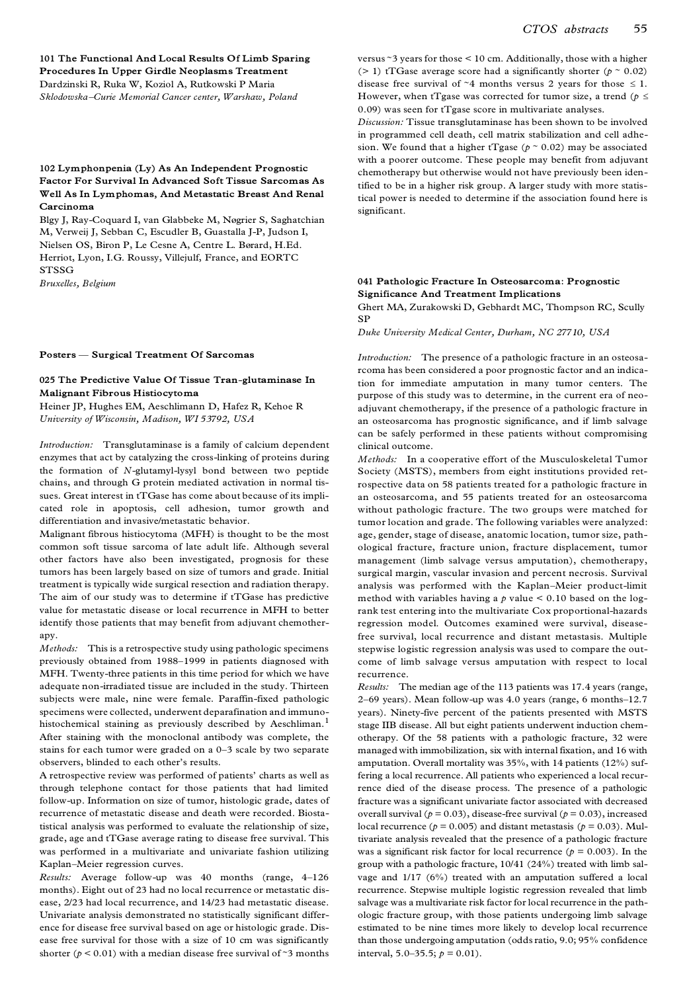**101 The Functional And Local Results Of Limb Sparing Procedures In Upper Girdle Neoplasms Treatment** Dardzinski R, Ruka W, Koziol A, Rutkowski P Maria *Sklodowska±Curie Memorial Cancer center, Warshaw, Poland*

### **102 Lymphonpenia (Ly) As An Independent Prognostic Factor For Survival In Advanced Soft Tissue Sarcomas As Well As In Lymphomas, And Metastatic Breast And Renal Carcinoma**

Blgy J, Ray-Coquard I, van Glabbeke M, Nøgrier S, Saghatchian M, Verweij J, Sebban C, Escudler B, Guastalla J-P, Judson I, Nielsen OS, Biron P, Le Cesne A, Centre L. Børard, H.Ed. Herriot, Lyon, I.G. Roussy, Villejulf, France, and EORTC **STSSG** 

*Bruxelles, Belgium*

#### **Posters Ð Surgical Treatment Of Sarcomas**

### **025 The Predictive Value Of Tissue Tran-glutaminase In Malignant Fibrous Histiocytoma**

Heiner JP, Hughes EM, Aeschlimann D, Hafez R, Kehoe R *University of Wisconsin, Madison, WI 53792, USA*

*Introduction:* Transglutaminase is a family of calcium dependent enzymes that act by catalyzing the cross-linking of proteins during the formation of *N*-glutamyl-lysyl bond between two peptide chains, and through G protein mediated activation in normal tissues. Great interest in tTGase has come about because of its implicated role in apoptosis, cell adhesion, tumor growth and differentiation and invasive/metastatic behavior.

Malignant fibrous histiocytoma (MFH) is thought to be the most common soft tissue sarcoma of late adult life. Although several other factors have also been investigated, prognosis for these tumors has been largely based on size of tumors and grade. Initial treatment is typically wide surgical resection and radiation therapy. The aim of our study was to determine if tTGase has predictive value for metastatic disease or local recurrence in MFH to better identify those patients that may benefit from adjuvant chemotherapy.

*Methods:* This is a retrospective study using pathologic specimens previously obtained from 1988-1999 in patients diagnosed with MFH. Twenty-three patients in this time period for which we have adequate non-irradiated tissue are included in the study. Thirteen subjects were male, nine were female. Paraffin-fixed pathologic specimens were collected, underwent deparafination and immunohistochemical staining as previously described by Aeschliman.<sup>1</sup> After staining with the monoclonal antibody was complete, the stains for each tumor were graded on a  $0-3$  scale by two separate observers, blinded to each other's results.

A retrospective review was performed of patients' charts as well as through telephone contact for those patients that had limited follow-up. Information on size of tumor, histologic grade, dates of recurrence of metastatic disease and death were recorded. Biostatistical analysis was performed to evaluate the relationship of size, grade, age and tTGase average rating to disease free survival. This was performed in a multivariate and univariate fashion utilizing Kaplan-Meier regression curves.

*Results:* Average follow-up was 40 months (range, 4-126 months). Eight out of 23 had no local recurrence or metastatic disease, 2/23 had local recurrence, and 14/23 had metastatic disease. Univariate analysis demonstrated no statistically significant differ ence for disease free survival based on age or histologic grade. Dis ease free survival for those with a size of 10 cm was significantly shorter ( $p < 0.01$ ) with a median disease free survival of  $\sim$ 3 months versus ~3 years for those < 10 cm. Additionally, those with a higher ( $> 1$ ) tTGase average score had a significantly shorter ( $p \sim 0.02$ ) disease free survival of  $~4$  months versus 2 years for those  $~\leq$  1. However, when tTgase was corrected for tumor size, a trend ( $p \leq$ 0.09) was seen for tTgase score in multivariate analyses.

*Discussion:* Tissue transglutaminase has been shown to be involved in programmed cell death, cell matrix stabilization and cell adhesion. We found that a higher tTgase ( $p \approx 0.02$ ) may be associated with a poorer outcome. These people may benefit from adjuvant chemotherapy but otherwise would not have previously been identified to be in a higher risk group. A larger study with more statistical power is needed to determine if the association found here is significant.

### **041 Pathologic Fracture In Osteosarcoma: Prognostic Significance And Treatment Implications**

Ghert MA, Zurakowski D, Gebhardt MC, Thompson RC, Scully SP

*Duke University Medical Center, Durham, NC 27710, USA*

*Introduction:* The presence of a pathologic fracture in an osteosarcoma has been considered a poor prognostic factor and an indication for immediate amputation in many tumor centers. The purpose of this study was to determine, in the current era of neo adjuvant chemotherapy, if the presence of a pathologic fracture in an osteosarcoma has prognostic significance, and if limb salvage can be safely performed in these patients without compromising clinical outcome.

*Methods:* In a cooperative effort of the Musculoskeletal Tumor Society (MSTS), members from eight institutions provided retrospective data on 58 patients treated for a pathologic fracture in an osteosarcoma, and 55 patients treated for an osteosarcoma without pathologic fracture. The two groups were matched for tumor location and grade. The following variables were analyzed: age, gender, stage of disease, anatomic location, tumor size, pathological fracture, fracture union, fracture displacement, tumor management (limb salvage versus amputation), chemotherapy, surgical margin, vascular invasion and percent necrosis. Survival analysis was performed with the Kaplan-Meier product-limit method with variables having a  $p$  value < 0.10 based on the logrank test entering into the multivariate Cox proportional-hazards regression model. Outcomes examined were survival, diseasefree survival, local recurrence and distant metastasis. Multiple stepwise logistic regression analysis was used to compare the out come of limb salvage versus amputation with respect to local recurrence.

*Results:* The median age of the 113 patients was 17.4 years (range, 2-69 years). Mean follow-up was 4.0 years (range, 6 months-12.7 years). Ninety-five percent of the patients presented with MSTS stage IIB disease. All but eight patients underwent induction chemotherapy. Of the 58 patients with a pathologic fracture, 32 were managed with immobilization, six with internal fixation, and 16 with amputation. Overall mortality was 35%, with 14 patients (12%) suffering a local recurrence. All patients who experienced a local recurrence died of the disease process. The presence of a pathologic fracture was a significant univariate factor associated with decreased overall survival (*p* = 0.03), disease-free survival (*p* = 0.03), increased local recurrence ( $p = 0.005$ ) and distant metastasis ( $p = 0.03$ ). Multivariate analysis revealed that the presence of a pathologic fracture was a significant risk factor for local recurrence ( $p = 0.003$ ). In the group with a pathologic fracture, 10/41 (24%) treated with limb salvage and 1/17 (6%) treated with an amputation suffered a local recurrence. Stepwise multiple logistic regression revealed that limb salvage was a multivariate risk factor for local recurrence in the pathologic fracture group, with those patients undergoing limb salvage estimated to be nine times more likely to develop local recurrence than those undergoing amputation (odds ratio, 9.0; 95% confidence interval, 5.0–35.5;  $p = 0.01$ ).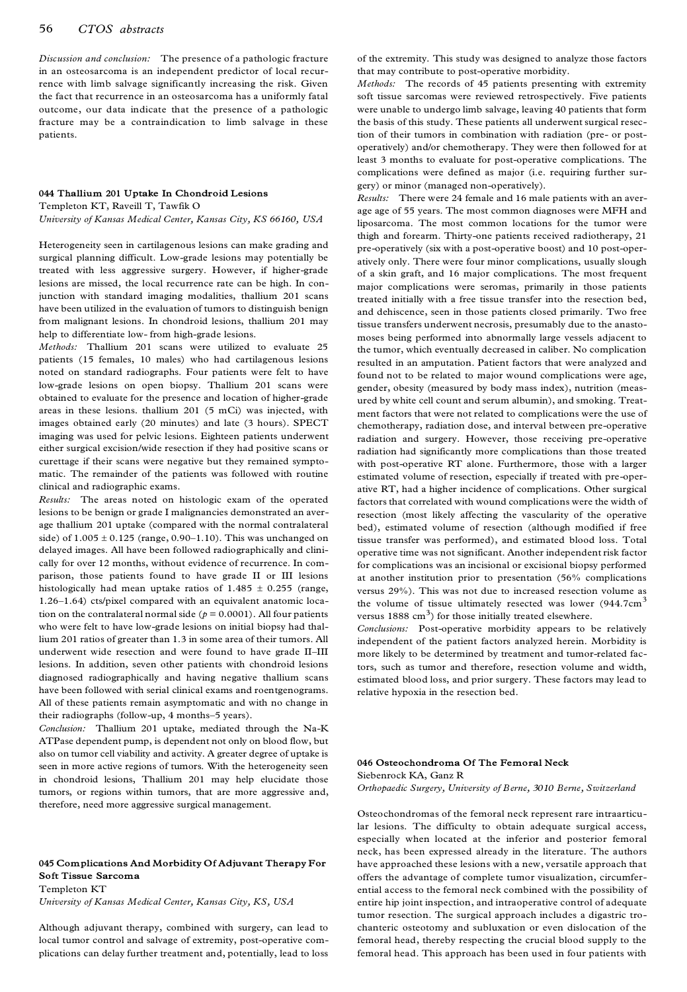*Discussion and conclusion:* The presence of a pathologic fracture in an osteosarcoma is an independent predictor of local recurrence with limb salvage significantly increasing the risk. Given the fact that recurrence in an osteosarcoma has a uniformly fatal outcome, our data indicate that the presence of a pathologic fracture may be a contraindication to limb salvage in these patients.

#### **044 Thallium 201 Uptake In Chondroid Lesions**

Templeton KT, Raveill T, Tawfik O *University of Kansas Medical Center, Kansas City, KS 66160, USA*

Heterogeneity seen in cartilagenous lesions can make grading and surgical planning difficult. Low-grade lesions may potentially be treated with less aggressive surgery. However, if higher-grade lesions are missed, the local recurrence rate can be high. In conjunction with standard imaging modalities, thallium 201 scans have been utilized in the evaluation of tumors to distinguish benign from malignant lesions. In chondroid lesions, thallium 201 may help to differentiate low- from high-grade lesions.

*Methods:* Thallium 201 scans were utilized to evaluate 25 patients (15 females, 10 males) who had cartilagenous lesions noted on standard radiographs. Four patients were felt to have low-grade lesions on open biopsy. Thallium 201 scans were obtained to evaluate for the presence and location of higher-grade areas in these lesions. thallium 201 (5 mCi) was injected, with images obtained early (20 minutes) and late (3 hours). SPECT imaging was used for pelvic lesions. Eighteen patients underwent either surgical excision/wide resection if they had positive scans or curettage if their scans were negative but they remained symptomatic. The remainder of the patients was followed with routine clinical and radiographic exams.

*Results:* The areas noted on histologic exam of the operated lesions to be benign or grade I malignancies demonstrated an aver age thallium 201 uptake (compared with the normal contralateral side) of  $1.005 \pm 0.125$  (range, 0.90–1.10). This was unchanged on delayed images. All have been followed radiographically and clinically for over 12 months, without evidence of recurrence. In com parison, those patients found to have grade II or III lesions histologically had mean uptake ratios of  $1.485 \pm 0.255$  (range, 1.26-1.64) cts/pixel compared with an equivalent anatomic location on the contralateral normal side ( $p = 0.0001$ ). All four patients who were felt to have low-grade lesions on initial biopsy had thallium 201 ratios of greater than 1.3 in some area of their tumors. All underwent wide resection and were found to have grade II-III lesions. In addition, seven other patients with chondroid lesions diagnosed radiographically and having negative thallium scans have been followed with serial clinical exams and roentgenograms. All of these patients remain asymptomatic and with no change in their radiographs (follow-up, 4 months-5 years).

*Conclusion:* Thallium 201 uptake, mediated through the Na-K ATPase dependent pump, is dependent not only on blood flow, but also on tumor cell viability and activity. A greater degree of uptake is seen in more active regions of tumors. With the heterogeneity seen in chondroid lesions, Thallium 201 may help elucidate those tumors, or regions within tumors, that are more aggressive and, therefore, need more aggressive surgical management.

### **045 Complications And Morbidity Of Adjuvant Therapy For Soft Tissue Sarcoma** Templeton KT

*University of Kansas Medical Center, Kansas City, KS, USA*

Although adjuvant therapy, combined with surgery, can lead to local tumor control and salvage of extremity, post-operative com plications can delay further treatment and, potentially, lead to loss of the extremity. This study was designed to analyze those factors that may contribute to post-operative morbidity.

*Methods:* The records of 45 patients presenting with extremity soft tissue sarcomas were reviewed retrospectively. Five patients were unable to undergo limb salvage, leaving 40 patients that form the basis of this study. These patients all underwent surgical resection of their tumors in combination with radiation (pre- or postoperatively) and/or chemotherapy. They were then followed for at least 3 months to evaluate for post-operative complications. The complications were defined as major (i.e. requiring further sur gery) or minor (managed non-operatively).

*Results:* There were 24 female and 16 male patients with an aver age age of 55 years. The most common diagnoses were MFH and liposarcoma. The most common locations for the tumor were thigh and forearm. Thirty-one patients received radiotherapy, 21 pre-operatively (six with a post-operative boost) and 10 post-operatively only. There were four minor complications, usually slough of a skin graft, and 16 major complications. The most frequent major complications were seromas, primarily in those patients treated initially with a free tissue transfer into the resection bed, and dehiscence, seen in those patients closed primarily. Two free tissue transfers underwent necrosis, presumably due to the anasto moses being performed into abnormally large vessels adjacent to the tumor, which eventually decreased in caliber. No complication resulted in an amputation. Patient factors that were analyzed and found not to be related to major wound complications were age, gender, obesity (measured by body mass index), nutrition (measured by white cell count and serum albumin), and smoking. Treat ment factors that were not related to complications were the use of chemotherapy, radiation dose, and interval between pre-operative radiation and surgery. However, those receiving pre-operative radiation had significantly more complications than those treated with post-operative RT alone. Furthermore, those with a larger estimated volume of resection, especially if treated with pre-operative RT, had a higher incidence of complications. Other surgical factors that correlated with wound complications were the width of resection (most likely affecting the vascularity of the operative bed), estimated volume of resection (although modified if free tissue transfer was performed), and estimated blood loss. Total operative time was not significant. Another independent risk factor for complications was an incisional or excisional biopsy performed at another institution prior to presentation (56% complications versus 29%). This was not due to increased resection volume as the volume of tissue ultimately resected was lower  $(944.7 \text{cm}^3)$ versus  $1888 \text{ cm}^3$ ) for those initially treated elsewhere.

*Conclusions:* Post-operative morbidity appears to be relatively independent of the patient factors analyzed herein. Morbidity is more likely to be determined by treatment and tumor-related factors, such as tumor and therefore, resection volume and width, estimated blood loss, and prior surgery. These factors may lead to relative hypoxia in the resection bed.

# **046 Osteochondroma Of The Femoral Neck** Siebenrock KA, Ganz R

*Orthopaedic Surgery, University of Berne, 3010 Berne, Switzerland*

Osteochondromas of the femoral neck represent rare intraarticular lesions. The difficulty to obtain adequate surgical access, especially when located at the inferior and posterior femoral neck, has been expressed already in the literature. The authors have approached these lesions with a new, versatile approach that offers the advantage of complete tumor visualization, circumferential access to the femoral neck combined with the possibility of entire hip joint inspection, and intraoperative control of adequate tumor resection. The surgical approach includes a digastric tro chanteric osteotomy and subluxation or even dislocation of the femoral head, thereby respecting the crucial blood supply to the femoral head. This approach has been used in four patients with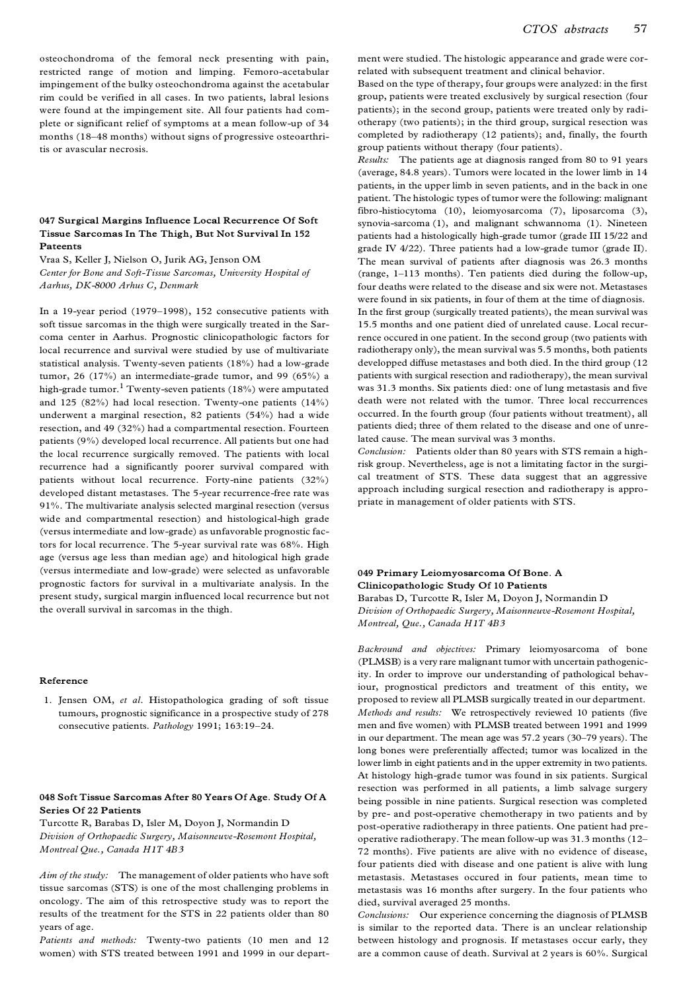osteochondroma of the femoral neck presenting with pain, restricted range of motion and limping. Femoro-acetabular impingement of the bulky osteochondroma against the acetabular rim could be verified in all cases. In two patients, labral lesions were found at the impingement site. All four patients had com plete or significant relief of symptoms at a mean follow-up of 34 months (18-48 months) without signs of progressive osteoarthritis or avascular necrosis.

### **047 Surgical Margins Influence Local Recurrence Of Soft Tissue Sarcomas In The Thigh, But Not Survival In 152 Pateents**

Vraa S, Keller J, Nielson O, Jurik AG, Jenson OM *Center for Bone and Soft-Tissue Sarcomas, University Hospital of Aarhus, DK-8000 Arhus C, Denmark*

In a 19-year period (1979-1998), 152 consecutive patients with soft tissue sarcomas in the thigh were surgically treated in the Sar coma center in Aarhus. Prognostic clinicopathologic factors for local recurrence and survival were studied by use of multivariate statistical analysis. Twenty-seven patients (18%) had a low-grade tumor, 26 (17%) an intermediate-grade tumor, and 99 (65%) a high-grade tumor.<sup>1</sup> Twenty-seven patients (18%) were amputated and 125 (82%) had local resection. Twenty-one patients (14%) underwent a marginal resection, 82 patients (54%) had a wide resection, and 49 (32%) had a compartmental resection. Fourteen patients (9%) developed local recurrence. All patients but one had the local recurrence surgically removed. The patients with local recurrence had a significantly poorer survival compared with patients without local recurrence. Forty-nine patients (32%) developed distant metastases. The 5-year recurrence-free rate was 91%. The multivariate analysis selected marginal resection (versus wide and compartmental resection) and histological-high grade (versus intermediate and low-grade) as unfavorable prognostic factors for local recurrence. The 5-year survival rate was 68%. High age (versus age less than median age) and hitological high grade (versus intermediate and low-grade) were selected as unfavorable prognostic factors for survival in a multivariate analysis. In the present study, surgical margin influenced local recurrence but not the overall survival in sarcomas in the thigh.

### **Reference**

1. Jensen OM, *et al*. Histopathologica grading of soft tissue tumours, prognostic significance in a prospective study of 278 consecutive patients. *Pathology* 1991; 163:19-24.

### **048 Soft Tissue Sarcomas After 80 Years Of Age. Study Of A Series Of 22 Patients**

Turcotte R, Barabas D, Isler M, Doyon J, Normandin D *Division of Orthopaedic Surgery, Maisonneuve-Rosemont Hospital, Montreal Que., Canada H1T 4B3* 

*Aim of the study:* The management of older patients who have soft tissue sarcomas (STS) is one of the most challenging problems in oncology. The aim of this retrospective study was to report the results of the treatment for the STS in 22 patients older than 80 years of age.

*Patients and methods:* Twenty-two patients (10 men and 12 women) with STS treated between 1991 and 1999 in our department were studied. The histologic appearance and grade were correlated with subsequent treatment and clinical behavior.

Based on the type of therapy, four groups were analyzed: in the first group, patients were treated exclusively by surgical resection (four patients); in the second group, patients were treated only by radiotherapy (two patients); in the third group, surgical resection was completed by radiotherapy (12 patients); and, finally, the fourth group patients without therapy (four patients).

*Results:* The patients age at diagnosis ranged from 80 to 91 years (average, 84.8 years). Tumors were located in the lower limb in 14 patients, in the upper limb in seven patients, and in the back in one patient. The histologic types of tumor were the following: malignant fibro-histiocytoma (10), leiomyosarcoma (7), liposarcoma (3), synovia-sarcoma (1), and malignant schwannoma (1). Nineteen patients had a histologically high-grade tumor (grade III 15/22 and grade IV 4/22). Three patients had a low-grade tumor (grade II). The mean survival of patients after diagnosis was 26.3 months (range, 1±113 months). Ten patients died during the follow-up, four deaths were related to the disease and six were not. Metastases were found in six patients, in four of them at the time of diagnosis. In the first group (surgically treated patients), the mean survival was 15.5 months and one patient died of unrelated cause. Local recurrence occured in one patient. In the second group (two patients with radiotherapy only), the mean survival was 5.5 months, both patients developped diffuse metastases and both died. In the third group (12 patients with surgical resection and radiotherapy), the mean survival was 31.3 months. Six patients died: one of lung metastasis and five death were not related with the tumor. Three local reccurrences occurred. In the fourth group (four patients without treatment), all patients died; three of them related to the disease and one of unrelated cause. The mean survival was 3 months.

*Conclusion:* Patients older than 80 years with STS remain a highrisk group. Nevertheless, age is not a limitating factor in the surgical treatment of STS. These data suggest that an aggressive approach including surgical resection and radiotherapy is appro priate in management of older patients with STS.

### **049 Primary Leiomyosarcoma Of Bone. A Clinicopathologic Study Of 10 Patients** Barabas D, Turcotte R, Isler M, Doyon J, Normandin D *Division of Orthopaedic Surgery, Maisonneuve-Rosemont Hospital,*

*Montreal, Que., Canada H1T 4B3*

*Backround and objectives:* Primary leiomyosarcoma of bone (PLMSB) is a very rare malignant tumor with uncertain pathogenicity. In order to improve our understanding of pathological behaviour, prognostical predictors and treatment of this entity, we proposed to review all PLMSB surgically treated in our department. *Methods and results:* We retrospectively reviewed 10 patients (five men and five women) with PLMSB treated between 1991 and 1999 in our department. The mean age was 57.2 years (30-79 years). The long bones were preferentially affected; tumor was localized in the lower limb in eight patients and in the upper extremity in two patients. At histology high-grade tumor was found in six patients. Surgical resection was performed in all patients, a limb salvage surgery being possible in nine patients. Surgical resection was completed by pre- and post-operative chemotherapy in two patients and by post-operative radiotherapy in three patients. One patient had preoperative radiotherapy. The mean follow-up was 31.3 months (12-72 months). Five patients are alive with no evidence of disease, four patients died with disease and one patient is alive with lung metastasis. Metastases occured in four patients, mean time to metastasis was 16 months after surgery. In the four patients who died, survival averaged 25 months.

*Conclusions:* Our experience concerning the diagnosis of PLMSB is similar to the reported data. There is an unclear relationship between histology and prognosis. If metastases occur early, they are a common cause of death. Survival at 2 years is 60%. Surgical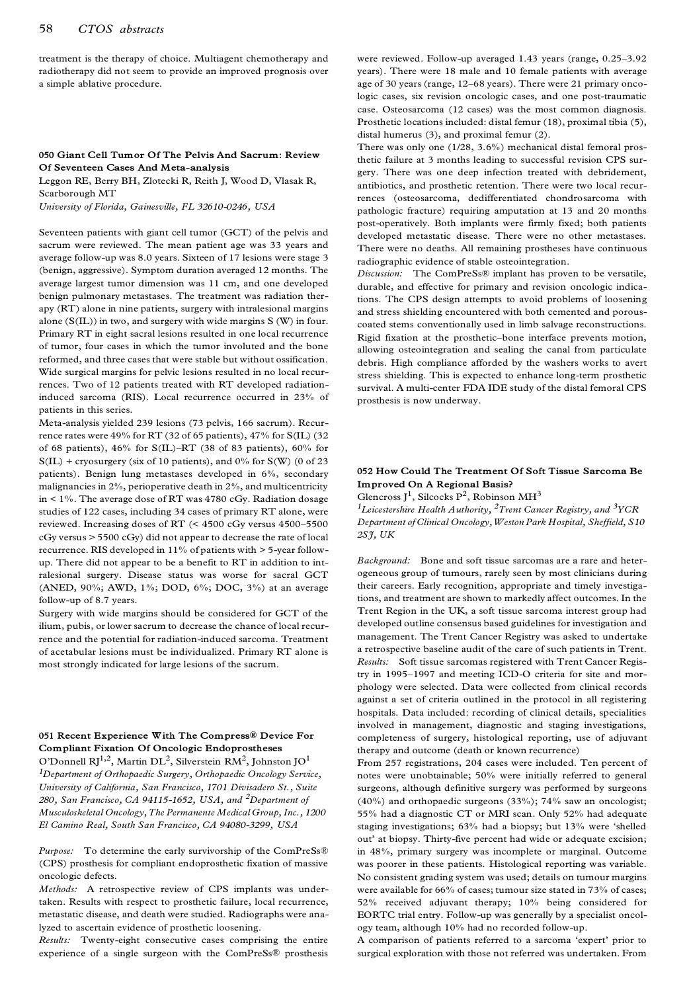### 58 *CTOS abstracts*

treatment is the therapy of choice. Multiagent chemotherapy and radiotherapy did not seem to provide an improved prognosis over a simple ablative procedure.

#### **050 Giant Cell Tumor Of The Pelvis And Sacrum: Review Of Seventeen Cases And Meta-analysis**

Leggon RE, Berry BH, Zlotecki R, Reith J, Wood D, Vlasak R, Scarborough MT

*University of Florida, Gainesville, FL 32610-0246, USA*

Seventeen patients with giant cell tumor (GCT) of the pelvis and sacrum were reviewed. The mean patient age was 33 years and average follow-up was 8.0 years. Sixteen of 17 lesions were stage 3 (benign, aggressive). Symptom duration averaged 12 months. The average largest tumor dimension was 11 cm, and one developed benign pulmonary metastases. The treatment was radiation therapy (RT) alone in nine patients, surgery with intralesional margins alone  $(S(IL))$  in two, and surgery with wide margins  $S(W)$  in four. Primary RT in eight sacral lesions resulted in one local recurrence of tumor, four cases in which the tumor involuted and the bone reformed, and three cases that were stable but without ossification. Wide surgical margins for pelvic lesions resulted in no local recurrences. Two of 12 patients treated with RT developed radiationinduced sarcoma (RIS). Local recurrence occurred in 23% of patients in this series.

Meta-analysis yielded 239 lesions (73 pelvis, 166 sacrum). Recurrence rates were 49% for RT (32 of 65 patients), 47% for S(IL) (32 of 68 patients),  $46\%$  for S(IL)-RT (38 of 83 patients),  $60\%$  for  $S(IL)$  + cryosurgery (six of 10 patients), and 0% for  $S(W)$  (0 of 23 patients). Benign lung metastases developed in 6%, secondary malignancies in 2%, perioperative death in 2%, and multicentricity in < 1%. The average dose of RT was 4780 cGy. Radiation dosage studies of 122 cases, including 34 cases of primary RT alone, were reviewed. Increasing doses of RT  $(< 4500 \text{ cGy}$  versus  $4500-5500$ cGy versus > 5500 cGy) did not appear to decrease the rate of local recurrence. RIS developed in 11% of patients with > 5-year follow up. There did not appear to be a benefit to RT in addition to intralesional surgery. Disease status was worse for sacral GCT (ANED, 90%; AWD, 1%; DOD, 6%; DOC, 3%) at an average follow-up of 8.7 years.

Surgery with wide margins should be considered for GCT of the ilium, pubis, or lower sacrum to decrease the chance of local recurrence and the potential for radiation-induced sarcoma. Treatment of acetabular lesions must be individualized. Primary RT alone is most strongly indicated for large lesions of the sacrum.

# **051 Recent Experience With The Compress¾ Device For Compliant Fixation Of Oncologic Endoprostheses**

O'Donnell RJ<sup>1,2</sup>, Martin DL<sup>2</sup>, Silverstein RM<sup>2</sup>, Johnston JO<sup>1</sup> *<sup>1</sup>Department of Orthopaedic Surgery, Orthopaedic Oncology Service, University of California, San Francisco, 1701 Divisadero St., Suite 280, San Francisco, CA 94115-1652, USA, and 2Department of Musculoskeletal Oncology, The Permanente Medical Group, Inc., 1200 El Camino Real, South San Francisco, CA 94080-3299, USA*

*Purpose:* To determine the early survivorship of the ComPreSs® (CPS) prosthesis for compliant endoprosthetic fixation of massive oncologic defects.

*Methods:* A retrospective review of CPS implants was undertaken. Results with respect to prosthetic failure, local recurrence, metastatic disease, and death were studied. Radiographs were analyzed to ascertain evidence of prosthetic loosening.

*Results:* Twenty-eight consecutive cases comprising the entire experience of a single surgeon with the ComPreSs® prosthesis were reviewed. Follow-up averaged 1.43 years (range, 0.25-3.92 years). There were 18 male and 10 female patients with average age of 30 years (range, 12-68 years). There were 21 primary oncologic cases, six revision oncologic cases, and one post-traumatic case. Osteosarcoma (12 cases) was the most common diagnosis. Prosthetic locations included: distal femur (18), proximal tibia (5), distal humerus (3), and proximal femur (2).

There was only one (1/28, 3.6%) mechanical distal femoral prosthetic failure at 3 months leading to successful revision CPS sur gery. There was one deep infection treated with debridement, antibiotics, and prosthetic retention. There were two local recurrences (osteosarcoma, dedifferentiated chondrosarcoma with pathologic fracture) requiring amputation at 13 and 20 months post-operatively. Both implants were firmly fixed; both patients developed metastatic disease. There were no other metastases. There were no deaths. All remaining prostheses have continuous radiographic evidence of stable osteointegration.

*Discussion:* The ComPreSs¾ implant has proven to be versatile, durable, and effective for primary and revision oncologic indications. The CPS design attempts to avoid problems of loosening and stress shielding encountered with both cemented and porouscoated stems conventionally used in limb salvage reconstructions. Rigid fixation at the prosthetic-bone interface prevents motion, allowing osteointegration and sealing the canal from particulate debris. High compliance afforded by the washers works to avert stress shielding. This is expected to enhance long-term prosthetic survival. A multi-center FDA IDE study of the distal femoral CPS prosthesis is now underway.

### **052 How Could The Treatment Of Soft Tissue Sarcoma Be Improved On A Regional Basis?**

Glencross J $^1$ , Silcocks P $^2$ , Robinson MH $^3$ 

*<sup>1</sup>Leicestershire Health Authority, 2Trent Cancer Registry, and 3YCR Department of Clinical Oncology, Weston Park Hospital, Sheffield, S10 2SJ, UK*

*Background:* Bone and soft tissue sarcomas are a rare and heterogeneous group of tumours, rarely seen by most clinicians during their careers. Early recognition, appropriate and timely investigations, and treatment are shown to markedly affect outcomes. In the Trent Region in the UK, a soft tissue sarcoma interest group had developed outline consensus based guidelines for investigation and management. The Trent Cancer Registry was asked to undertake a retrospective baseline audit of the care of such patients in Trent. *Results:* Soft tissue sarcomas registered with Trent Cancer Registry in 1995-1997 and meeting ICD-O criteria for site and morphology were selected. Data were collected from clinical records against a set of criteria outlined in the protocol in all registering hospitals. Data included: recording of clinical details, specialities involved in management, diagnostic and staging investigations, completeness of surgery, histological reporting, use of adjuvant therapy and outcome (death or known recurrence)

From 257 registrations, 204 cases were included. Ten percent of notes were unobtainable; 50% were initially referred to general surgeons, although definitive surgery was performed by surgeons (40%) and orthopaedic surgeons (33%); 74% saw an oncologist; 55% had a diagnostic CT or MRI scan. Only 52% had adequate staging investigations; 63% had a biopsy; but 13% were `shelled out' at biopsy. Thirty-five percent had wide or adequate excision; in 48%, primary surgery was incomplete or marginal. Outcome was poorer in these patients. Histological reporting was variable. No consistent grading system was used; details on tumour margins were available for 66% of cases; tumour size stated in 73% of cases; 52% received adjuvant therapy; 10% being considered for EORTC trial entry. Follow-up was generally by a specialist oncology team, although 10% had no recorded follow-up.

A comparison of patients referred to a sarcoma `expert' prior to surgical exploration with those not referred was undertaken. From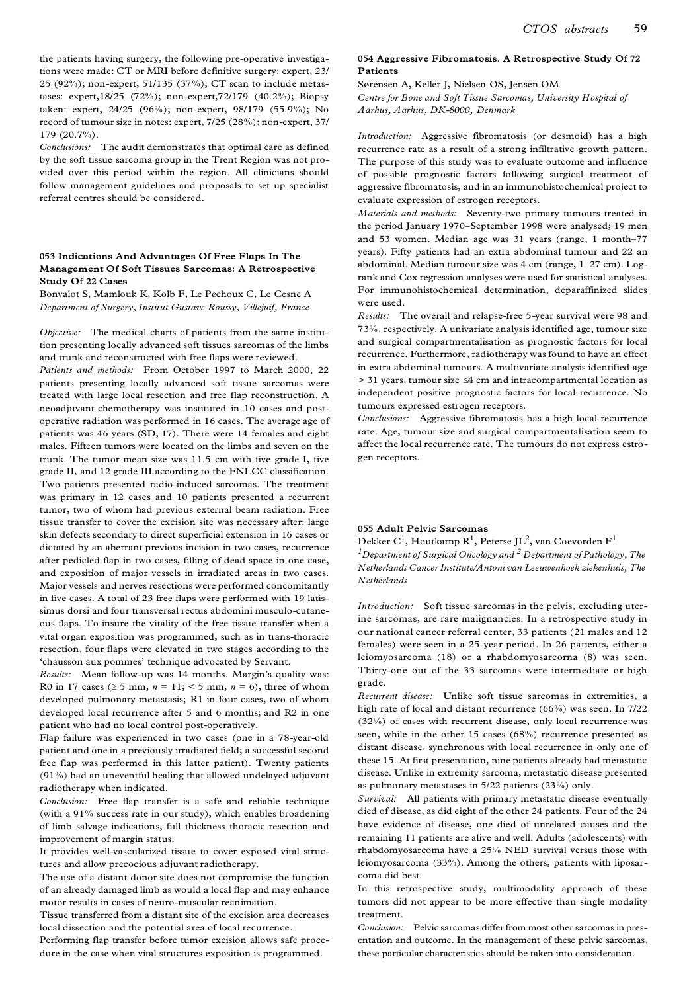the patients having surgery, the following pre-operative investigations were made: CT or MRI before definitive surgery: expert, 23/ 25 (92%); non-expert, 51/135 (37%); CT scan to include metastases: expert,18/25 (72%); non-expert,72/179 (40.2%); Biopsy taken: expert, 24/25 (96%); non-expert, 98/179 (55.9%); No record of tumour size in notes: expert, 7/25 (28%); non-expert, 37/ 179 (20.7%).

*Conclusions:* The audit demonstrates that optimal care as defined by the soft tissue sarcoma group in the Trent Region was not provided over this period within the region. All clinicians should follow management guidelines and proposals to set up specialist referral centres should be considered.

### **053 Indications And Advantages Of Free Flaps In The Management Of Soft Tissues Sarcomas: A Retrospective Study Of 22 Cases**

Bonvalot S, Mamlouk K, Kolb F, Le Pøchoux C, Le Cesne A *Department of Surgery, Institut Gustave Roussy, Villejuif, France*

*Objective:* The medical charts of patients from the same institution presenting locally advanced soft tissues sarcomas of the limbs and trunk and reconstructed with free flaps were reviewed.

*Patients and methods:* From October 1997 to March 2000, 22 patients presenting locally advanced soft tissue sarcomas were treated with large local resection and free flap reconstruction. A neoadjuvant chemotherapy was instituted in 10 cases and postoperative radiation was performed in 16 cases. The average age of patients was 46 years (SD, 17). There were 14 females and eight males. Fifteen tumors were located on the limbs and seven on the trunk. The tumor mean size was 11.5 cm with five grade I, five grade II, and 12 grade III according to the FNLCC classification. Two patients presented radio-induced sarcomas. The treatment was primary in 12 cases and 10 patients presented a recurrent tumor, two of whom had previous external beam radiation. Free tissue transfer to cover the excision site was necessary after: large skin defects secondary to direct superficial extension in 16 cases or dictated by an aberrant previous incision in two cases, recurrence after pedicled flap in two cases, filling of dead space in one case, and exposition of major vessels in irradiated areas in two cases. Major vessels and nerves resections were performed concomitantly in five cases. A total of 23 free flaps were performed with 19 latissimus dorsi and four transversal rectus abdomini musculo-cutane ous flaps. To insure the vitality of the free tissue transfer when a vital organ exposition was programmed, such as in trans-thoracic resection, four flaps were elevated in two stages according to the `chausson aux pommes' technique advocated by Servant.

*Results:* Mean follow-up was 14 months. Margin's quality was: R0 in 17 cases ( $\geq$  5 mm,  $n = 11$ ; < 5 mm,  $n = 6$ ), three of whom developed pulmonary metastasis; R1 in four cases, two of whom developed local recurrence after 5 and 6 months; and R2 in one patient who had no local control post-operatively.

Flap failure was experienced in two cases (one in a 78-year-old patient and one in a previously irradiated field; a successful second free flap was performed in this latter patient). Twenty patients (91%) had an uneventful healing that allowed undelayed adjuvant radiotherapy when indicated.

*Conclusion:* Free flap transfer is a safe and reliable technique (with a 91% success rate in our study), which enables broadening of limb salvage indications, full thickness thoracic resection and improvement of margin status.

It provides well-vascularized tissue to cover exposed vital structures and allow precocious adjuvant radiotherapy.

The use of a distant donor site does not compromise the function of an already damaged limb as would a local flap and may enhance motor results in cases of neuro-muscular reanimation.

Tissue transferred from a distant site of the excision area decreases local dissection and the potential area of local recurrence.

Performing flap transfer before tumor excision allows safe procedure in the case when vital structures exposition is programmed.

### **054 Aggressive Fibromatosis. A Retrospective Study Of 72 Patients**

Sørensen A, Keller J, Nielsen OS, Jensen OM *Centre for Bone and Soft Tissue Sarcomas, University Hospital of Aarhus, Aarhus, DK-8000, Denmark*

*Introduction:* Aggressive fibromatosis (or desmoid) has a high recurrence rate as a result of a strong infiltrative growth pattern. The purpose of this study was to evaluate outcome and influence of possible prognostic factors following surgical treatment of aggressive fibromatosis, and in an immunohistochemical project to evaluate expression of estrogen receptors.

*Materials and methods:* Seventy-two primary tumours treated in the period January 1970–September 1998 were analysed; 19 men and 53 women. Median age was 31 years (range, 1 month-77 years). Fifty patients had an extra abdominal tumour and 22 an abdominal. Median tumour size was 4 cm (range, 1-27 cm). Logrank and Cox regression analyses were used for statistical analyses. For immunohistochemical determination, deparaffinized slides were used.

*Results:* The overall and relapse-free 5-year survival were 98 and 73%, respectively. A univariate analysis identified age, tumour size and surgical compartmentalisation as prognostic factors for local recurrence. Furthermore, radiotherapy was found to have an effect in extra abdominal tumours. A multivariate analysis identified age  $>$  31 years, tumour size  $\leq$ 4 cm and intracompartmental location as independent positive prognostic factors for local recurrence. No tumours expressed estrogen receptors.

*Conclusions:* Aggressive fibromatosis has a high local recurrence rate. Age, tumour size and surgical compartmentalisation seem to affect the local recurrence rate. The tumours do not express estro gen receptors.

## **055 Adult Pelvic Sarcomas**

Dekker  $\mathrm{C}^1,$  Houtkarnp  $\mathrm{R}^1,$  Peterse JL $^2,$  van Coevorden  $\mathrm{F}^1$ *<sup>1</sup>Department of Surgical Oncology and <sup>2</sup> Department of Pathology, The Netherlands Cancer Institute/Antoni van Leeuwenhoek ziekenhuis, The Netherlands*

*Introduction:* Soft tissue sarcomas in the pelvis, excluding uterine sarcomas, are rare malignancies. In a retrospective study in our national cancer referral center, 33 patients (21 males and 12 females) were seen in a 25-year period. In 26 patients, either a leiomyosarcoma (18) or a rhabdomyosarcorna (8) was seen. Thirty-one out of the 33 sarcomas were intermediate or high grade.

*Recurrent disease:* Unlike soft tissue sarcomas in extremities, a high rate of local and distant recurrence (66%) was seen. In 7/22 (32%) of cases with recurrent disease, only local recurrence was seen, while in the other 15 cases (68%) recurrence presented as distant disease, synchronous with local recurrence in only one of these 15. At first presentation, nine patients already had metastatic disease. Unlike in extremity sarcoma, metastatic disease presented as pulmonary metastases in 5/22 patients (23%) only.

*Survival:* All patients with primary metastatic disease eventually died of disease, as did eight of the other 24 patients. Four of the 24 have evidence of disease, one died of unrelated causes and the remaining 11 patients are alive and well. Adults (adolescents) with rhabdomyosarcoma have a 25% NED survival versus those with leiomyosarcoma (33%). Among the others, patients with liposar coma did best.

In this retrospective study, multimodality approach of these tumors did not appear to be more effective than single modality treatment.

*Conclusion:* Pelvic sarcomas differ from most other sarcomas in presentation and outcome. In the management of these pelvic sarcomas, these particular characteristics should be taken into consideration.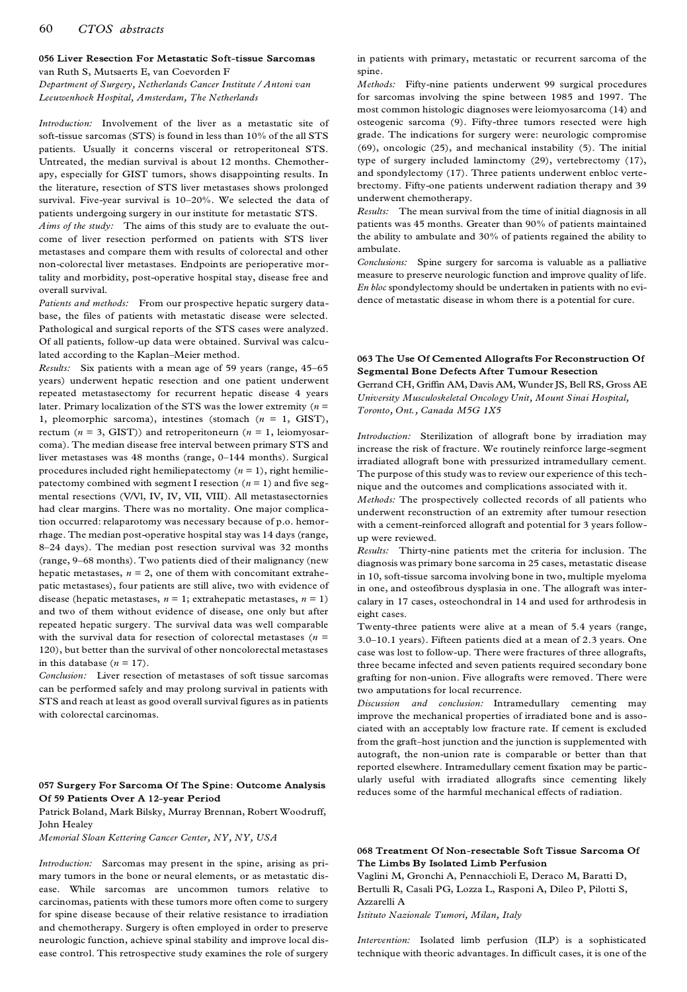### 60 *CTOS abstracts*

#### **056 Liver Resection For Metastatic Soft-tissue Sarcomas** van Ruth S, Mutsaerts E, van Coevorden F

*Department of Surgery, Netherlands Cancer Institute / Antoni van Leeuwenhoek Hospital, Amsterdam, The Netherlands*

*Introduction:* Involvement of the liver as a metastatic site of soft-tissue sarcomas (STS) is found in less than 10% of the all STS patients. Usually it concerns visceral or retroperitoneal STS. Untreated, the median survival is about 12 months. Chemotherapy, especially for GIST tumors, shows disappointing results. In the literature, resection of STS liver metastases shows prolonged survival. Five-year survival is  $10-20%$ . We selected the data of patients undergoing surgery in our institute for metastatic STS.

*Aims of the study:* The aims of this study are to evaluate the out come of liver resection performed on patients with STS liver metastases and compare them with results of colorectal and other non-colorectal liver metastases. Endpoints are perioperative mortality and morbidity, post-operative hospital stay, disease free and overall survival.

*Patients and methods:* From our prospective hepatic surgery database, the files of patients with metastatic disease were selected. Pathological and surgical reports of the STS cases were analyzed. Of all patients, follow-up data were obtained. Survival was calculated according to the Kaplan-Meier method.

*Results:* Six patients with a mean age of 59 years (range, 45-65 years) underwent hepatic resection and one patient underwent repeated metastasectomy for recurrent hepatic disease 4 years later. Primary localization of the STS was the lower extremity (*n* = 1, pleomorphic sarcoma), intestines (stomach (*n* = 1, GIST), rectum (*n* = 3, GIST)) and retroperitoneurn (*n* = 1, leiomyosarcoma). The median disease free interval between primary STS and liver metastases was 48 months (range, 0-144 months). Surgical procedures included right hemiliepatectomy  $(n = 1)$ , right hemiliepatectomy combined with segment I resection  $(n = 1)$  and five segmental resections (V/Vl, IV, IV, VII, VIII). All metastasectornies had clear margins. There was no mortality. One major complication occurred: relaparotomy was necessary because of p.o. hemorrhage. The median post-operative hospital stay was 14 days (range, 8-24 days). The median post resection survival was 32 months (range, 9-68 months). Two patients died of their malignancy (new hepatic metastases,  $n = 2$ , one of them with concomitant extrahepatic metastases), four patients are still alive, two with evidence of disease (hepatic metastases,  $n = 1$ ; extrahepatic metastases,  $n = 1$ ) and two of them without evidence of disease, one only but after repeated hepatic surgery. The survival data was well comparable with the survival data for resection of colorectal metastases  $(n =$ 120), but better than the survival of other noncolorectal metastases in this database  $(n = 17)$ .

*Conclusion:* Liver resection of metastases of soft tissue sarcomas can be performed safely and may prolong survival in patients with STS and reach at least as good overall survival figures as in patients with colorectal carcinomas.

### **057 Surgery For Sarcoma Of The Spine: Outcome Analysis Of 59 Patients Over A 12-year Period**

Patrick Boland, Mark Bilsky, Murray Brennan, Robert Woodruff, John Healey

*Memorial Sloan Kettering Cancer Center, NY, NY, USA*

*Introduction:* Sarcomas may present in the spine, arising as primary tumors in the bone or neural elements, or as metastatic dis ease. While sarcomas are uncommon tumors relative to carcinomas, patients with these tumors more often come to surgery for spine disease because of their relative resistance to irradiation and chemotherapy. Surgery is often employed in order to preserve neurologic function, achieve spinal stability and improve local dis ease control. This retrospective study examines the role of surgery in patients with primary, metastatic or recurrent sarcoma of the spine.

*Methods:* Fifty-nine patients underwent 99 surgical procedures for sarcomas involving the spine between 1985 and 1997. The most common histologic diagnoses were leiomyosarcoma (14) and osteogenic sarcoma (9). Fifty-three tumors resected were high grade. The indications for surgery were: neurologic compromise (69), oncologic (25), and mechanical instability (5). The initial type of surgery included laminctomy (29), vertebrectomy (17), and spondylectomy (17). Three patients underwent enbloc verte brectomy. Fifty-one patients underwent radiation therapy and 39 underwent chemotherapy.

*Results:* The mean survival from the time of initial diagnosis in all patients was 45 months. Greater than 90% of patients maintained the ability to ambulate and 30% of patients regained the ability to ambulate.

*Conclusions:* Spine surgery for sarcoma is valuable as a palliative measure to preserve neurologic function and improve quality of life. *En bloc* spondylectomy should be undertaken in patients with no evidence of metastatic disease in whom there is a potential for cure.

# **063 The Use Of Cemented Allografts For Reconstruction Of Segmental Bone Defects After Tumour Resection**

Gerrand CH, Griffin AM, Davis AM, Wunder JS, Bell RS, Gross AE *University Musculoskeletal Oncology Unit, Mount Sinai Hospital, Toronto, Ont., Canada M5G 1X5*

*Introduction:* Sterilization of allograft bone by irradiation may increase the risk of fracture. We routinely reinforce large-segment irradiated allograft bone with pressurized intramedullary cement. The purpose of this study was to review our experience of this technique and the outcomes and complications associated with it.

*Methods:* The prospectively collected records of all patients who underwent reconstruction of an extremity after tumour resection with a cement-reinforced allograft and potential for 3 years followup were reviewed.

*Results:* Thirty-nine patients met the criteria for inclusion. The diagnosis was primary bone sarcoma in 25 cases, metastatic disease in 10, soft-tissue sarcoma involving bone in two, multiple myeloma in one, and osteofibrous dysplasia in one. The allograft was intercalary in 17 cases, osteochondral in 14 and used for arthrodesis in eight cases.

Twenty-three patients were alive at a mean of 5.4 years (range, 3.0±10.1 years). Fifteen patients died at a mean of 2.3 years. One case was lost to follow-up. There were fractures of three allografts, three became infected and seven patients required secondary bone grafting for non-union. Five allografts were removed. There were two amputations for local recurrence.

*Discussion and conclusion:* Intramedullary cementing may improve the mechanical properties of irradiated bone and is asso ciated with an acceptably low fracture rate. If cement is excluded from the graft-host junction and the junction is supplemented with autograft, the non-union rate is comparable or better than that reported elsewhere. Intramedullary cement fixation may be particularly useful with irradiated allografts since cementing likely reduces some of the harmful mechanical effects of radiation.

# **068 Treatment Of Non-resectable Soft Tissue Sarcoma Of The Limbs By Isolated Limb Perfusion**

Vaglini M, Gronchi A, Pennacchioli E, Deraco M, Baratti D, Bertulli R, Casali PG, Lozza L, Rasponi A, Dileo P, Pilotti S, Azzarelli A

*Istituto Nazionale Tumori, Milan, Italy*

*Intervention:* Isolated limb perfusion (ILP) is a sophisticated technique with theoric advantages. In difficult cases, it is one of the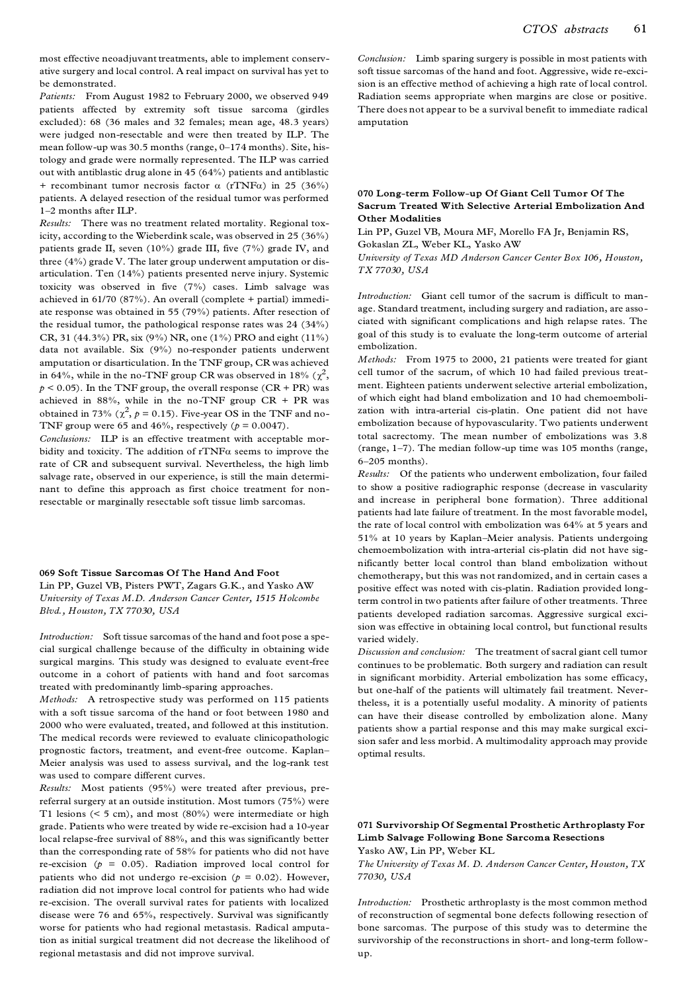most effective neoadjuvant treatments, able to implement conserv ative surgery and local control. A real impact on survival has yet to be demonstrated.

*Patients:* From August 1982 to February 2000, we observed 949 patients affected by extremity soft tissue sarcoma (girdles excluded): 68 (36 males and 32 females; mean age, 48.3 years) were judged non-resectable and were then treated by ILP. The mean follow-up was 30.5 months (range, 0-174 months). Site, histology and grade were normally represented. The ILP was carried out with antiblastic drug alone in 45 (64%) patients and antiblastic + recombinant tumor necrosis factor  $\alpha$  (rTNF $\alpha$ ) in 25 (36%) patients. A delayed resection of the residual tumor was performed 1-2 months after ILP.

*Results:* There was no treatment related mortality. Regional toxicity, according to the Wieberdink scale, was observed in 25 (36%) patients grade II, seven (10%) grade III, five (7%) grade IV, and three (4%) grade V. The later group underwent amputation or disarticulation. Ten (14%) patients presented nerve injury. Systemic toxicity was observed in five (7%) cases. Limb salvage was achieved in 61/70 (87%). An overall (complete + partial) immedi ate response was obtained in 55 (79%) patients. After resection of the residual tumor, the pathological response rates was 24 (34%) CR, 31 (44.3%) PR, six (9%) NR, one (1%) PRO and eight (11%) data not available. Six (9%) no-responder patients underwent amputation or disarticulation. In the TNF group, CR was achieved in 64%, while in the no-TNF group CR was observed in 18% ( $\chi^2$ ,  $p < 0.05$ ). In the TNF group, the overall response (CR + PR) was achieved in 88%, while in the no-TNF group CR + PR was obtained in 73% ( $\chi^2$ ,  $p = 0.15$ ). Five-year OS in the TNF and no-TNF group were 65 and 46%, respectively  $(p = 0.0047)$ .

*Conclusions:* ILP is an effective treatment with acceptable mor bidity and toxicity. The addition of  $rTNF\alpha$  seems to improve the rate of CR and subsequent survival. Nevertheless, the high limb salvage rate, observed in our experience, is still the main determi nant to define this approach as first choice treatment for nonresectable or marginally resectable soft tissue limb sarcomas.

### **069 Soft Tissue Sarcomas Of The Hand And Foot**

Lin PP, Guzel VB, Pisters PWT, Zagars G.K., and Yasko AW *University of Texas M.D. Anderson Cancer Center, 1515 Holcombe Blvd., Houston, TX 77030, USA*

*Introduction:* Soft tissue sarcomas of the hand and foot pose a special surgical challenge because of the difficulty in obtaining wide surgical margins. This study was designed to evaluate event-free outcome in a cohort of patients with hand and foot sarcomas treated with predominantly limb-sparing approaches.

*Methods:* A retrospective study was performed on 115 patients with a soft tissue sarcoma of the hand or foot between 1980 and 2000 who were evaluated, treated, and followed at this institution. The medical records were reviewed to evaluate clinicopathologic prognostic factors, treatment, and event-free outcome. Kaplan-Meier analysis was used to assess survival, and the log-rank test was used to compare different curves.

*Results:* Most patients (95%) were treated after previous, prereferral surgery at an outside institution. Most tumors (75%) were T1 lesions (< 5 cm), and most (80%) were intermediate or high grade. Patients who were treated by wide re-excision had a 10-year local relapse-free survival of 88%, and this was significantly better than the corresponding rate of 58% for patients who did not have re-excision (*p* = 0.05). Radiation improved local control for patients who did not undergo re-excision (*p* = 0.02). However, radiation did not improve local control for patients who had wide re-excision. The overall survival rates for patients with localized disease were 76 and 65%, respectively. Survival was significantly worse for patients who had regional metastasis. Radical amputation as initial surgical treatment did not decrease the likelihood of regional metastasis and did not improve survival.

*Conclusion:* Limb sparing surgery is possible in most patients with soft tissue sarcomas of the hand and foot. Aggressive, wide re-excision is an effective method of achieving a high rate of local control. Radiation seems appropriate when margins are close or positive. There does not appear to be a survival benefit to immediate radical amputation

### **070 Long-term Follow-up Of Giant Cell Tumor Of The Sacrum Treated With Selective Arterial Embolization And Other Modalities**

Lin PP, Guzel VB, Moura MF, Morello FA Jr, Benjamin RS, Gokaslan ZL, Weber KL, Yasko AW

*University of Texas MD Anderson Cancer Center Box 106, Houston, TX 77030, USA*

*Introduction:* Giant cell tumor of the sacrum is difficult to man age. Standard treatment, including surgery and radiation, are asso ciated with significant complications and high relapse rates. The goal of this study is to evaluate the long-term outcome of arterial embolization.

*Methods:* From 1975 to 2000, 21 patients were treated for giant cell tumor of the sacrum, of which 10 had failed previous treat ment. Eighteen patients underwent selective arterial embolization, of which eight had bland embolization and 10 had chemoembolization with intra-arterial cis-platin. One patient did not have embolization because of hypovascularity. Two patients underwent total sacrectomy. The mean number of embolizations was 3.8 (range,  $1-7$ ). The median follow-up time was 105 months (range, 6±205 months).

*Results:* Of the patients who underwent embolization, four failed to show a positive radiographic response (decrease in vascularity and increase in peripheral bone formation). Three additional patients had late failure of treatment. In the most favorable model, the rate of local control with embolization was 64% at 5 years and 51% at 10 years by Kaplan-Meier analysis. Patients undergoing chemoembolization with intra-arterial cis-platin did not have significantly better local control than bland embolization without chemotherapy, but this was not randomized, and in certain cases a positive effect was noted with cis-platin. Radiation provided longterm control in two patients after failure of other treatments. Three patients developed radiation sarcomas. Aggressive surgical excision was effective in obtaining local control, but functional results varied widely.

*Discussion and conclusion:* The treatment of sacral giant cell tumor continues to be problematic. Both surgery and radiation can result in significant morbidity. Arterial embolization has some efficacy, but one-half of the patients will ultimately fail treatment. Nevertheless, it is a potentially useful modality. A minority of patients can have their disease controlled by embolization alone. Many patients show a partial response and this may make surgical excision safer and less morbid. A multimodality approach may provide optimal results.

# **071 Survivorship Of Segmental Prosthetic Arthroplasty For Limb Salvage Following Bone Sarcoma Resections**

Yasko AW, Lin PP, Weber KL

*The University of Texas M. D. Anderson Cancer Center, Houston, TX 77030, USA*

*Introduction:* Prosthetic arthroplasty is the most common method of reconstruction of segmental bone defects following resection of bone sarcomas. The purpose of this study was to determine the survivorship of the reconstructions in short- and long-term follow up.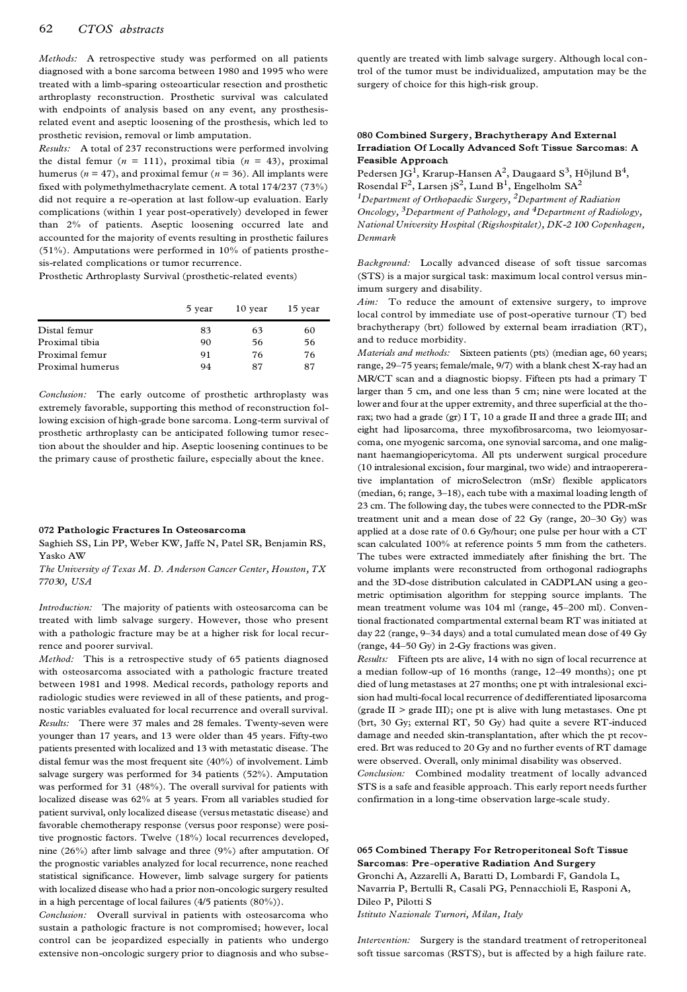*Methods:* A retrospective study was performed on all patients diagnosed with a bone sarcoma between 1980 and 1995 who were treated with a limb-sparing osteoarticular resection and prosthetic arthroplasty reconstruction. Prosthetic survival was calculated with endpoints of analysis based on any event, any prosthesisrelated event and aseptic loosening of the prosthesis, which led to prosthetic revision, removal or limb amputation.

*Results:* A total of 237 reconstructions were performed involving the distal femur ( $n = 111$ ), proximal tibia ( $n = 43$ ), proximal humerus ( $n = 47$ ), and proximal femur ( $n = 36$ ). All implants were fixed with polymethylmethacrylate cement. A total 174/237 (73%) did not require a re-operation at last follow-up evaluation. Early complications (within 1 year post-operatively) developed in fewer than 2% of patients. Aseptic loosening occurred late and accounted for the majority of events resulting in prosthetic failures (51%). Amputations were performed in 10% of patients prosthesis-related complications or tumor recurrence.

Prosthetic Arthroplasty Survival (prosthetic-related events)

|                  | 5 year | 10 year | 15 year |
|------------------|--------|---------|---------|
| Distal femur     | 83     | 63      | 60      |
| Proximal tibia   | 90     | 56      | 56      |
| Proximal femur   | 91     | 76      | 76      |
| Proximal humerus | 94     | 87      | 87      |

*Conclusion:* The early outcome of prosthetic arthroplasty was extremely favorable, supporting this method of reconstruction following excision of high-grade bone sarcoma. Long-term survival of prosthetic arthroplasty can be anticipated following tumor resection about the shoulder and hip. Aseptic loosening continues to be the primary cause of prosthetic failure, especially about the knee.

#### **072 Pathologic Fractures In Osteosarcoma**

Saghieh SS, Lin PP, Weber KW, Jaffe N, Patel SR, Benjamin RS, Yasko AW

*The University of Texas M. D. Anderson Cancer Center, Houston, TX 77030, USA*

*Introduction:* The majority of patients with osteosarcoma can be treated with limb salvage surgery. However, those who present with a pathologic fracture may be at a higher risk for local recurrence and poorer survival.

*Method:* This is a retrospective study of 65 patients diagnosed with osteosarcoma associated with a pathologic fracture treated between 1981 and 1998. Medical records, pathology reports and radiologic studies were reviewed in all of these patients, and prognostic variables evaluated for local recurrence and overall survival. *Results:* There were 37 males and 28 females. Twenty-seven were younger than 17 years, and 13 were older than 45 years. Fifty-two patients presented with localized and 13 with metastatic disease. The distal femur was the most frequent site (40%) of involvement. Limb salvage surgery was performed for 34 patients (52%). Amputation was performed for 31 (48%). The overall survival for patients with localized disease was 62% at 5 years. From all variables studied for patient survival, only localized disease (versus metastatic disease) and favorable chemotherapy response (versus poor response) were positive prognostic factors. Twelve (18%) local recurrences developed, nine (26%) after limb salvage and three (9%) after amputation. Of the prognostic variables analyzed for local recurrence, none reached statistical significance. However, limb salvage surgery for patients with localized disease who had a prior non-oncologic surgery resulted in a high percentage of local failures (4/5 patients (80%)).

*Conclusion:* Overall survival in patients with osteosarcoma who sustain a pathologic fracture is not compromised; however, local control can be jeopardized especially in patients who undergo extensive non-oncologic surgery prior to diagnosis and who subsequently are treated with limb salvage surgery. Although local control of the tumor must be individualized, amputation may be the surgery of choice for this high-risk group.

### **080 Combined Surgery, Brachytherapy And External Irradiation Of Locally Advanced Soft Tissue Sarcomas: A Feasible Approach**

Pedersen J ${\rm G}^1$ , Krarup-Hansen A $^2$ , Daugaard S $^3$ , Höjlund B $^4$ , Pedersen JG<sup>1</sup>, Krarup-Hansen A<sup>2</sup>, Daugaard S<sup>3</sup>, Höjlund B<sup>4</sup>,<br>Rosendal F<sup>2</sup>, Larsen jS<sup>2</sup>, Lund B<sup>1</sup>, Engelholm SA<sup>2</sup>

*<sup>1</sup>Department of Orthopaedic Surgery, 2Department of Radiation Oncology, 3Department of Pathology, and 4Department of Radiology, National University Hospital (Rigshospitalet), DK-2 100 Copenhagen, Denmark*

*Background:* Locally advanced disease of soft tissue sarcomas (STS) is a major surgical task: maximum local control versus minimum surgery and disability.

*Aim:* To reduce the amount of extensive surgery, to improve local control by immediate use of post-operative turnour (T) bed brachytherapy (brt) followed by external beam irradiation (RT), and to reduce morbidity.

*Materials and methods:* Sixteen patients (pts) (median age, 60 years; range, 29-75 years; female/male, 9/7) with a blank chest X-ray had an MR/CT scan and a diagnostic biopsy. Fifteen pts had a primary T larger than 5 cm, and one less than 5 cm; nine were located at the lower and four at the upper extremity, and three superficial at the thorax; two had a grade (gr) I T, 10 a grade II and three a grade III; and eight had liposarcoma, three myxofibrosarcoma, two leiomyosarcoma, one myogenic sarcoma, one synovial sarcoma, and one malig nant haemangiopericytoma. All pts underwent surgical procedure (10 intralesional excision, four marginal, two wide) and intraopererative implantation of microSelectron (mSr) flexible applicators (median,  $6$ ; range,  $3-18$ ), each tube with a maximal loading length of 23 cm. The following day, the tubes were connected to the PDR-mSr treatment unit and a mean dose of 22 Gy (range, 20-30 Gy) was applied at a dose rate of 0.6 Gy/hour; one pulse per hour with a CT scan calculated 100% at reference points 5 mm from the catheters. The tubes were extracted immediately after finishing the brt. The volume implants were reconstructed from orthogonal radiographs and the 3D-dose distribution calculated in CADPLAN using a geometric optimisation algorithm for stepping source implants. The mean treatment volume was 104 ml (range, 45-200 ml). Conventional fractionated compartmental external beam RT was initiated at day 22 (range, 9-34 days) and a total cumulated mean dose of 49 Gy (range,  $44-50$  Gy) in 2-Gy fractions was given.

*Results:* Fifteen pts are alive, 14 with no sign of local recurrence at a median follow-up of 16 months (range, 12-49 months); one pt died of lung metastases at 27 months; one pt with intralesional excision had multi-focal local recurrence of dedifferentiated liposarcoma (grade II > grade III); one pt is alive with lung metastases. One pt (brt, 30 Gy; external RT, 50 Gy) had quite a severe RT-induced damage and needed skin-transplantation, after which the pt recov ered. Brt was reduced to 20 Gy and no further events of RT damage were observed. Overall, only minimal disability was observed.

*Conclusion:* Combined modality treatment of locally advanced STS is a safe and feasible approach. This early report needs further confirmation in a long-time observation large-scale study.

# **065 Combined Therapy For Retroperitoneal Soft Tissue Sarcomas: Pre-operative Radiation And Surgery**

Gronchi A, Azzarelli A, Baratti D, Lombardi F, Gandola L, Navarria P, Bertulli R, Casali PG, Pennacchioli E, Rasponi A, Dileo P, Pilotti S

*Istituto Nazionale Turnori, Milan, Italy*

*Intervention:* Surgery is the standard treatment of retroperitoneal soft tissue sarcomas (RSTS), but is affected by a high failure rate.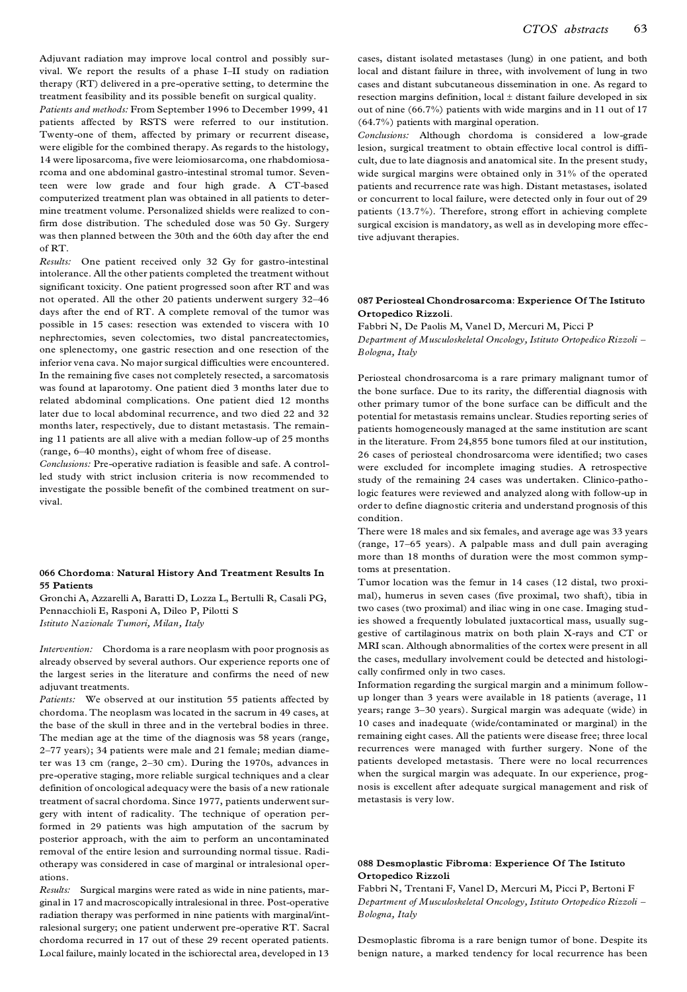Adjuvant radiation may improve local control and possibly sur vival. We report the results of a phase I-II study on radiation therapy (RT) delivered in a pre-operative setting, to determine the treatment feasibility and its possible benefit on surgical quality.

*Patients and methods:* From September 1996 to December 1999, 41 patients affected by RSTS were referred to our institution. Twenty-one of them, affected by primary or recurrent disease, were eligible for the combined therapy. As regards to the histology, 14 were liposarcoma, five were leiomiosarcoma, one rhabdomiosarcoma and one abdominal gastro-intestinal stromal tumor. Seventeen were low grade and four high grade. A CT-based computerized treatment plan was obtained in all patients to determine treatment volume. Personalized shields were realized to confirm dose distribution. The scheduled dose was 50 Gy. Surgery was then planned between the 30th and the 60th day after the end of RT.

*Results:* One patient received only 32 Gy for gastro-intestinal intolerance. All the other patients completed the treatment without significant toxicity. One patient progressed soon after RT and was not operated. All the other 20 patients underwent surgery 32-46 days after the end of RT. A complete removal of the tumor was possible in 15 cases: resection was extended to viscera with 10 nephrectomies, seven colectomies, two distal pancreatectomies, one splenectomy, one gastric resection and one resection of the inferior vena cava. No major surgical difficulties were encountered. In the remaining five cases not completely resected, a sarcomatosis was found at laparotomy. One patient died 3 months later due to related abdominal complications. One patient died 12 months later due to local abdominal recurrence, and two died 22 and 32 months later, respectively, due to distant metastasis. The remaining 11 patients are all alive with a median follow-up of 25 months (range, 6-40 months), eight of whom free of disease.

*Conclusions:* Pre-operative radiation is feasible and safe. A controlled study with strict inclusion criteria is now recommended to investigate the possible benefit of the combined treatment on sur vival.

### **066 Chordoma: Natural History And Treatment Results In 55 Patients**

Gronchi A, Azzarelli A, Baratti D, Lozza L, Bertulli R, Casali PG, Pennacchioli E, Rasponi A, Dileo P, Pilotti S *Istituto Nazionale Tumori, Milan, Italy*

*Intervention:* Chordoma is a rare neoplasm with poor prognosis as already observed by several authors. Our experience reports one of the largest series in the literature and confirms the need of new adjuvant treatments.

*Patients:* We observed at our institution 55 patients affected by chordoma. The neoplasm was located in the sacrum in 49 cases, at the base of the skull in three and in the vertebral bodies in three. The median age at the time of the diagnosis was 58 years (range, 2-77 years); 34 patients were male and 21 female; median diameter was 13 cm (range, 2-30 cm). During the 1970s, advances in pre-operative staging, more reliable surgical techniques and a clear definition of oncological adequacy were the basis of a new rationale treatment of sacral chordoma. Since 1977, patients underwent sur gery with intent of radicality. The technique of operation performed in 29 patients was high amputation of the sacrum by posterior approach, with the aim to perform an uncontaminated removal of the entire lesion and surrounding normal tissue. Radiotherapy was considered in case of marginal or intralesional operations.

*Results:* Surgical margins were rated as wide in nine patients, mar ginal in 17 and macroscopically intralesional in three. Post-operative radiation therapy was performed in nine patients with marginal/intralesional surgery; one patient underwent pre-operative RT. Sacral chordoma recurred in 17 out of these 29 recent operated patients. Local failure, mainly located in the ischiorectal area, developed in 13 cases, distant isolated metastases (lung) in one patient, and both local and distant failure in three, with involvement of lung in two cases and distant subcutaneous dissemination in one. As regard to resection margins definition, local  $\pm$  distant failure developed in six out of nine (66.7%) patients with wide margins and in 11 out of 17 (64.7%) patients with marginal operation.

*Conclusions:* Although chordoma is considered a low-grade lesion, surgical treatment to obtain effective local control is difficult, due to late diagnosis and anatomical site. In the present study, wide surgical margins were obtained only in 31% of the operated patients and recurrence rate was high. Distant metastases, isolated or concurrent to local failure, were detected only in four out of 29 patients (13.7%). Therefore, strong effort in achieving complete surgical excision is mandatory, as well as in developing more effective adjuvant therapies.

### **087 Periosteal Chondrosarcoma: Experience Of The Istituto Ortopedico Rizzoli.**

Fabbri N, De Paolis M, Vanel D, Mercuri M, Picci P

*Department of Musculoskeletal Oncology, Istituto Ortopedico Rizzoli ± Bologna, Italy*

Periosteal chondrosarcoma is a rare primary malignant tumor of the bone surface. Due to its rarity, the differential diagnosis with other primary tumor of the bone surface can be difficult and the potential for metastasis remains unclear. Studies reporting series of patients homogeneously managed at the same institution are scant in the literature. From 24,855 bone tumors filed at our institution, 26 cases of periosteal chondrosarcoma were identified; two cases were excluded for incomplete imaging studies. A retrospective study of the remaining 24 cases was undertaken. Clinico-pathologic features were reviewed and analyzed along with follow-up in order to define diagnostic criteria and understand prognosis of this condition.

There were 18 males and six females, and average age was 33 years (range, 17-65 years). A palpable mass and dull pain averaging more than 18 months of duration were the most common symptoms at presentation.

Tumor location was the femur in 14 cases (12 distal, two proximal), humerus in seven cases (five proximal, two shaft), tibia in two cases (two proximal) and iliac wing in one case. Imaging studies showed a frequently lobulated juxtacortical mass, usually suggestive of cartilaginous matrix on both plain X-rays and CT or MRI scan. Although abnormalities of the cortex were present in all the cases, medullary involvement could be detected and histologically confirmed only in two cases.

Information regarding the surgical margin and a minimum follow up longer than 3 years were available in 18 patients (average, 11 years; range 3-30 years). Surgical margin was adequate (wide) in 10 cases and inadequate (wide/contaminated or marginal) in the remaining eight cases. All the patients were disease free; three local recurrences were managed with further surgery. None of the patients developed metastasis. There were no local recurrences when the surgical margin was adequate. In our experience, prognosis is excellent after adequate surgical management and risk of metastasis is very low.

### **088 Desmoplastic Fibroma: Experience Of The Istituto Ortopedico Rizzoli**

Fabbri N, Trentani F, Vanel D, Mercuri M, Picci P, Bertoni F *Department of Musculoskeletal Oncology, Istituto Ortopedico Rizzoli ± Bologna, Italy*

Desmoplastic fibroma is a rare benign tumor of bone. Despite its benign nature, a marked tendency for local recurrence has been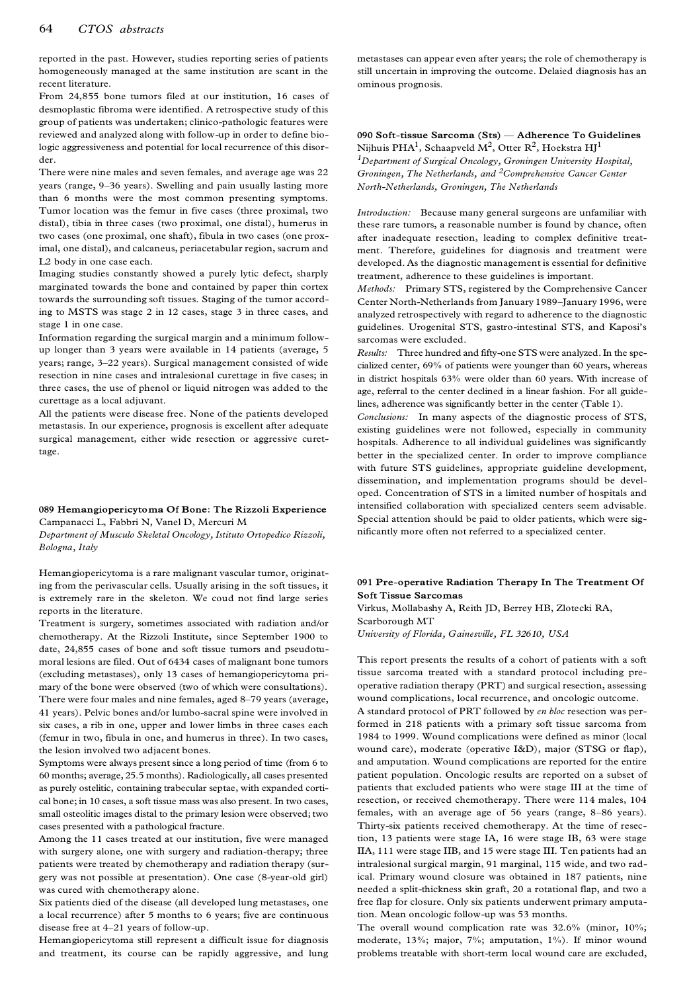reported in the past. However, studies reporting series of patients homogeneously managed at the same institution are scant in the recent literature.

From 24,855 bone tumors filed at our institution, 16 cases of desmoplastic fibroma were identified. A retrospective study of this group of patients was undertaken; clinico-pathologic features were reviewed and analyzed along with follow-up in order to define biologic aggressiveness and potential for local recurrence of this disorder.

There were nine males and seven females, and average age was 22 years (range, 9-36 years). Swelling and pain usually lasting more than 6 months were the most common presenting symptoms. Tumor location was the femur in five cases (three proximal, two distal), tibia in three cases (two proximal, one distal), humerus in two cases (one proximal, one shaft), fibula in two cases (one proximal, one distal), and calcaneus, periacetabular region, sacrum and L2 body in one case each.

Imaging studies constantly showed a purely lytic defect, sharply marginated towards the bone and contained by paper thin cortex towards the surrounding soft tissues. Staging of the tumor according to MSTS was stage 2 in 12 cases, stage 3 in three cases, and stage 1 in one case.

Information regarding the surgical margin and a minimum follow up longer than 3 years were available in 14 patients (average, 5 years; range, 3-22 years). Surgical management consisted of wide resection in nine cases and intralesional curettage in five cases; in three cases, the use of phenol or liquid nitrogen was added to the curettage as a local adjuvant.

All the patients were disease free. None of the patients developed metastasis. In our experience, prognosis is excellent after adequate surgical management, either wide resection or aggressive curettage.

### **089 Hemangiopericytoma Of Bone: The Rizzoli Experience** Campanacci L, Fabbri N, Vanel D, Mercuri M

*Department of Musculo Skeletal Oncology, Istituto Ortopedico Rizzoli, Bologna, Italy*

Hemangiopericytoma is a rare malignant vascular tumor, originating from the perivascular cells. Usually arising in the soft tissues, it is extremely rare in the skeleton. We coud not find large series reports in the literature.

Treatment is surgery, sometimes associated with radiation and/or chemotherapy. At the Rizzoli Institute, since September 1900 to date, 24,855 cases of bone and soft tissue tumors and pseudotumoral lesions are filed. Out of 6434 cases of malignant bone tumors (excluding metastases), only 13 cases of hemangiopericytoma primary of the bone were observed (two of which were consultations). There were four males and nine females, aged 8-79 years (average, 41 years). Pelvic bones and/or lumbo-sacral spine were involved in six cases, a rib in one, upper and lower limbs in three cases each (femur in two, fibula in one, and humerus in three). In two cases, the lesion involved two adjacent bones.

Symptoms were always present since a long period of time (from 6 to 60 months; average, 25.5 months). Radiologically, all cases presented as purely ostelitic, containing trabecular septae, with expanded cortical bone; in 10 cases, a soft tissue mass was also present. In two cases, small osteolitic images distal to the primary lesion were observed; two cases presented with a pathological fracture.

Among the 11 cases treated at our institution, five were managed with surgery alone, one with surgery and radiation-therapy; three patients were treated by chemotherapy and radiation therapy (surgery was not possible at presentation). One case (8-year-old girl) was cured with chemotherapy alone.

Six patients died of the disease (all developed lung metastases, one a local recurrence) after 5 months to 6 years; five are continuous disease free at 4-21 years of follow-up.

Hemangiopericytoma still represent a difficult issue for diagnosis and treatment, its course can be rapidly aggressive, and lung metastases can appear even after years; the role of chemotherapy is still uncertain in improving the outcome. Delaied diagnosis has an ominous prognosis.

# **090 Soft-tissue Sarcoma (Sts) Ð Adherence To Guidelines** Nijhuis PHA $^{\rm l}$ , Schaapveld M $^{\rm 2}$ , Otter R $^{\rm 2}$ , Hoekstra HJ $^{\rm l}$

*<sup>1</sup>Department of Surgical Oncology, Groningen University Hospital, Groningen, The Netherlands, and 2Comprehensive Cancer Center North-Netherlands, Groningen, The Netherlands* 

*Introduction:* Because many general surgeons are unfamiliar with these rare tumors, a reasonable number is found by chance, often after inadequate resection, leading to complex definitive treat ment. Therefore, guidelines for diagnosis and treatment were developed. As the diagnostic management is essential for definitive treatment, adherence to these guidelines is important.

*Methods:* Primary STS, registered by the Comprehensive Cancer Center North-Netherlands from January 1989-January 1996, were analyzed retrospectively with regard to adherence to the diagnostic guidelines. Urogenital STS, gastro-intestinal STS, and Kaposi's sarcomas were excluded.

*Results:* Three hundred and fifty-one STS were analyzed. In the specialized center, 69% of patients were younger than 60 years, whereas in district hospitals 63% were older than 60 years. With increase of age, referral to the center declined in a linear fashion. For all guidelines, adherence was significantly better in the center (Table 1).

*Conclusions:* In many aspects of the diagnostic process of STS, existing guidelines were not followed, especially in community hospitals. Adherence to all individual guidelines was significantly better in the specialized center. In order to improve compliance with future STS guidelines, appropriate guideline development, dissemination, and implementation programs should be developed. Concentration of STS in a limited number of hospitals and intensified collaboration with specialized centers seem advisable. Special attention should be paid to older patients, which were significantly more often not referred to a specialized center.

## **091 Pre-operative Radiation Therapy In The Treatment Of Soft Tissue Sarcomas**

Virkus, Mollabashy A, Reith JD, Berrey HB, Zlotecki RA, Scarborough MT

*University of Florida, Gainesville, FL 32610, USA*

This report presents the results of a cohort of patients with a soft tissue sarcoma treated with a standard protocol including preoperative radiation therapy (PRT) and surgical resection, assessing wound complications, local recurrence, and oncologic outcome. A standard protocol of PRT followed by *en bloc* resection was performed in 218 patients with a primary soft tissue sarcoma from 1984 to 1999. Wound complications were defined as minor (local wound care), moderate (operative I&D), major (STSG or flap), and amputation. Wound complications are reported for the entire patient population. Oncologic results are reported on a subset of patients that excluded patients who were stage III at the time of resection, or received chemotherapy. There were 114 males, 104 females, with an average age of 56 years (range, 8-86 years). Thirty-six patients received chemotherapy. At the time of resection, 13 patients were stage IA, 16 were stage IB, 63 were stage IIA, 111 were stage IIB, and 15 were stage III. Ten patients had an intralesional surgical margin, 91 marginal, 115 wide, and two radical. Primary wound closure was obtained in 187 patients, nine needed a split-thickness skin graft, 20 a rotational flap, and two a free flap for closure. Only six patients underwent primary amputation. Mean oncologic follow-up was 53 months.

The overall wound complication rate was 32.6% (minor, 10%; moderate, 13%; major, 7%; amputation, 1%). If minor wound problems treatable with short-term local wound care are excluded,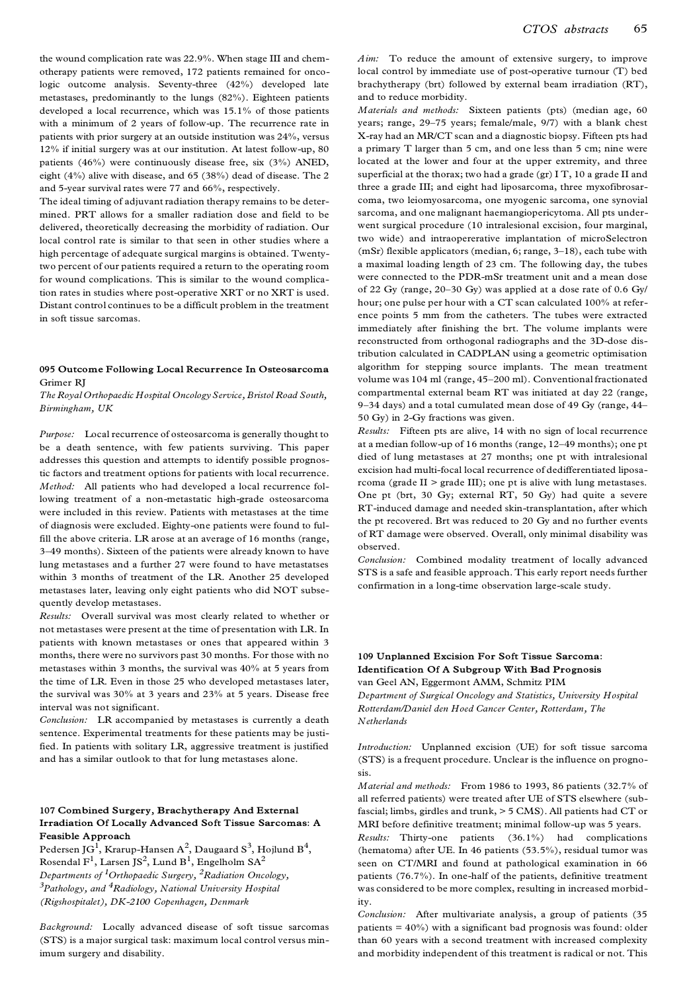the wound complication rate was 22.9%. When stage III and chemotherapy patients were removed, 172 patients remained for oncologic outcome analysis. Seventy-three (42%) developed late metastases, predominantly to the lungs (82%). Eighteen patients developed a local recurrence, which was 15.1% of those patients with a minimum of 2 years of follow-up. The recurrence rate in patients with prior surgery at an outside institution was 24%, versus 12% if initial surgery was at our institution. At latest follow-up, 80 patients (46%) were continuously disease free, six (3%) ANED, eight (4%) alive with disease, and 65 (38%) dead of disease. The 2 and 5-year survival rates were 77 and 66%, respectively.

The ideal timing of adjuvant radiation therapy remains to be determined. PRT allows for a smaller radiation dose and field to be delivered, theoretically decreasing the morbidity of radiation. Our local control rate is similar to that seen in other studies where a high percentage of adequate surgical margins is obtained. Twentytwo percent of our patients required a return to the operating room for wound complications. This is similar to the wound complication rates in studies where post-operative XRT or no XRT is used. Distant control continues to be a difficult problem in the treatment in soft tissue sarcomas.

### **095 Outcome Following Local Recurrence In Osteosarcoma** Grimer RJ

*The Royal Orthopaedic Hospital Oncology Service, Bristol Road South, Birmingham, UK*

*Purpose:* Local recurrence of osteosarcoma is generally thought to be a death sentence, with few patients surviving. This paper addresses this question and attempts to identify possible prognostic factors and treatment options for patients with local recurrence. *Method:* All patients who had developed a local recurrence following treatment of a non-metastatic high-grade osteosarcoma were included in this review. Patients with metastases at the time of diagnosis were excluded. Eighty-one patients were found to fulfill the above criteria. LR arose at an average of 16 months (range, 3±49 months). Sixteen of the patients were already known to have lung metastases and a further 27 were found to have metastatses within 3 months of treatment of the LR. Another 25 developed metastases later, leaving only eight patients who did NOT subsequently develop metastases.

*Results:* Overall survival was most clearly related to whether or not metastases were present at the time of presentation with LR. In patients with known metastases or ones that appeared within 3 months, there were no survivors past 30 months. For those with no metastases within 3 months, the survival was 40% at 5 years from the time of LR. Even in those 25 who developed metastases later, the survival was 30% at 3 years and 23% at 5 years. Disease free interval was not significant.

*Conclusion:* LR accompanied by metastases is currently a death sentence. Experimental treatments for these patients may be justified. In patients with solitary LR, aggressive treatment is justified and has a similar outlook to that for lung metastases alone.

### **107 Combined Surgery, Brachytherapy And External Irradiation Of Locally Advanced Soft Tissue Sarcomas: A Feasible Approach**

Pedersen J $\mathrm{G}^1$ , Krarup-Hansen A $^2$ , Daugaard S $^3$ , Hojlund B $^4$ , Pedersen JG<sup>1</sup>, Krarup-Hansen A<sup>2</sup>, Daugaard S<sup>3</sup>, Hojlund B<sup>4</sup>,<br>Rosendal F<sup>1</sup>, Larsen JS<sup>2</sup>, Lund B<sup>1</sup>, Engelholm SA<sup>2</sup> *Departments of 1Orthopaedic Surgery, 2Radiation Oncology, <sup>3</sup>Pathology, and 4Radiology, National University Hospital (Rigshospitalet), DK-2100 Copenhagen, Denmark* 

*Background:* Locally advanced disease of soft tissue sarcomas (STS) is a major surgical task: maximum local control versus minimum surgery and disability.

*Aim:* To reduce the amount of extensive surgery, to improve local control by immediate use of post-operative turnour (T) bed brachytherapy (brt) followed by external beam irradiation (RT), and to reduce morbidity.

*Materials and methods:* Sixteen patients (pts) (median age, 60 years; range, 29-75 years; female/male, 9/7) with a blank chest X-ray had an MR/CT scan and a diagnostic biopsy. Fifteen pts had a primary T larger than 5 cm, and one less than 5 cm; nine were located at the lower and four at the upper extremity, and three superficial at the thorax; two had a grade (gr) I T, 10 a grade II and three a grade III; and eight had liposarcoma, three myxofibrosarcoma, two leiomyosarcoma, one myogenic sarcoma, one synovial sarcoma, and one malignant haemangiopericytoma. All pts under went surgical procedure (10 intralesional excision, four marginal, two wide) and intraopererative implantation of microSelectron  $(mSr)$  flexible applicators (median, 6; range, 3-18), each tube with a maximal loading length of 23 cm. The following day, the tubes were connected to the PDR-mSr treatment unit and a mean dose of 22 Gy (range, 20-30 Gy) was applied at a dose rate of 0.6 Gy/ hour; one pulse per hour with a CT scan calculated 100% at refer ence points 5 mm from the catheters. The tubes were extracted immediately after finishing the brt. The volume implants were reconstructed from orthogonal radiographs and the 3D-dose distribution calculated in CADPLAN using a geometric optimisation algorithm for stepping source implants. The mean treatment volume was 104 ml (range, 45-200 ml). Conventional fractionated compartmental external beam RT was initiated at day 22 (range, 9-34 days) and a total cumulated mean dose of 49 Gy (range, 44-50 Gy) in 2-Gy fractions was given.

*Results:* Fifteen pts are alive, 14 with no sign of local recurrence at a median follow-up of 16 months (range, 12-49 months); one pt died of lung metastases at 27 months; one pt with intralesional excision had multi-focal local recurrence of dedifferentiated liposarcoma (grade II > grade III); one pt is alive with lung metastases. One pt (brt, 30 Gy; external RT, 50 Gy) had quite a severe RT-induced damage and needed skin-transplantation, after which the pt recovered. Brt was reduced to 20 Gy and no further events of RT damage were observed. Overall, only minimal disability was observed.

*Conclusion:* Combined modality treatment of locally advanced STS is a safe and feasible approach. This early report needs further confirmation in a long-time observation large-scale study.

### **109 Unplanned Excision For Soft Tissue Sarcoma: Identification Of A Subgroup With Bad Prognosis** van Geel AN, Eggermont AMM, Schmitz PIM

*Department of Surgical Oncology and Statistics, University Hospital Rotterdam/Daniel den Hoed Cancer Center, Rotterdam, The Netherlands*

*Introduction:* Unplanned excision (UE) for soft tissue sarcoma (STS) is a frequent procedure. Unclear is the influence on prognosis.

*Material and methods:* From 1986 to 1993, 86 patients (32.7% of all referred patients) were treated after UE of STS elsewhere (subfascial; limbs, girdles and trunk, > 5 CMS). All patients had CT or MRI before definitive treatment; minimal follow-up was 5 years. *Results:* Thirty-one patients (36.1%) had complications (hematoma) after UE. In 46 patients (53.5%), residual tumor was seen on CT/MRI and found at pathological examination in 66 patients (76.7%). In one-half of the patients, definitive treatment was considered to be more complex, resulting in increased morbidity.

*Conclusion:* After multivariate analysis, a group of patients (35 patients = 40%) with a significant bad prognosis was found: older than 60 years with a second treatment with increased complexity and morbidity independent of this treatment is radical or not. This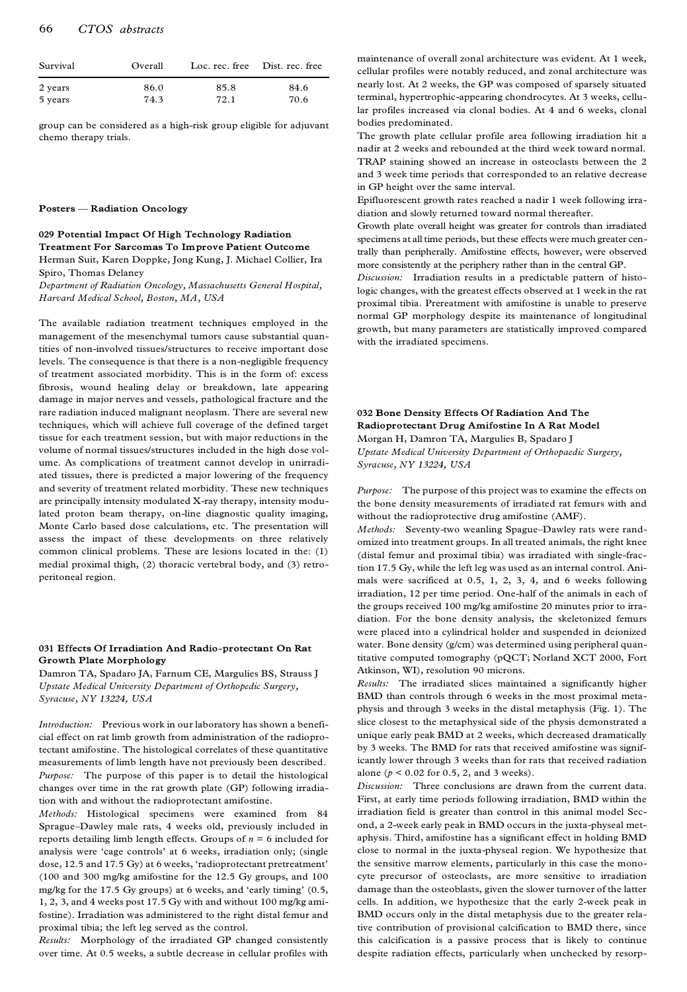| Survival | Overall |      | Loc. rec. free Dist. rec. free |
|----------|---------|------|--------------------------------|
| 2 years  | 86.0    | 85.8 | 84.6                           |
| 5 years  | 74.3    | 72.1 | 70.6                           |

group can be considered as a high-risk group eligible for adjuvant chemo therapy trials.

### **Posters Ð Radiation Oncology**

**029 Potential Impact Of High Technology Radiation Treatment For Sarcomas To Improve Patient Outcome** Herman Suit, Karen Doppke, Jong Kung, J. Michael Collier, Ira Spiro, Thomas Delaney

*Department of Radiation Oncology, Massachusetts General Hospital, Harvard Medical School, Boston, MA, USA*

The available radiation treatment techniques employed in the management of the mesenchymal tumors cause substantial quantities of non-involved tissues/structures to receive important dose levels. The consequence is that there is a non-negligible frequency of treatment associated morbidity. This is in the form of: excess fibrosis, wound healing delay or breakdown, late appearing damage in major nerves and vessels, pathological fracture and the rare radiation induced malignant neoplasm. There are several new techniques, which will achieve full coverage of the defined target tissue for each treatment session, but with major reductions in the volume of normal tissues/structures included in the high dose vol ume. As complications of treatment cannot develop in unirradiated tissues, there is predicted a major lowering of the frequency and severity of treatment related morbidity. These new techniques are principally intensity modulated X-ray therapy, intensity modulated proton beam therapy, on-line diagnostic quality imaging, Monte Carlo based dose calculations, etc. The presentation will assess the impact of these developments on three relatively common clinical problems. These are lesions located in the: (1) medial proximal thigh, (2) thoracic vertebral body, and (3) retro peritoneal region.

# **031 Effects Of Irradiation And Radio-protectant On Rat Growth Plate Morphology**

Damron TA, Spadaro JA, Farnum CE, Margulies BS, Strauss J *Upstate Medical University Department of Orthopedic Surgery, Syracuse, NY 13224, USA*

*Introduction:* Previous work in our laboratory has shown a beneficial effect on rat limb growth from administration of the radioprotectant amifostine. The histological correlates of these quantitative measurements of limb length have not previously been described. *Purpose:* The purpose of this paper is to detail the histological changes over time in the rat growth plate (GP) following irradiation with and without the radioprotectant amifostine.

*Methods:* Histological specimens were examined from 84 Sprague-Dawley male rats, 4 weeks old, previously included in reports detailing limb length effects. Groups of *n* = 6 included for analysis were `cage controls' at 6 weeks, irradiation only; (single dose, 12.5 and 17.5 Gy) at 6 weeks, 'radioprotectant pretreatment' (100 and 300 mg/kg amifostine for the 12.5 Gy groups, and 100 mg/kg for the 17.5 Gy groups) at 6 weeks, and 'early timing' (0.5, 1, 2, 3, and 4 weeks post 17.5 Gy with and without 100 mg/kg amifostine). Irradiation was administered to the right distal femur and proximal tibia; the left leg served as the control.

*Results:* Morphology of the irradiated GP changed consistently over time. At 0.5 weeks, a subtle decrease in cellular profiles with maintenance of overall zonal architecture was evident. At 1 week, cellular profiles were notably reduced, and zonal architecture was nearly lost. At 2 weeks, the GP was composed of sparsely situated terminal, hypertrophic-appearing chondrocytes. At 3 weeks, cellular profiles increased via clonal bodies. At 4 and 6 weeks, clonal bodies predominated.

The growth plate cellular profile area following irradiation hit a nadir at 2 weeks and rebounded at the third week toward normal. TRAP staining showed an increase in osteoclasts between the 2 and 3 week time periods that corresponded to an relative decrease in GP height over the same interval.

Epifluorescent growth rates reached a nadir 1 week following irradiation and slowly returned toward normal thereafter.

Growth plate overall height was greater for controls than irradiated specimens at all time periods, but these effects were much greater centrally than peripherally. Amifostine effects, however, were observed more consistently at the periphery rather than in the central GP.

*Discussion:* Irradiation results in a predictable pattern of histologic changes, with the greatest effects observed at 1 week in the rat proximal tibia. Prereatment with amifostine is unable to preserve normal GP morphology despite its maintenance of longitudinal growth, but many parameters are statistically improved compared with the irradiated specimens.

**032 Bone Density Effects Of Radiation And The Radioprotectant Drug Amifostine In A Rat Model** Morgan H, Damron TA, Margulies B, Spadaro J *Upstate Medical University Department of Orthopaedic Surgery, Syracuse, NY 13224, USA*

*Purpose:* The purpose of this project was to examine the effects on the bone density measurements of irradiated rat femurs with and without the radioprotective drug amifostine (AMF).

*Methods:* Seventy-two weanling Spague-Dawley rats were randomized into treatment groups. In all treated animals, the right knee (distal femur and proximal tibia) was irradiated with single-fraction 17.5 Gy, while the left leg was used as an internal control. Animals were sacrificed at 0.5, 1, 2, 3, 4, and 6 weeks following irradiation, 12 per time period. One-half of the animals in each of the groups received 100 mg/kg amifostine 20 minutes prior to irradiation. For the bone density analysis, the skeletonized femurs were placed into a cylindrical holder and suspended in deionized water. Bone density (g/cm) was determined using peripheral quantitative computed tomography (pQCT; Norland XCT 2000, Fort Atkinson, WI), resolution 90 microns.

*Results:* The irradiated slices maintained a significantly higher BMD than controls through 6 weeks in the most proximal meta physis and through 3 weeks in the distal metaphysis (Fig. 1). The slice closest to the metaphysical side of the physis demonstrated a unique early peak BMD at 2 weeks, which decreased dramatically by 3 weeks. The BMD for rats that received amifostine was significantly lower through 3 weeks than for rats that received radiation alone ( $p < 0.02$  for 0.5, 2, and 3 weeks).

*Discussion:* Three conclusions are drawn from the current data. First, at early time periods following irradiation, BMD within the irradiation field is greater than control in this animal model Second, a 2-week early peak in BMD occurs in the juxta-physeal met aphysis. Third, amifostine has a significant effect in holding BMD close to normal in the juxta-physeal region. We hypothesize that the sensitive marrow elements, particularly in this case the mono cyte precursor of osteoclasts, are more sensitive to irradiation damage than the osteoblasts, given the slower turnover of the latter cells. In addition, we hypothesize that the early 2-week peak in BMD occurs only in the distal metaphysis due to the greater relative contribution of provisional calcification to BMD there, since this calcification is a passive process that is likely to continue despite radiation effects, particularly when unchecked by resorp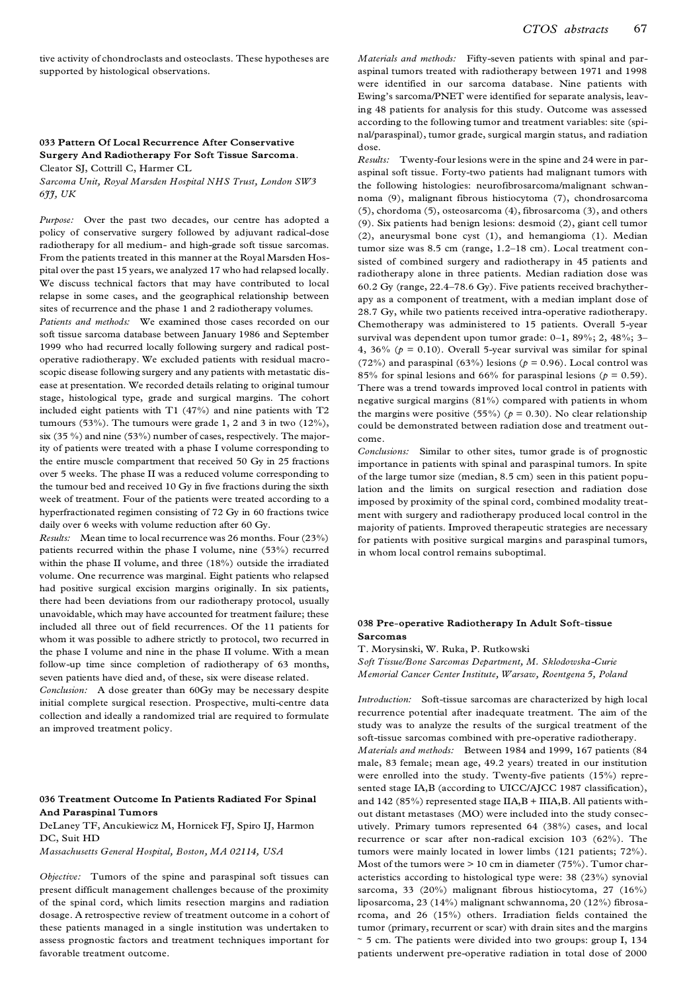tive activity of chondroclasts and osteoclasts. These hypotheses are supported by histological observations.

# **033 Pattern Of Local Recurrence After Conservative Surgery And Radiotherapy For Soft Tissue Sarcoma.**

Cleator SJ, Cottrill C, Harmer CL

*Sarcoma Unit, Royal Marsden Hospital NHS Trust, London SW3 6JJ, UK*

*Purpose:* Over the past two decades, our centre has adopted a policy of conservative surgery followed by adjuvant radical-dose radiotherapy for all medium- and high-grade soft tissue sarcomas. From the patients treated in this manner at the Royal Marsden Hospital over the past 15 years, we analyzed 17 who had relapsed locally. We discuss technical factors that may have contributed to local relapse in some cases, and the geographical relationship between sites of recurrence and the phase 1 and 2 radiotherapy volumes.

*Patients and methods:* We examined those cases recorded on our soft tissue sarcoma database between January 1986 and September 1999 who had recurred locally following surgery and radical postoperative radiotherapy. We excluded patients with residual macroscopic disease following surgery and any patients with metastatic dis ease at presentation. We recorded details relating to original tumour stage, histological type, grade and surgical margins. The cohort included eight patients with T1 (47%) and nine patients with T2 tumours (53%). The tumours were grade 1, 2 and 3 in two  $(12\%)$ , six (35 %) and nine (53%) number of cases, respectively. The majority of patients were treated with a phase I volume corresponding to the entire muscle compartment that received 50 Gy in 25 fractions over 5 weeks. The phase II was a reduced volume corresponding to the tumour bed and received 10 Gy in five fractions during the sixth week of treatment. Four of the patients were treated according to a hyperfractionated regimen consisting of 72 Gy in 60 fractions twice daily over 6 weeks with volume reduction after 60 Gy.

*Results:* Mean time to local recurrence was 26 months. Four (23%) patients recurred within the phase I volume, nine (53%) recurred within the phase II volume, and three (18%) outside the irradiated volume. One recurrence was marginal. Eight patients who relapsed had positive surgical excision margins originally. In six patients, there had been deviations from our radiotherapy protocol, usually unavoidable, which may have accounted for treatment failure; these included all three out of field recurrences. Of the 11 patients for whom it was possible to adhere strictly to protocol, two recurred in the phase I volume and nine in the phase II volume. With a mean follow-up time since completion of radiotherapy of 63 months, seven patients have died and, of these, six were disease related.

*Conclusion:* A dose greater than 60Gy may be necessary despite initial complete surgical resection. Prospective, multi-centre data collection and ideally a randomized trial are required to formulate an improved treatment policy.

# **036 Treatment Outcome In Patients Radiated For Spinal And Paraspinal Tumors**

DeLaney TF, Ancukiewicz M, Hornicek FJ, Spiro IJ, Harmon DC, Suit HD

*Massachusetts General Hospital, Boston, MA 02114, USA*

*Objective:* Tumors of the spine and paraspinal soft tissues can present difficult management challenges because of the proximity of the spinal cord, which limits resection margins and radiation dosage. A retrospective review of treatment outcome in a cohort of these patients managed in a single institution was undertaken to assess prognostic factors and treatment techniques important for favorable treatment outcome.

*Materials and methods:* Fifty-seven patients with spinal and paraspinal tumors treated with radiotherapy between 1971 and 1998 were identified in our sarcoma database. Nine patients with Ewing's sarcoma/PNET were identified for separate analysis, leaving 48 patients for analysis for this study. Outcome was assessed according to the following tumor and treatment variables: site (spinal/paraspinal), tumor grade, surgical margin status, and radiation dose.

*Results:* Twenty-four lesions were in the spine and 24 were in paraspinal soft tissue. Forty-two patients had malignant tumors with the following histologies: neurofibrosarcoma/malignant schwan noma (9), malignant fibrous histiocytoma (7), chondrosarcoma (5), chordoma (5), osteosarcoma (4), fibrosarcoma (3), and others (9). Six patients had benign lesions: desmoid (2), giant cell tumor (2), aneurysmal bone cyst (1), and hemangioma (1). Median tumor size was 8.5 cm (range, 1.2-18 cm). Local treatment consisted of combined surgery and radiotherapy in 45 patients and radiotherapy alone in three patients. Median radiation dose was 60.2 Gy (range, 22.4-78.6 Gy). Five patients received brachytherapy as a component of treatment, with a median implant dose of 28.7 Gy, while two patients received intra-operative radiotherapy. Chemotherapy was administered to 15 patients. Overall 5-year survival was dependent upon tumor grade:  $0-1$ ,  $89\%$ ;  $2$ ,  $48\%$ ;  $3-$ 4, 36%  $(p = 0.10)$ . Overall 5-year survival was similar for spinal (72%) and paraspinal (63%) lesions ( $p = 0.96$ ). Local control was 85% for spinal lesions and 66% for paraspinal lesions ( $p = 0.59$ ). There was a trend towards improved local control in patients with negative surgical margins (81%) compared with patients in whom the margins were positive (55%) ( $p = 0.30$ ). No clear relationship could be demonstrated between radiation dose and treatment out come.

*Conclusions:* Similar to other sites, tumor grade is of prognostic importance in patients with spinal and paraspinal tumors. In spite of the large tumor size (median, 8.5 cm) seen in this patient population and the limits on surgical resection and radiation dose imposed by proximity of the spinal cord, combined modality treat ment with surgery and radiotherapy produced local control in the majority of patients. Improved therapeutic strategies are necessary for patients with positive surgical margins and paraspinal tumors, in whom local control remains suboptimal.

### **038 Pre-operative Radiotherapy In Adult Soft-tissue Sarcomas**

T. Morysinski, W. Ruka, P. Rutkowski

*Soft Tissue/Bone Sarcomas Department, M. Sklodowska-Curie Memorial Cancer Center Institute, Warsaw, Roentgena 5, Poland*

*Introduction:* Soft-tissue sarcomas are characterized by high local recurrence potential after inadequate treatment. The aim of the study was to analyze the results of the surgical treatment of the soft-tissue sarcomas combined with pre-operative radiotherapy. *Materials and methods:* Between 1984 and 1999, 167 patients (84 male, 83 female; mean age, 49.2 years) treated in our institution were enrolled into the study. Twenty-five patients (15%) represented stage IA,B (according to UICC/AJCC 1987 classification), and 142 (85%) represented stage  $IIA,B+IIIA,B$ . All patients without distant metastases (MO) were included into the study consec utively. Primary tumors represented 64 (38%) cases, and local recurrence or scar after non-radical excision 103 (62%). The tumors were mainly located in lower limbs (121 patients; 72%). Most of the tumors were  $> 10$  cm in diameter (75%). Tumor characteristics according to histological type were: 38 (23%) synovial sarcoma, 33 (20%) malignant fibrous histiocytoma, 27 (16%) liposarcoma, 23 (14%) malignant schwannoma, 20 (12%) fibrosarcoma, and 26 (15%) others. Irradiation fields contained the tumor (primary, recurrent or scar) with drain sites and the margins  $~\sim$  5 cm. The patients were divided into two groups: group I, 134 patients underwent pre-operative radiation in total dose of 2000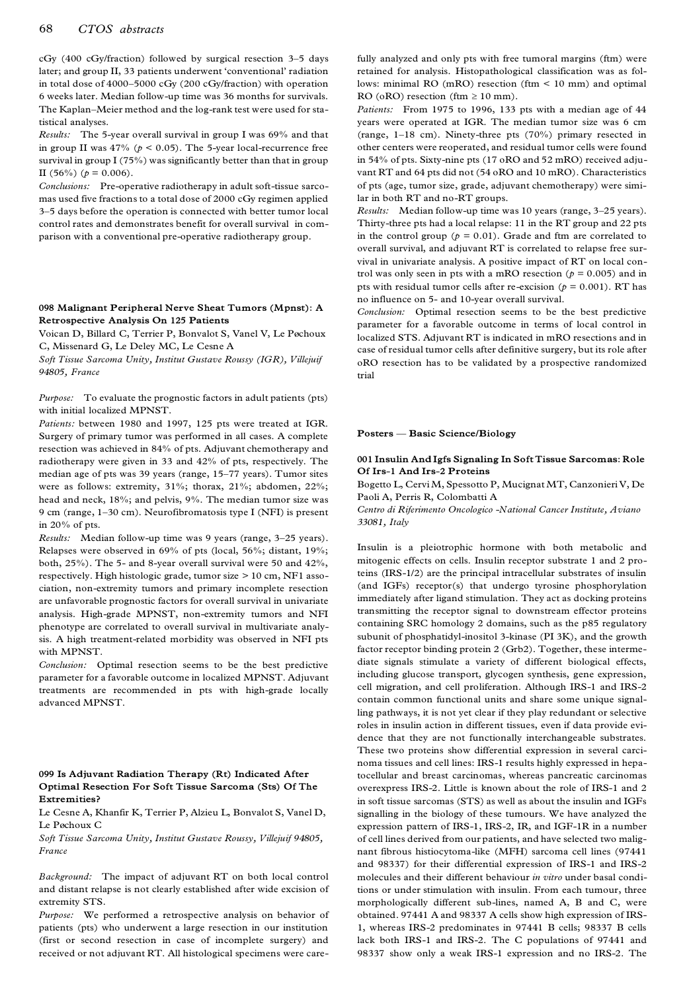cGy (400 cGy/fraction) followed by surgical resection 3-5 days later; and group II, 33 patients underwent 'conventional' radiation in total dose of 4000-5000 cGy (200 cGy/fraction) with operation 6 weeks later. Median follow-up time was 36 months for survivals. The Kaplan-Meier method and the log-rank test were used for statistical analyses.

*Results:* The 5-year overall survival in group I was 69% and that in group II was  $47\%$  ( $p < 0.05$ ). The 5-year local-recurrence free survival in group I (75%) was significantly better than that in group II (56%) ( $p = 0.006$ ).

*Conclusions:* Pre-operative radiotherapy in adult soft-tissue sarco mas used five fractions to a total dose of 2000 cGy regimen applied 3-5 days before the operation is connected with better tumor local control rates and demonstrates benefit for overall survival in com parison with a conventional pre-operative radiotherapy group.

### **098 Malignant Peripheral Nerve Sheat Tumors (Mpnst): A Retrospective Analysis On 125 Patients**

Voican D, Billard C, Terrier P, Bonvalot S, Vanel V, Le Pøchoux C, Missenard G, Le Deley MC, Le Cesne A

*Soft Tissue Sarcoma Unity, Institut Gustave Roussy (IGR), Villejuif 94805, France*

*Purpose:* To evaluate the prognostic factors in adult patients (pts) with initial localized MPNST.

*Patients:* between 1980 and 1997, 125 pts were treated at IGR. Surgery of primary tumor was performed in all cases. A complete resection was achieved in 84% of pts. Adjuvant chemotherapy and radiotherapy were given in 33 and 42% of pts, respectively. The median age of pts was 39 years (range, 15-77 years). Tumor sites were as follows: extremity, 31%; thorax, 21%; abdomen, 22%; head and neck, 18%; and pelvis, 9%. The median tumor size was 9 cm (range, 1-30 cm). Neurofibromatosis type I (NFI) is present in 20% of pts.

*Results:* Median follow-up time was 9 years (range, 3-25 years). Relapses were observed in 69% of pts (local, 56%; distant, 19%; both, 25%). The 5- and 8-year overall survival were 50 and 42%, respectively. High histologic grade, tumor size > 10 cm, NF1 asso ciation, non-extremity tumors and primary incomplete resection are unfavorable prognostic factors for overall survival in univariate analysis. High-grade MPNST, non-extremity tumors and NFI phenotype are correlated to overall survival in multivariate analysis. A high treatment-related morbidity was observed in NFI pts with MPNST.

*Conclusion:* Optimal resection seems to be the best predictive parameter for a favorable outcome in localized MPNST. Adjuvant treatments are recommended in pts with high-grade locally advanced MPNST.

### **099 Is Adjuvant Radiation Therapy (Rt) Indicated After Optimal Resection For Soft Tissue Sarcoma (Sts) Of The Extremities?**

Le Cesne A, Khanfir K, Terrier P, Alzieu L, Bonvalot S, Vanel D, Le Pøchoux C

*Soft Tissue Sarcoma Unity, Institut Gustave Roussy, Villejuif 94805, France*

*Background:* The impact of adjuvant RT on both local control and distant relapse is not clearly established after wide excision of extremity STS.

*Purpose:* We performed a retrospective analysis on behavior of patients (pts) who underwent a large resection in our institution (first or second resection in case of incomplete surgery) and received or not adjuvant RT. All histological specimens were carefully analyzed and only pts with free tumoral margins (ftm) were retained for analysis. Histopathological classification was as follows: minimal RO (mRO) resection (ftm < 10 mm) and optimal RO ( $o$ RO) resection (ftm  $\geq 10$  mm).

*Patients:* From 1975 to 1996, 133 pts with a median age of 44 years were operated at IGR. The median tumor size was 6 cm (range, 1-18 cm). Ninety-three pts (70%) primary resected in other centers were reoperated, and residual tumor cells were found in 54% of pts. Sixty-nine pts (17 oRO and 52 mRO) received adju vant RT and 64 pts did not (54 oRO and 10 mRO). Characteristics of pts (age, tumor size, grade, adjuvant chemotherapy) were similar in both RT and no-RT groups.

*Results:* Median follow-up time was 10 years (range, 3-25 years). Thirty-three pts had a local relapse: 11 in the RT group and 22 pts in the control group ( $p = 0.01$ ). Grade and ftm are correlated to overall survival, and adjuvant RT is correlated to relapse free sur vival in univariate analysis. A positive impact of RT on local control was only seen in pts with a mRO resection ( $p = 0.005$ ) and in pts with residual tumor cells after re-excision ( $p = 0.001$ ). RT has no influence on 5- and 10-year overall survival.

*Conclusion:* Optimal resection seems to be the best predictive parameter for a favorable outcome in terms of local control in localized STS. Adjuvant RT is indicated in mRO resections and in case of residual tumor cells after definitive surgery, but its role after oRO resection has to be validated by a prospective randomized trial

#### **Posters Ð Basic Science/Biology**

### **001 Insulin And Igfs Signaling In Soft Tissue Sarcomas: Role Of Irs-1 And Irs-2 Proteins**

Bogetto L, Cervi M, Spessotto P, Mucignat MT, Canzonieri V, De Paoli A, Perris R, Colombatti A

*Centro di Riferimento Oncologico -National Cancer Institute, Aviano 33081, Italy*

Insulin is a pleiotrophic hormone with both metabolic and mitogenic effects on cells. Insulin receptor substrate 1 and 2 proteins (IRS-1/2) are the principal intracellular substrates of insulin (and IGFs) receptor(s) that undergo tyrosine phosphorylation immediately after ligand stimulation. They act as docking proteins transmitting the receptor signal to downstream effector proteins containing SRC homology 2 domains, such as the p85 regulatory subunit of phosphatidyl-inositol 3-kinase (PI 3K), and the growth factor receptor binding protein 2 (Grb2). Together, these intermediate signals stimulate a variety of different biological effects, including glucose transport, glycogen synthesis, gene expression, cell migration, and cell proliferation. Although IRS-1 and IRS-2 contain common functional units and share some unique signalling pathways, it is not yet clear if they play redundant or selective roles in insulin action in different tissues, even if data provide evidence that they are not functionally interchangeable substrates. These two proteins show differential expression in several carci noma tissues and cell lines: IRS-1 results highly expressed in hepatocellular and breast carcinomas, whereas pancreatic carcinomas overexpress IRS-2. Little is known about the role of IRS-1 and 2 in soft tissue sarcomas (STS) as well as about the insulin and IGFs signalling in the biology of these tumours. We have analyzed the expression pattern of IRS-1, IRS-2, IR, and IGF-1R in a number of cell lines derived from our patients, and have selected two malig nant fibrous histiocytoma-like (MFH) sarcoma cell lines (97441 and 98337) for their differential expression of IRS-1 and IRS-2 molecules and their different behaviour *in vitro* under basal conditions or under stimulation with insulin. From each tumour, three morphologically different sub-lines, named A, B and C, were obtained. 97441 A and 98337 A cells show high expression of IRS-1, whereas IRS-2 predominates in 97441 B cells; 98337 B cells lack both IRS-1 and IRS-2. The C populations of 97441 and 98337 show only a weak IRS-1 expression and no IRS-2. The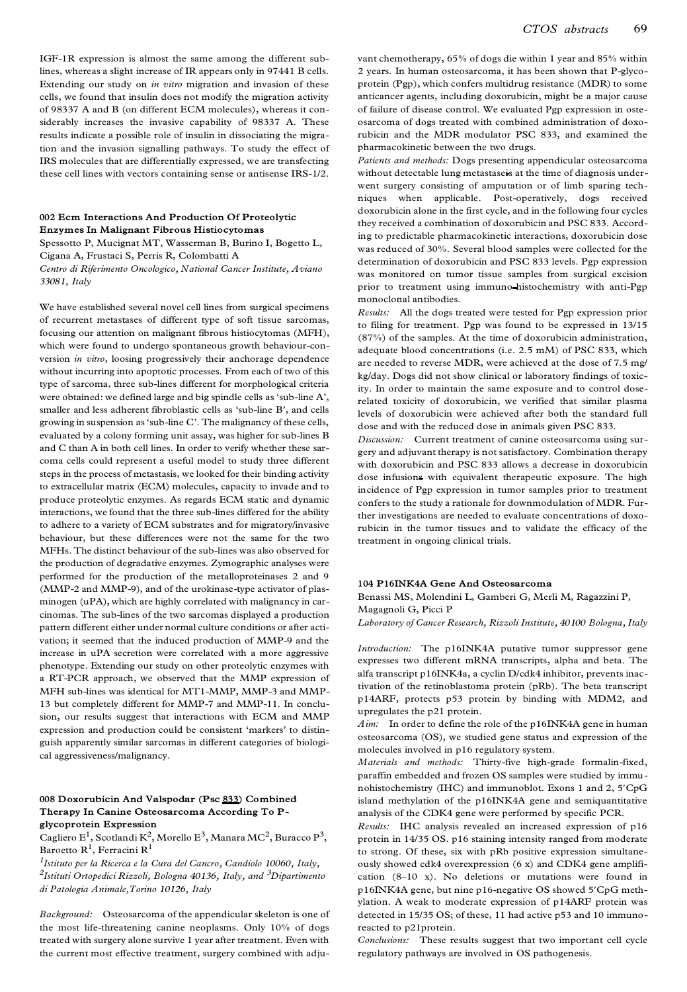IGF-1R expression is almost the same among the different sublines, whereas a slight increase of IR appears only in 97441 B cells. Extending our study on *in vitro* migration and invasion of these cells, we found that insulin does not modify the migration activity of 98337 A and B (on different ECM molecules), whereas it considerably increases the invasive capability of 98337 A. These results indicate a possible role of insulin in dissociating the migration and the invasion signalling pathways. To study the effect of IRS molecules that are differentially expressed, we are transfecting these cell lines with vectors containing sense or antisense IRS-1/2.

### **002 Ecm Interactions And Production Of Proteolytic Enzymes In Malignant Fibrous Histiocytomas**

Spessotto P, Mucignat MT, Wasserman B, Burino I, Bogetto L, Cigana A, Frustaci S, Perris R, Colombatti A *Centro di Riferimento Oncologico, National Cancer Institute, Aviano 33081, Italy*

We have established several novel cell lines from surgical specimens of recurrent metastases of different type of soft tissue sarcomas, focusing our attention on malignant fibrous histiocytomas (MFH), which were found to undergo spontaneous growth behaviour-conversion *in vitro*, loosing progressively their anchorage dependence without incurring into apoptotic processes. From each of two of this type of sarcoma, three sub-lines different for morphological criteria were obtained: we defined large and big spindle cells as 'sub-line A', smaller and less adherent fibroblastic cells as 'sub-line B', and cells growing in suspension as 'sub-line C'. The malignancy of these cells, evaluated by a colony forming unit assay, was higher for sub-lines B and C than A in both cell lines. In order to verify whether these sar coma cells could represent a useful model to study three different steps in the process of metastasis, we looked for their binding activity to extracellular matrix (ECM) molecules, capacity to invade and to produce proteolytic enzymes. As regards ECM static and dynamic interactions, we found that the three sub-lines differed for the ability to adhere to a variety of ECM substrates and for migratory/invasive behaviour, but these differences were not the same for the two MFHs. The distinct behaviour of the sub-lines was also observed for the production of degradative enzymes. Zymographic analyses were performed for the production of the metalloproteinases 2 and 9 (MMP-2 and MMP-9), and of the urokinase-type activator of plasminogen (uPA), which are highly correlated with malignancy in car cinomas. The sub-lines of the two sarcomas displayed a production pattern different either under normal culture conditions or after activation; it seemed that the induced production of MMP-9 and the increase in uPA secretion were correlated with a more aggressive phenotype. Extending our study on other proteolytic enzymes with a RT-PCR approach, we observed that the MMP expression of MFH sub-lines was identical for MT1-MMP, MMP-3 and MMP-13 but completely different for MMP-7 and MMP-11. In conclusion, our results suggest that interactions with ECM and MMP expression and production could be consistent 'markers' to distinguish apparently similar sarcomas in different categories of biological aggressiveness/malignancy.

### **008 Doxorubicin And Valspodar (Psc 833) Combined Therapy In Canine Osteosarcoma According To Pglycoprotein Expression**

Cagliero E<sup>1</sup>, Scotlandi K<sup>2</sup>, Morello E<sup>3</sup>, Manara MC<sup>2</sup>, Buracco P<sup>3</sup>,<br>Baroetto R<sup>1</sup>, Ferracini R<sup>1</sup>  $^{\rm l}$ , Ferracini R $^{\rm l}$ 

*1 Istituto per la Ricerca e la Cura del Cancro, Candiolo 10060, Italy, 2 Istituti Ortopedici Rizzoli, Bologna 40136, Italy, and 3Dipartimento di Patologia Animale,Torino 10126, Italy*

*Background:* Osteosarcoma of the appendicular skeleton is one of the most life-threatening canine neoplasms. Only 10% of dogs treated with surgery alone survive 1 year after treatment. Even with the current most effective treatment, surgery combined with adjuvant chemotherapy, 65% of dogs die within 1 year and 85% within 2 years. In human osteosarcoma, it has been shown that P-glyco protein (Pgp), which confers multidrug resistance (MDR) to some anticancer agents, including doxorubicin, might be a major cause of failure of disease control. We evaluated Pgp expression in oste osarcoma of dogs treated with combined administration of doxorubicin and the MDR modulator PSC 833, and examined the pharmacokinetic between the two drugs.

*Patients and methods:* Dogs presenting appendicular osteosarcoma without detectable lung metastaseis at the time of diagnosis under went surgery consisting of amputation or of limb sparing techniques when applicable. Post-operatively, dogs received doxorubicin alone in the first cycle, and in the following four cycles they received a combination of doxorubicin and PSC 833. According to predictable pharmacokinetic interactions, doxorubicin dose was reduced of 30%. Several blood samples were collected for the determination of doxorubicin and PSC 833 levels. Pgp expression was monitored on tumor tissue samples from surgical excision prior to treatment using immuno-histochemistry with anti-Pgp monoclonal antibodies.

*Results:* All the dogs treated were tested for Pgp expression prior to filing for treatment. Pgp was found to be expressed in 13/15 (87%) of the samples. At the time of doxorubicin administration, adequate blood concentrations (i.e. 2.5 mM) of PSC 833, which are needed to reverse MDR, were achieved at the dose of 7.5 mg/ kg/day. Dogs did not show clinical or laboratory findings of toxicity. In order to maintain the same exposure and to control doserelated toxicity of doxorubicin, we verified that similar plasma levels of doxorubicin were achieved after both the standard full dose and with the reduced dose in animals given PSC 833.

*Discussion:* Current treatment of canine osteosarcoma using sur gery and adjuvant therapy is not satisfactory. Combination therapy with doxorubicin and PSC 833 allows a decrease in doxorubicin dose infusions with equivalent therapeutic exposure. The high incidence of Pgp expression in tumor samples prior to treatment confers to the study a rationale for downmodulation of MDR. Further investigations are needed to evaluate concentrations of doxorubicin in the tumor tissues and to validate the efficacy of the treatment in ongoing clinical trials.

### **104 P16INK4A Gene And Osteosarcoma**

Benassi MS, Molendini L, Gamberi G, Merli M, Ragazzini P, Magagnoli G, Picci P

*Laboratory of Cancer Research, Rizzoli Institute, 40100 Bologna, Italy*

*Introduction:* The p16INK4A putative tumor suppressor gene expresses two different mRNA transcripts, alpha and beta. The alfa transcript p16INK4a, a cyclin D/cdk4 inhibitor, prevents inactivation of the retinoblastoma protein (pRb). The beta transcript p14ARF, protects p53 protein by binding with MDM2, and upregulates the p21 protein.

*Aim:* In order to define the role of the p16INK4A gene in human osteosarcoma (OS), we studied gene status and expression of the molecules involved in p16 regulatory system.

*Materials and methods:* Thirty-five high-grade formalin-fixed, paraffin embedded and frozen OS samples were studied by immu nohistochemistry (IHC) and immunoblot. Exons 1 and 2, 5'CpG island methylation of the p16INK4A gene and semiquantitative analysis of the CDK4 gene were performed by specific PCR.

*Results:* IHC analysis revealed an increased expression of p16 protein in 14/35 OS. p16 staining intensity ranged from moderate to strong. Of these, six with pRb positive expression simultaneously showed cdk4 overexpression (6 x) and CDK4 gene amplification (8±10 x). No deletions or mutations were found in p16INK4A gene, but nine p16-negative OS showed 5'CpG methylation. A weak to moderate expression of p14ARF protein was detected in 15/35 OS; of these, 11 had active p53 and 10 immunoreacted to p21protein.

*Conclusions:* These results suggest that two important cell cycle regulatory pathways are involved in OS pathogenesis.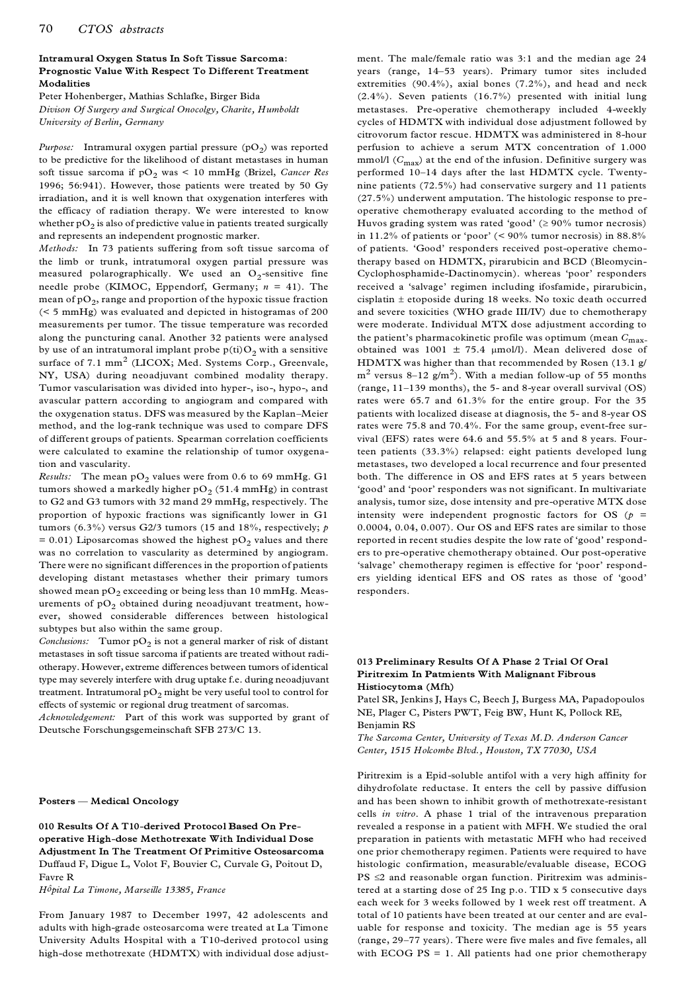### **Intramural Oxygen Status In Soft Tissue Sarcoma: Prognostic Value With Respect To Different Treatment Modalities**

Peter Hohenberger, Mathias Schlafke, Birger Bida *Divison Of Surgery and Surgical Onocolgy, Charite, Humboldt University of Berlin, Germany*

 $\emph{Purpose:}$  Intramural oxygen partial pressure  $(pO_2)$  was reported to be predictive for the likelihood of distant metastases in human soft tissue sarcoma if pO<sub>2</sub> was < 10 mmHg (Brizel, *Cancer Res* 1996; 56:941). However, those patients were treated by 50 Gy irradiation, and it is well known that oxygenation interferes with the efficacy of radiation therapy. We were interested to know whether p $\mathrm{O}_2$  is also of predictive value in patients treated surgically and represents an independent prognostic marker.

*Methods:* In 73 patients suffering from soft tissue sarcoma of the limb or trunk, intratumoral oxygen partial pressure was measured polarographically. We used an  $O_2$ -sensitive fine needle probe (KIMOC, Eppendorf, Germany; *n* = 41). The mean of p ${\rm O}_2$ , range and proportion of the hypoxic tissue fraction (< 5 mmHg) was evaluated and depicted in histogramas of 200 measurements per tumor. The tissue temperature was recorded along the puncturing canal. Another 32 patients were analysed by use of an intratumoral implant probe  $p(ti)O_2$  with a sensitive surface of 7.1 mm<sup>2</sup> (LICOX; Med. Systems Corp., Greenvale, NY, USA) during neoadjuvant combined modality therapy. Tumor vascularisation was divided into hyper-, iso-, hypo-, and avascular pattern according to angiogram and compared with the oxygenation status. DFS was measured by the Kaplan-Meier method, and the log-rank technique was used to compare DFS of different groups of patients. Spearman correlation coefficients were calculated to examine the relationship of tumor oxygenation and vascularity.

*Results:* The mean  $pO_2$  values were from 0.6 to 69 mmHg. G1 tumors showed a markedly higher p ${\rm O}_2$  (51.4 mmHg) in contrast to G2 and G3 tumors with 32 mand 29 mmHg, respectively. The proportion of hypoxic fractions was significantly lower in G1 tumors (6.3%) versus G2/3 tumors (15 and 18%, respectively; *p* = 0.01) Liposarcomas showed the highest  $pO_2$  values and there was no correlation to vascularity as determined by angiogram. There were no significant differences in the proportion of patients developing distant metastases whether their primary tumors showed mean  $pO_2$  exceeding or being less than 10 mmHg. Measurements of  $pO<sub>2</sub>$  obtained during neoadjuvant treatment, however, showed considerable differences between histological subtypes but also within the same group.

 $Conclusions:$  Tumor  $pO<sub>2</sub>$  is not a general marker of risk of distant metastases in soft tissue sarcoma if patients are treated without radiotherapy. However, extreme differences between tumors of identical type may severely interfere with drug uptake f.e. during neoadjuvant treatment. Intratumoral  $pO_2$  might be very useful tool to control for effects of systemic or regional drug treatment of sarcomas.

*Acknowledgement:* Part of this work was supported by grant of Deutsche Forschungsgemeinschaft SFB 273/C 13.

#### **Posters Ð Medical Oncology**

**010 Results Of A T10-derived Protocol Based On Preoperative High-dose Methotrexate With Individual Dose Adjustment In The Treatment Of Primitive Osteosarcoma** Duffaud F, Digue L, Volot F, Bouvier C, Curvale G, Poitout D, Favre R

*Hôpital La Timone, Marseille 13385, France*

From January 1987 to December 1997, 42 adolescents and adults with high-grade osteosarcoma were treated at La Timone University Adults Hospital with a T10-derived protocol using high-dose methotrexate (HDMTX) with individual dose adjustment. The male/female ratio was 3:1 and the median age 24 years (range, 14-53 years). Primary tumor sites included extremities (90.4%), axial bones (7.2%), and head and neck (2.4%). Seven patients (16.7%) presented with initial lung metastases. Pre-operative chemotherapy included 4-weekly cycles of HDMTX with individual dose adjustment followed by citrovorum factor rescue. HDMTX was administered in 8-hour perfusion to achieve a serum MTX concentration of 1.000 mmol/l (C<sub>max</sub>) at the end of the infusion. Definitive surgery was performed 10-14 days after the last HDMTX cycle. Twentynine patients (72.5%) had conservative surgery and 11 patients (27.5%) underwent amputation. The histologic response to pre operative chemotherapy evaluated according to the method of Huvos grading system was rated 'good' ( $\geq 90\%$  tumor necrosis) in 11.2% of patients or 'poor' (<  $90\%$  tumor necrosis) in  $88.8\%$ of patients. `Good' responders received post-operative chemotherapy based on HDMTX, pirarubicin and BCD (Bleomycin- Cyclophosphamide-Dactinomycin). whereas `poor' responders received a `salvage' regimen including ifosfamide, pirarubicin, cisplatin ± etoposide during 18 weeks. No toxic death occurred and severe toxicities (WHO grade III/IV) due to chemotherapy were moderate. Individual MTX dose adjustment according to the patient's pharmacokinetic profile was optimum (mean *C*max obtained was 1001  $\pm$  75.4 µmol/l). Mean delivered dose of HDMTX was higher than that recommended by Rosen (13.1 g/  $\rm m^2$  versus 8–12 g/m<sup>2</sup>). With a median follow-up of 55 months (range, 11-139 months), the 5- and 8-year overall survival (OS) rates were 65.7 and 61.3% for the entire group. For the 35 patients with localized disease at diagnosis, the 5- and 8-year OS rates were 75.8 and 70.4%. For the same group, event-free sur vival (EFS) rates were 64.6 and 55.5% at 5 and 8 years. Fourteen patients (33.3%) relapsed: eight patients developed lung metastases, two developed a local recurrence and four presented both. The difference in OS and EFS rates at 5 years between 'good' and 'poor' responders was not significant. In multivariate analysis, tumor size, dose intensity and pre-operative MTX dose intensity were independent prognostic factors for OS (*p* = 0.0004, 0.04, 0.007). Our OS and EFS rates are similar to those reported in recent studies despite the low rate of `good' respond ers to pre-operative chemotherapy obtained. Our post-operative 'salvage' chemotherapy regimen is effective for 'poor' responders yielding identical EFS and OS rates as those of `good' responders.

### **013 Preliminary Results Of A Phase 2 Trial Of Oral Piritrexim In Patmients With Malignant Fibrous Histiocytoma (Mfh)**

Patel SR, Jenkins J, Hays C, Beech J, Burgess MA, Papadopoulos NE, Plager C, Pisters PWT, Feig BW, Hunt K, Pollock RE, Benjamin RS

*The Sarcoma Center, University of Texas M.D. Anderson Cancer Center, 1515 Holcombe Blvd., Houston, TX 77030, USA*

Piritrexim is a Epid-soluble antifol with a very high affinity for dihydrofolate reductase. It enters the cell by passive diffusion and has been shown to inhibit growth of methotrexate-resistant cells *in vitro*. A phase 1 trial of the intravenous preparation revealed a response in a patient with MFH. We studied the oral preparation in patients with metastatic MFH who had received one prior chemotherapy regimen. Patients were required to have histologic confirmation, measurable/evaluable disease, ECOG  $PS \leq 2$  and reasonable organ function. Piritrexim was administered at a starting dose of 25 Ing p.o. TID x 5 consecutive days each week for 3 weeks followed by 1 week rest off treatment. A total of 10 patients have been treated at our center and are evaluable for response and toxicity. The median age is 55 years (range, 29-77 years). There were five males and five females, all with ECOG  $PS = 1$ . All patients had one prior chemotherapy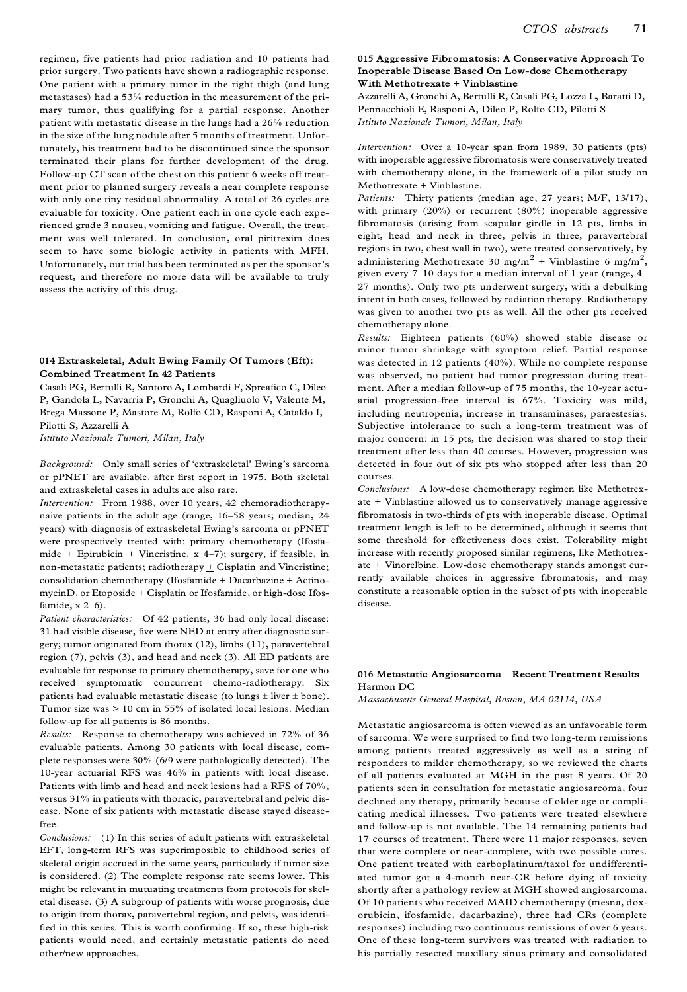regimen, five patients had prior radiation and 10 patients had prior surgery. Two patients have shown a radiographic response. One patient with a primary tumor in the right thigh (and lung metastases) had a 53% reduction in the measurement of the primary tumor, thus qualifying for a partial response. Another patient with metastatic disease in the lungs had a 26% reduction in the size of the lung nodule after 5 months of treatment. Unfortunately, his treatment had to be discontinued since the sponsor terminated their plans for further development of the drug. Follow-up CT scan of the chest on this patient 6 weeks off treat ment prior to planned surgery reveals a near complete response with only one tiny residual abnormality. A total of 26 cycles are evaluable for toxicity. One patient each in one cycle each experienced grade 3 nausea, vomiting and fatigue. Overall, the treat ment was well tolerated. In conclusion, oral piritrexim does seem to have some biologic activity in patients with MFH. Unfortunately, our trial has been terminated as per the sponsor's request, and therefore no more data will be available to truly assess the activity of this drug.

# **014 Extraskeletal, Adult Ewing Family Of Tumors (Eft): Combined Treatment In 42 Patients**

Casali PG, Bertulli R, Santoro A, Lombardi F, Spreafico C, Dileo P, Gandola L, Navarria P, Gronchi A, Quagliuolo V, Valente M, Brega Massone P, Mastore M, Rolfo CD, Rasponi A, Cataldo I, Pilotti S, Azzarelli A

*Istituto Nazionale Tumori, Milan, Italy*

*Background:* Only small series of `extraskeletal' Ewing's sarcoma or pPNET are available, after first report in 1975. Both skeletal and extraskeletal cases in adults are also rare.

*Intervention:* From 1988, over 10 years, 42 chemoradiotherapynaive patients in the adult age (range, 16-58 years; median, 24 years) with diagnosis of extraskeletal Ewing's sarcoma or pPNET were prospectively treated with: primary chemotherapy (Ifosfamide + Epirubicin + Vincristine,  $x$  4-7); surgery, if feasible, in non-metastatic patients; radiotherapy  $\pm$  Cisplatin and Vincristine; consolidation chemotherapy (Ifosfamide + Dacarbazine + ActinomycinD, or Etoposide + Cisplatin or Ifosfamide, or high-dose Ifosfamide,  $x$   $2-6$ ).

*Patient characteristics:* Of 42 patients, 36 had only local disease: 31 had visible disease, five were NED at entry after diagnostic sur gery; tumor originated from thorax (12), limbs (11), paravertebral region (7), pelvis (3), and head and neck (3). All ED patients are evaluable for response to primary chemotherapy, save for one who received symptomatic concurrent chemo-radiotherapy. Six patients had evaluable metastatic disease (to lungs  $\pm$  liver  $\pm$  bone). Tumor size was > 10 cm in 55% of isolated local lesions. Median follow-up for all patients is 86 months.

*Results:* Response to chemotherapy was achieved in 72% of 36 evaluable patients. Among 30 patients with local disease, com plete responses were 30% (6/9 were pathologically detected). The 10-year actuarial RFS was 46% in patients with local disease. Patients with limb and head and neck lesions had a RFS of 70%, versus 31% in patients with thoracic, paravertebral and pelvic dis ease. None of six patients with metastatic disease stayed diseasefree.

*Conclusions:* (1) In this series of adult patients with extraskeletal EFT, long-term RFS was superimposible to childhood series of skeletal origin accrued in the same years, particularly if tumor size is considered. (2) The complete response rate seems lower. This might be relevant in mutuating treatments from protocols for skeletal disease. (3) A subgroup of patients with worse prognosis, due to origin from thorax, paravertebral region, and pelvis, was identified in this series. This is worth confirming. If so, these high-risk patients would need, and certainly metastatic patients do need other/new approaches.

### **015 Aggressive Fibromatosis: A Conservative Approach To Inoperable Disease Based On Low-dose Chemotherapy With Methotrexate + Vinblastine**

Azzarelli A, Gronchi A, Bertulli R, Casali PG, Lozza L, Baratti D, Pennacchioli E, Rasponi A, Dileo P, Rolfo CD, Pilotti S *Istituto Nazionale Tumori, Milan, Italy*

*Intervention:* Over a 10-year span from 1989, 30 patients (pts) with inoperable aggressive fibromatosis were conservatively treated with chemotherapy alone, in the framework of a pilot study on Methotrexate + Vinblastine.

*Patients:* Thirty patients (median age, 27 years; M/F, 13/17), with primary (20%) or recurrent (80%) inoperable aggressive fibromatosis (arising from scapular girdle in 12 pts, limbs in eight, head and neck in three, pelvis in three, paravertebral regions in two, chest wall in two), were treated conservatively, by administering Methotrexate 30 mg/m<sup>2</sup> + Vinblastine 6 mg/m<sup>2</sup>, given every 7-10 days for a median interval of 1 year (range, 4-27 months). Only two pts underwent surgery, with a debulking intent in both cases, followed by radiation therapy. Radiotherapy was given to another two pts as well. All the other pts received chemotherapy alone.

*Results:* Eighteen patients (60%) showed stable disease or minor tumor shrinkage with symptom relief. Partial response was detected in 12 patients (40%). While no complete response was observed, no patient had tumor progression during treat ment. After a median follow-up of 75 months, the 10-year actu arial progression-free interval is 67%. Toxicity was mild, including neutropenia, increase in transaminases, paraestesias. Subjective intolerance to such a long-term treatment was of major concern: in 15 pts, the decision was shared to stop their treatment after less than 40 courses. However, progression was detected in four out of six pts who stopped after less than 20 courses.

*Conclusions:* A low-dose chemotherapy regimen like Methotrex ate + Vinblastine allowed us to conservatively manage aggressive fibromatosis in two-thirds of pts with inoperable disease. Optimal treatment length is left to be determined, although it seems that some threshold for effectiveness does exist. Tolerability might increase with recently proposed similar regimens, like Methotrex ate + Vinorelbine. Low-dose chemotherapy stands amongst currently available choices in aggressive fibromatosis, and may constitute a reasonable option in the subset of pts with inoperable disease.

# 016 Metastatic Angiosarcoma - Recent Treatment Results Harmon DC

*Massachusetts General Hospital, Boston, MA 02114, USA*

Metastatic angiosarcoma is often viewed as an unfavorable form of sarcoma. We were surprised to find two long-term remissions among patients treated aggressively as well as a string of responders to milder chemotherapy, so we reviewed the charts of all patients evaluated at MGH in the past 8 years. Of 20 patients seen in consultation for metastatic angiosarcoma, four declined any therapy, primarily because of older age or complicating medical illnesses. Two patients were treated elsewhere and follow-up is not available. The 14 remaining patients had 17 courses of treatment. There were 11 major responses, seven that were complete or near-complete, with two possible cures. One patient treated with carboplatinum/taxol for undifferentiated tumor got a 4-month near-CR before dying of toxicity shortly after a pathology review at MGH showed angiosarcoma. Of 10 patients who received MAID chemotherapy (mesna, doxorubicin, ifosfamide, dacarbazine), three had CRs (complete responses) including two continuous remissions of over 6 years. One of these long-term survivors was treated with radiation to his partially resected maxillary sinus primary and consolidated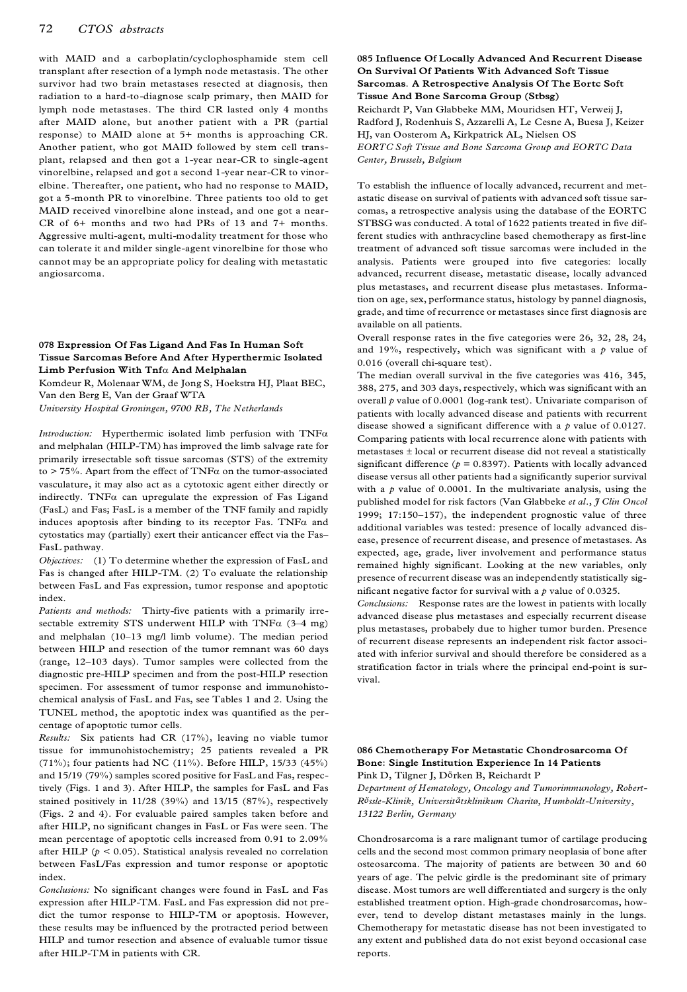### 72 *CTOS abstracts*

with MAID and a carboplatin/cyclophosphamide stem cell transplant after resection of a lymph node metastasis. The other survivor had two brain metastases resected at diagnosis, then radiation to a hard-to-diagnose scalp primary, then MAID for lymph node metastases. The third CR lasted only 4 months after MAID alone, but another patient with a PR (partial response) to MAID alone at 5+ months is approaching CR. Another patient, who got MAID followed by stem cell trans plant, relapsed and then got a 1-year near-CR to single-agent vinorelbine, relapsed and got a second 1-year near-CR to vinorelbine. Thereafter, one patient, who had no response to MAID, got a 5-month PR to vinorelbine. Three patients too old to get MAID received vinorelbine alone instead, and one got a near- CR of 6+ months and two had PRs of 13 and 7+ months. Aggressive multi-agent, multi-modality treatment for those who can tolerate it and milder single-agent vinorelbine for those who cannot may be an appropriate policy for dealing with metastatic angiosarcoma.

### **078 Expression Of Fas Ligand And Fas In Human Soft Tissue Sarcomas Before And After Hyperthermic Isolated Limb Perfusion With Tnf**a **And Melphalan**

Komdeur R, Molenaar WM, de Jong S, Hoekstra HJ, Plaat BEC, Van den Berg E, Van der Graaf WTA

*University Hospital Groningen, 9700 RB, The Netherlands*

*Introduction:* Hyperthermic isolated limb perfusion with TNFa and melphalan (HILP-TM) has improved the limb salvage rate for primarily irresectable soft tissue sarcomas (STS) of the extremity to > 75%. Apart from the effect of TNF $\alpha$  on the tumor-associated vasculature, it may also act as a cytotoxic agent either directly or indirectly. TNF $\alpha$  can upregulate the expression of Fas Ligand (FasL) and Fas; FasL is a member of the TNF family and rapidly induces apoptosis after binding to its receptor Fas. TNF $\alpha$  and cytostatics may (partially) exert their anticancer effect via the Fas-FasL pathway.

*Objectives:* (1) To determine whether the expression of FasL and Fas is changed after HILP-TM. (2) To evaluate the relationship between FasL and Fas expression, tumor response and apoptotic index.

*Patients and methods:* Thirty-five patients with a primarily irresectable extremity STS underwent HILP with  $TNF\alpha$  (3-4 mg) and melphalan (10-13 mg/l limb volume). The median period between HILP and resection of the tumor remnant was 60 days (range, 12-103 days). Tumor samples were collected from the diagnostic pre-HILP specimen and from the post-HILP resection specimen. For assessment of tumor response and immunohistochemical analysis of FasL and Fas, see Tables 1 and 2. Using the TUNEL method, the apoptotic index was quantified as the percentage of apoptotic tumor cells.

*Results:* Six patients had CR (17%), leaving no viable tumor tissue for immunohistochemistry; 25 patients revealed a PR (71%); four patients had NC (11%). Before HILP, 15/33 (45%) and 15/19 (79%) samples scored positive for FasL and Fas, respectively (Figs. 1 and 3). After HILP, the samples for FasL and Fas stained positively in 11/28 (39%) and 13/15 (87%), respectively (Figs. 2 and 4). For evaluable paired samples taken before and after HILP, no significant changes in FasL or Fas were seen. The mean percentage of apoptotic cells increased from 0.91 to 2.09% after HILP (*p* < 0.05). Statistical analysis revealed no correlation between FasL/Fas expression and tumor response or apoptotic index.

*Conclusions:* No significant changes were found in FasL and Fas expression after HILP-TM. FasL and Fas expression did not predict the tumor response to HILP-TM or apoptosis. However, these results may be influenced by the protracted period between HILP and tumor resection and absence of evaluable tumor tissue after HILP-TM in patients with CR.

**085 Influence Of Locally Advanced And Recurrent Disease On Survival Of Patients With Advanced Soft Tissue Sarcomas. A Retrospective Analysis Of The Eortc Soft Tissue And Bone Sarcoma Group (Stbsg)** 

Reichardt P, Van Glabbeke MM, Mouridsen HT, Verweij J, Radford J, Rodenhuis S, Azzarelli A, Le Cesne A, Buesa J, Keizer HJ, van Oosterom A, Kirkpatrick AL, Nielsen OS *EORTC Soft Tissue and Bone Sarcoma Group and EORTC Data Center, Brussels, Belgium*

To establish the influence of locally advanced, recurrent and met astatic disease on survival of patients with advanced soft tissue sar comas, a retrospective analysis using the database of the EORTC STBSG was conducted. A total of 1622 patients treated in five different studies with anthracycline based chemotherapy as first-line treatment of advanced soft tissue sarcomas were included in the analysis. Patients were grouped into five categories: locally advanced, recurrent disease, metastatic disease, locally advanced plus metastases, and recurrent disease plus metastases. Information on age, sex, performance status, histology by pannel diagnosis, grade, and time of recurrence or metastases since first diagnosis are available on all patients.

Overall response rates in the five categories were 26, 32, 28, 24, and 19%, respectively, which was significant with a *p* value of 0.016 (overall chi-square test).

The median overall survival in the five categories was 416, 345, 388, 275, and 303 days, respectively, which was significant with an overall *p* value of 0.0001 (log-rank test). Univariate comparison of patients with locally advanced disease and patients with recurrent disease showed a significant difference with a *p* value of 0.0127. Comparing patients with local recurrence alone with patients with metastases  $\pm$  local or recurrent disease did not reveal a statistically significant difference ( $p = 0.8397$ ). Patients with locally advanced disease versus all other patients had a significantly superior survival with a *p* value of 0.0001. In the multivariate analysis, using the published model for risk factors (Van Glabbeke *et al*., *J Clin Oncol* 1999; 17:150-157), the independent prognostic value of three additional variables was tested: presence of locally advanced disease, presence of recurrent disease, and presence of metastases. As expected, age, grade, liver involvement and performance status remained highly significant. Looking at the new variables, only presence of recurrent disease was an independently statistically significant negative factor for survival with a *p* value of 0.0325.

*Conclusions:* Response rates are the lowest in patients with locally advanced disease plus metastases and especially recurrent disease plus metastases, probabely due to higher tumor burden. Presence of recurrent disease represents an independent risk factor associated with inferior survival and should therefore be considered as a stratification factor in trials where the principal end-point is sur vival.

# **086 Chemotherapy For Metastatic Chondrosarcoma Of Bone: Single Institution Experience In 14 Patients** Pink D, Tilgner J, Dörken B, Reichardt P *Department of Hematology, Oncology and Tumorimmunology, Robert-<sup>R</sup>össle-Klinik, Universit<sup>ä</sup>tsklinikum Charitù, Humboldt-University, 13122 Berlin, Germany*

Chondrosarcoma is a rare malignant tumor of cartilage producing cells and the second most common primary neoplasia of bone after osteosarcoma. The majority of patients are between 30 and 60 years of age. The pelvic girdle is the predominant site of primary disease. Most tumors are well differentiated and surgery is the only established treatment option. High-grade chondrosarcomas, however, tend to develop distant metastases mainly in the lungs. Chemotherapy for metastatic disease has not been investigated to any extent and published data do not exist beyond occasional case reports.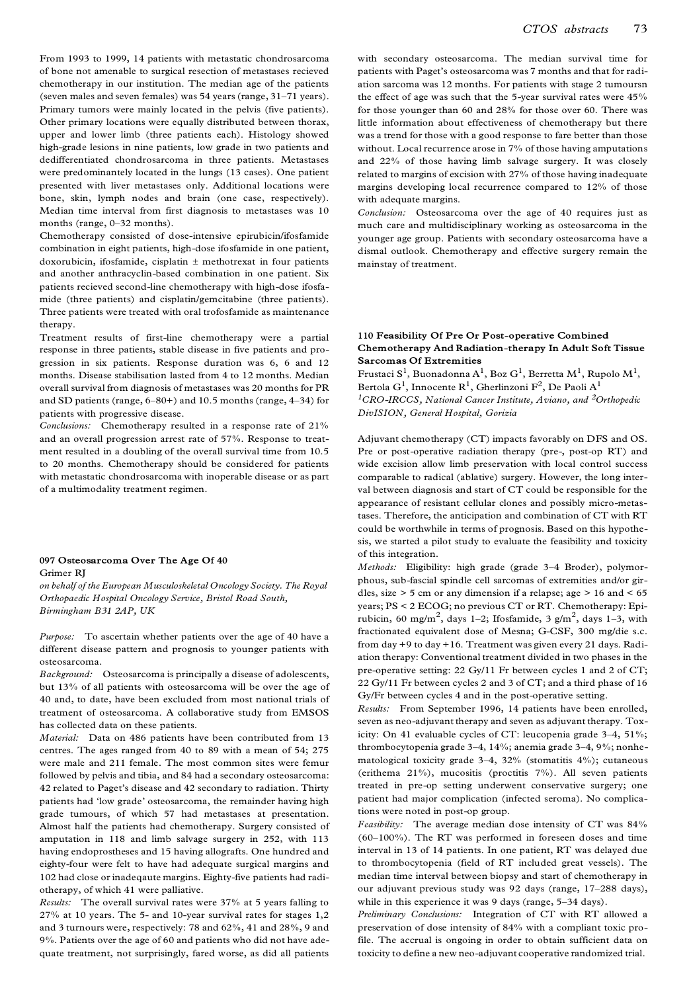From 1993 to 1999, 14 patients with metastatic chondrosarcoma of bone not amenable to surgical resection of metastases recieved chemotherapy in our institution. The median age of the patients (seven males and seven females) was 54 years (range, 31-71 years). Primary tumors were mainly located in the pelvis (five patients). Other primary locations were equally distributed between thorax, upper and lower limb (three patients each). Histology showed high-grade lesions in nine patients, low grade in two patients and dedifferentiated chondrosarcoma in three patients. Metastases were predominantely located in the lungs (13 cases). One patient presented with liver metastases only. Additional locations were bone, skin, lymph nodes and brain (one case, respectively). Median time interval from first diagnosis to metastases was 10 months (range,  $0-32$  months).

Chemotherapy consisted of dose-intensive epirubicin/ifosfamide combination in eight patients, high-dose ifosfamide in one patient, doxorubicin, ifosfamide, cisplatin  $\pm$  methotrexat in four patients and another anthracyclin-based combination in one patient. Six patients recieved second-line chemotherapy with high-dose ifosfamide (three patients) and cisplatin/gemcitabine (three patients). Three patients were treated with oral trofosfamide as maintenance therapy.

Treatment results of first-line chemotherapy were a partial response in three patients, stable disease in five patients and progression in six patients. Response duration was 6, 6 and 12 months. Disease stabilisation lasted from 4 to 12 months. Median overall survival from diagnosis of metastases was 20 months for PR and SD patients (range, 6-80+) and 10.5 months (range, 4-34) for patients with progressive disease.

*Conclusions:* Chemotherapy resulted in a response rate of 21% and an overall progression arrest rate of 57%. Response to treat ment resulted in a doubling of the overall survival time from 10.5 to 20 months. Chemotherapy should be considered for patients with metastatic chondrosarcoma with inoperable disease or as part of a multimodality treatment regimen.

#### **097 Osteosarcoma Over The Age Of 40** Grimer RJ

*on behalf of the European Musculoskeletal Oncology Society. The Royal Orthopaedic Hospital Oncology Service, Bristol Road South, Birmingham B31 2AP, UK*

*Purpose:* To ascertain whether patients over the age of 40 have a different disease pattern and prognosis to younger patients with osteosarcoma.

*Background:* Osteosarcoma is principally a disease of adolescents, but 13% of all patients with osteosarcoma will be over the age of 40 and, to date, have been excluded from most national trials of treatment of osteosarcoma. A collaborative study from EMSOS has collected data on these patients.

*Material:* Data on 486 patients have been contributed from 13 centres. The ages ranged from 40 to 89 with a mean of 54; 275 were male and 211 female. The most common sites were femur followed by pelvis and tibia, and 84 had a secondary osteosarcoma: 42 related to Paget's disease and 42 secondary to radiation. Thirty patients had 'low grade' osteosarcoma, the remainder having high grade tumours, of which 57 had metastases at presentation. Almost half the patients had chemotherapy. Surgery consisted of amputation in 118 and limb salvage surgery in 252, with 113 having endoprostheses and 15 having allografts. One hundred and eighty-four were felt to have had adequate surgical margins and 102 had close or inadeqaute margins. Eighty-five patients had radiotherapy, of which 41 were palliative.

*Results:* The overall survival rates were 37% at 5 years falling to 27% at 10 years. The 5- and 10-year survival rates for stages 1,2 and 3 turnours were, respectively: 78 and 62%, 41 and 28%, 9 and 9%. Patients over the age of 60 and patients who did not have adequate treatment, not surprisingly, fared worse, as did all patients with secondary osteosarcoma. The median survival time for patients with Paget's osteosarcoma was 7 months and that for radiation sarcoma was 12 months. For patients with stage 2 tumoursn the effect of age was such that the 5-year survival rates were 45% for those younger than 60 and 28% for those over 60. There was little information about effectiveness of chemotherapy but there was a trend for those with a good response to fare better than those without. Local recurrence arose in 7% of those having amputations and 22% of those having limb salvage surgery. It was closely related to margins of excision with 27% of those having inadequate margins developing local recurrence compared to 12% of those with adequate margins.

*Conclusion:* Osteosarcoma over the age of 40 requires just as much care and multidisciplinary working as osteosarcoma in the younger age group. Patients with secondary osteosarcoma have a dismal outlook. Chemotherapy and effective surgery remain the mainstay of treatment.

### **110 Feasibility Of Pre Or Post-operative Combined Chemotherapy And Radiation-therapy In Adult Soft Tissue Sarcomas Of Extremities**

Frustaci  $\mathrm{S}^1,$  Buonadonna A $^1,$  Boz  $\mathrm{G}^1,$  Berretta  $\mathrm{M}^1,$  Rupolo  $\mathrm{M}^1,$ Frustaci S<sup>1</sup>, Buonadonna A<sup>1</sup>, Boz G<sup>1</sup>, Berretta M<sup>1</sup>, Rupolo M<sup>1</sup>,<br>Bertola G<sup>1</sup>, Innocente R<sup>1</sup>, Gherlinzoni F<sup>2</sup>, De Paoli A<sup>1</sup> *<sup>1</sup>CRO-IRCCS, National Cancer Institute, Aviano, and 2Orthopedic DivISION, General Hospital, Gorizia*

Adjuvant chemotherapy (CT) impacts favorably on DFS and OS. Pre or post-operative radiation therapy (pre-, post-op RT) and wide excision allow limb preservation with local control success comparable to radical (ablative) surgery. However, the long interval between diagnosis and start of CT could be responsible for the appearance of resistant cellular clones and possibly micro-metastases. Therefore, the anticipation and combination of CT with RT could be worthwhile in terms of prognosis. Based on this hypothesis, we started a pilot study to evaluate the feasibility and toxicity of this integration.

*Methods:* Eligibility: high grade (grade 3-4 Broder), polymorphous, sub-fascial spindle cell sarcomas of extremities and/or girdles, size  $> 5$  cm or any dimension if a relapse; age  $> 16$  and  $< 65$ years; PS < 2 ECOG; no previous CT or RT. Chemotherapy: Epirubicin, 60 mg/m<sup>2</sup>, days 1–2; Ifosfamide, 3 g/m<sup>2</sup>, days 1–3, with fractionated equivalent dose of Mesna; G-CSF, 300 mg/die s.c. from day +9 to day +16. Treatment was given every 21 days. Radiation therapy: Conventional treatment divided in two phases in the pre-operative setting: 22 Gy/11 Fr between cycles 1 and 2 of CT; 22 Gy/11 Fr between cycles 2 and 3 of CT; and a third phase of 16 Gy/Fr between cycles 4 and in the post-operative setting.

*Results:* From September 1996, 14 patients have been enrolled, seven as neo-adjuvant therapy and seven as adjuvant therapy. Toxicity: On 41 evaluable cycles of CT: leucopenia grade  $3-4$ ,  $51\%$ ; thrombocytopenia grade  $3-4$ ,  $14\%$ ; anemia grade  $3-4$ ,  $9\%$ ; nonhematological toxicity grade  $3-4$ ,  $32\%$  (stomatitis  $4\%$ ); cutaneous (erithema 21%), mucositis (proctitis 7%). All seven patients treated in pre-op setting underwent conservative surgery; one patient had major complication (infected seroma). No complications were noted in post-op group.

*Feasibility:* The average median dose intensity of CT was 84% (60-100%). The RT was performed in foreseen doses and time interval in 13 of 14 patients. In one patient, RT was delayed due to thrombocytopenia (field of RT included great vessels). The median time interval between biopsy and start of chemotherapy in our adjuvant previous study was 92 days (range, 17-288 days), while in this experience it was 9 days (range, 5-34 days).

*Preliminary Conclusions:* Integration of CT with RT allowed a preservation of dose intensity of 84% with a compliant toxic profile. The accrual is ongoing in order to obtain sufficient data on toxicity to define a new neo-adjuvant cooperative randomized trial.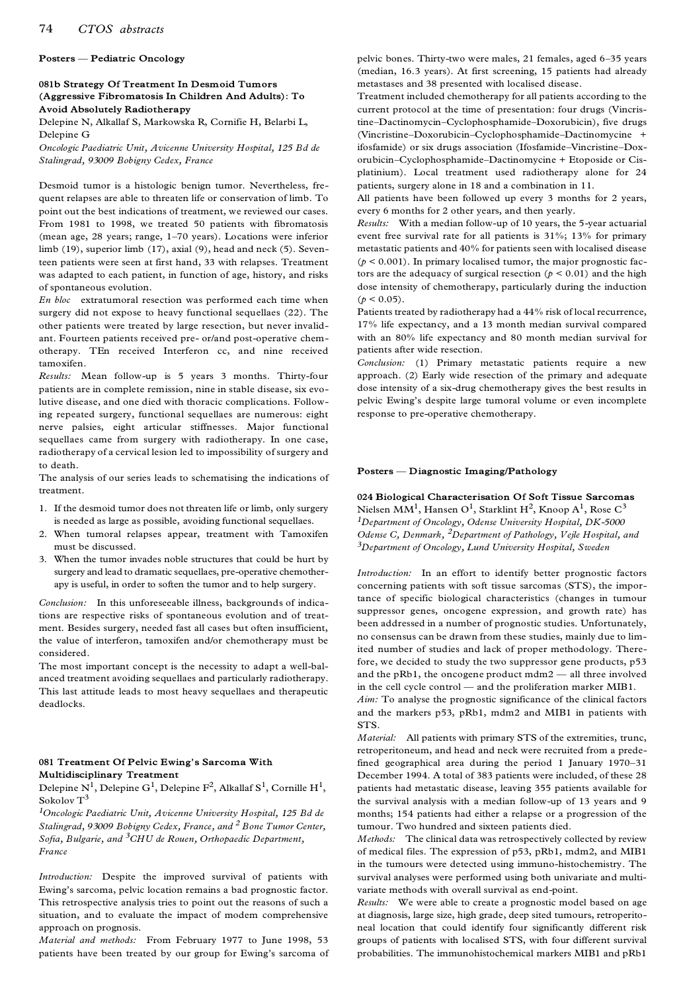#### **Posters Ð Pediatric Oncology**

### **081b Strategy Of Treatment In Desmoid Tumors (Aggressive Fibromatosis In Children And Adults): To Avoid Absolutely Radiotherapy**

Delepine N, Alkallaf S, Markowska R, Cornifie H, Belarbi L, Delepine G

*Oncologic Paediatric Unit, Avicenne University Hospital, 125 Bd de Stalingrad, 93009 Bobigny Cedex, France*

Desmoid tumor is a histologic benign tumor. Nevertheless, frequent relapses are able to threaten life or conservation of limb. To point out the best indications of treatment, we reviewed our cases. From 1981 to 1998, we treated 50 patients with fibromatosis (mean age, 28 years; range, 1-70 years). Locations were inferior limb (19), superior limb (17), axial (9), head and neck (5). Seventeen patients were seen at first hand, 33 with relapses. Treatment was adapted to each patient, in function of age, history, and risks of spontaneous evolution.

*En bloc* extratumoral resection was performed each time when surgery did not expose to heavy functional sequellaes (22). The other patients were treated by large resection, but never invalid ant. Fourteen patients received pre- or/and post-operative chem otherapy. TEn received Interferon cc, and nine received tamoxifen.

*Results:* Mean follow-up is 5 years 3 months. Thirty-four patients are in complete remission, nine in stable disease, six evolutive disease, and one died with thoracic complications. Following repeated surgery, functional sequellaes are numerous: eight nerve palsies, eight articular stiffnesses. Major functional sequellaes came from surgery with radiotherapy. In one case, radiotherapy of a cervical lesion led to impossibility of surgery and to death.

The analysis of our series leads to schematising the indications of treatment.

- 1. If the desmoid tumor does not threaten life or limb, only surgery is needed as large as possible, avoiding functional sequellaes.
- 2. When tumoral relapses appear, treatment with Tamoxifen must be discussed.
- 3. When the tumor invades noble structures that could be hurt by surgery and lead to dramatic sequellaes, pre-operative chemotherapy is useful, in order to soften the tumor and to help surgery.

*Conclusion:* In this unforeseeable illness, backgrounds of indications are respective risks of spontaneous evolution and of treat ment. Besides surgery, needed fast all cases but often insufficient, the value of interferon, tamoxifen and/or chemotherapy must be considered.

The most important concept is the necessity to adapt a well-balanced treatment avoiding sequellaes and particularly radiotherapy. This last attitude leads to most heavy sequellaes and therapeutic deadlocks.

### **081 Treatment Of Pelvic Ewing' s Sarcoma With Multidisciplinary Treatment**

Delepine  $\mathrm{N}^1,$  Delepine  $\mathrm{G}^1,$  Delepine  $\mathrm{F}^2,$  Alkallaf  $\mathrm{S}^1,$  Cornille  $\mathrm{H}^1,$  Sokolov  $\mathrm{T}^3$ Sokolov $\text{T}^3$ 

*<sup>1</sup>Oncologic Paediatric Unit, Avicenne University Hospital, 125 Bd de Stalingrad, 93009 Bobigny Cedex, France, and <sup>2</sup> Bone Tumor Center, Sofia, Bulgarie, and 3CHU de Rouen, Orthopaedic Department, France*

*Introduction:* Despite the improved survival of patients with Ewing's sarcoma, pelvic location remains a bad prognostic factor. This retrospective analysis tries to point out the reasons of such a situation, and to evaluate the impact of modem comprehensive approach on prognosis.

*Material and methods:* From February 1977 to June 1998, 53 patients have been treated by our group for Ewing's sarcoma of pelvic bones. Thirty-two were males, 21 females, aged 6-35 years (median, 16.3 years). At first screening, 15 patients had already metastases and 38 presented with localised disease.

Treatment included chemotherapy for all patients according to the current protocol at the time of presentation: four drugs (Vincristine-Dactinomycin-Cyclophosphamide-Doxorubicin), five drugs (Vincristine±Doxorubicin±Cyclophosphamide±Dactinomycine + ifosfamide) or six drugs association (Ifosfamide-Vincristine-Doxorubicin-Cyclophosphamide-Dactinomycine + Etoposide or Cisplatinium). Local treatment used radiotherapy alone for 24 patients, surgery alone in 18 and a combination in 11.

All patients have been followed up every 3 months for 2 years, every 6 months for 2 other years, and then yearly.

*Results:* With a median follow-up of 10 years, the 5-year actuarial event free survival rate for all patients is 31%; 13% for primary metastatic patients and 40% for patients seen with localised disease  $(p < 0.001)$ . In primary localised tumor, the major prognostic factors are the adequacy of surgical resection  $(p < 0.01)$  and the high dose intensity of chemotherapy, particularly during the induction  $(p < 0.05)$ .

Patients treated by radiotherapy had a 44% risk of local recurrence, 17% life expectancy, and a 13 month median survival compared with an 80% life expectancy and 80 month median survival for patients after wide resection.

*Conclusion:* (1) Primary metastatic patients require a new approach. (2) Early wide resection of the primary and adequate dose intensity of a six-drug chemotherapy gives the best results in pelvic Ewing's despite large tumoral volume or even incomplete response to pre-operative chemotherapy.

#### **Posters Ð Diagnostic Imaging/Pathology**

**024 Biological Characterisation Of Soft Tissue Sarcomas**  Nielsen MM $^1$ , Hansen O $^1$ , Starklint H $^2$ , Knoop A $^1$ , Rose C $^3$ *<sup>1</sup>Department of Oncology, Odense University Hospital, DK-5000 Odense C, Denmark, 2Department of Pathology, Vejle Hospital, and <sup>3</sup>Department of Oncology, Lund University Hospital, Sweden*

*Introduction:* In an effort to identify better prognostic factors concerning patients with soft tissue sarcomas (STS), the importance of specific biological characteristics (changes in tumour suppressor genes, oncogene expression, and growth rate) has been addressed in a number of prognostic studies. Unfortunately, no consensus can be drawn from these studies, mainly due to limited number of studies and lack of proper methodology. Therefore, we decided to study the two suppressor gene products, p53 and the pRb1, the oncogene product  $mdm2$   $-$  all three involved in the cell cycle control — and the proliferation marker MIB1.

*Aim:* To analyse the prognostic significance of the clinical factors and the markers p53, pRb1, mdm2 and MIB1 in patients with STS.

*Material:* All patients with primary STS of the extremities, trunc, retroperitoneum, and head and neck were recruited from a predefined geographical area during the period 1 January 1970-31 December 1994. A total of 383 patients were included, of these 28 patients had metastatic disease, leaving 355 patients available for the survival analysis with a median follow-up of 13 years and 9 months; 154 patients had either a relapse or a progression of the tumour. Two hundred and sixteen patients died.

*Methods:* The clinical data was retrospectively collected by review of medical files. The expression of p53, pRb1, mdm2, and MIB1 in the tumours were detected using immuno-histochemistry. The survival analyses were performed using both univariate and multivariate methods with overall survival as end-point.

*Results:* We were able to create a prognostic model based on age at diagnosis, large size, high grade, deep sited tumours, retroperitoneal location that could identify four significantly different risk groups of patients with localised STS, with four different survival probabilities. The immunohistochemical markers MIB1 and pRb1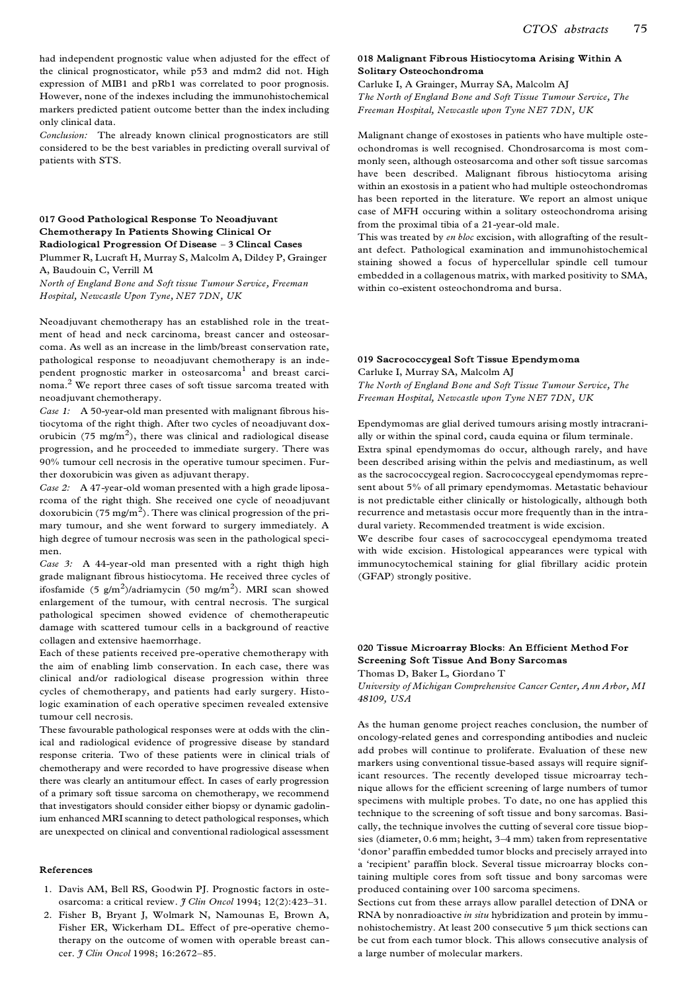had independent prognostic value when adjusted for the effect of the clinical prognosticator, while p53 and mdm2 did not. High expression of MIB1 and pRb1 was correlated to poor prognosis. However, none of the indexes including the immunohistochemical markers predicted patient outcome better than the index including only clinical data.

*Conclusion:* The already known clinical prognosticators are still considered to be the best variables in predicting overall survival of patients with STS.

### **017 Good Pathological Response To Neoadjuvant Chemotherapy In Patients Showing Clinical Or Radiological Progression Of Disease ± 3 Clincal Cases**

Plummer R, Lucraft H, Murray S, Malcolm A, Dildey P, Grainger A, Baudouin C, Verrill M

*North of England Bone and Soft tissue Tumour Service, Freeman Hospital, Newcastle Upon Tyne, NE7 7DN, UK*

Neoadjuvant chemotherapy has an established role in the treat ment of head and neck carcinoma, breast cancer and osteosar coma. As well as an increase in the limb/breast conservation rate, pathological response to neoadjuvant chemotherapy is an independent prognostic marker in osteosarcoma<sup>1</sup> and breast carcinoma.<sup>2</sup> We report three cases of soft tissue sarcoma treated with neoadjuvant chemotherapy.

*Case 1:* A 50-year-old man presented with malignant fibrous histiocytoma of the right thigh. After two cycles of neoadjuvant doxorubicin (75 mg/m<sup>2</sup>), there was clinical and radiological disease progression, and he proceeded to immediate surgery. There was 90% tumour cell necrosis in the operative tumour specimen. Further doxorubicin was given as adjuvant therapy.

*Case 2:* A 47-year-old woman presented with a high grade liposarcoma of the right thigh. She received one cycle of neoadjuvant doxorubicin (75 mg/m<sup>2</sup>). There was clinical progression of the primary tumour, and she went forward to surgery immediately. A high degree of tumour necrosis was seen in the pathological speci men.

*Case 3:* A 44-year-old man presented with a right thigh high grade malignant fibrous histiocytoma. He received three cycles of ifosfamide (5 g/m $^2$ )/adriamycin (50 mg/m $^2$ ). MRI scan showed enlargement of the tumour, with central necrosis. The surgical pathological specimen showed evidence of chemotherapeutic damage with scattered tumour cells in a background of reactive collagen and extensive haemorrhage.

Each of these patients received pre-operative chemotherapy with the aim of enabling limb conservation. In each case, there was clinical and/or radiological disease progression within three cycles of chemotherapy, and patients had early surgery. Histologic examination of each operative specimen revealed extensive tumour cell necrosis.

These favourable pathological responses were at odds with the clinical and radiological evidence of progressive disease by standard response criteria. Two of these patients were in clinical trials of chemotherapy and were recorded to have progressive disease when there was clearly an antitumour effect. In cases of early progression of a primary soft tissue sarcoma on chemotherapy, we recommend that investigators should consider either biopsy or dynamic gadolinium enhanced MRI scanning to detect pathological responses, which are unexpected on clinical and conventional radiological assessment

### **References**

- 1. Davis AM, Bell RS, Goodwin PJ. Prognostic factors in oste osarcoma: a critical review. *J Clin Oncol* 1994; 12(2):423-31.
- 2. Fisher B, Bryant J, Wolmark N, Namounas E, Brown A, Fisher ER, Wickerham DL. Effect of pre-operative chemotherapy on the outcome of women with operable breast can cer.  $J$  Clin Oncol 1998; 16:2672-85.

### **018 Malignant Fibrous Histiocytoma Arising Within A Solitary Osteochondroma**

Carluke I, A Grainger, Murray SA, Malcolm AJ *The North of England Bone and Soft Tissue Tumour Service, The Freeman Hospital, Newcastle upon Tyne NE7 7DN, UK*

Malignant change of exostoses in patients who have multiple oste ochondromas is well recognised. Chondrosarcoma is most com monly seen, although osteosarcoma and other soft tissue sarcomas have been described. Malignant fibrous histiocytoma arising within an exostosis in a patient who had multiple osteochondromas has been reported in the literature. We report an almost unique case of MFH occuring within a solitary osteochondroma arising from the proximal tibia of a 21-year-old male.

This was treated by *en bloc* excision, with allografting of the result ant defect. Pathological examination and immunohistochemical staining showed a focus of hypercellular spindle cell tumour embedded in a collagenous matrix, with marked positivity to SMA, within co-existent osteochondroma and bursa.

#### **019 Sacrococcygeal Soft Tissue Ependymoma** Carluke I, Murray SA, Malcolm AJ

*The North of England Bone and Soft Tissue Tumour Service, The Freeman Hospital, Newcastle upon Tyne NE7 7DN, UK*

Ependymomas are glial derived tumours arising mostly intracranially or within the spinal cord, cauda equina or filum terminale.

Extra spinal ependymomas do occur, although rarely, and have been described arising within the pelvis and mediastinum, as well as the sacrococcygeal region. Sacrococcygeal ependymomas represent about 5% of all primary ependymomas. Metastatic behaviour is not predictable either clinically or histologically, although both recurrence and metastasis occur more frequently than in the intradural variety. Recommended treatment is wide excision.

We describe four cases of sacrococcygeal ependymoma treated with wide excision. Histological appearances were typical with immunocytochemical staining for glial fibrillary acidic protein (GFAP) strongly positive.

### **020 Tissue Microarray Blocks: An Efficient Method For Screening Soft Tissue And Bony Sarcomas**  Thomas D, Baker L, Giordano T

*University of Michigan Comprehensive Cancer Center, Ann Arbor, MI 48109, USA*

As the human genome project reaches conclusion, the number of oncology-related genes and corresponding antibodies and nucleic add probes will continue to proliferate. Evaluation of these new markers using conventional tissue-based assays will require significant resources. The recently developed tissue microarray technique allows for the efficient screening of large numbers of tumor specimens with multiple probes. To date, no one has applied this technique to the screening of soft tissue and bony sarcomas. Basically, the technique involves the cutting of several core tissue biopsies (diameter, 0.6 mm; height, 3-4 mm) taken from representative `donor' paraffin embedded tumor blocks and precisely arrayed into a `recipient' paraffin block. Several tissue microarray blocks containing multiple cores from soft tissue and bony sarcomas were produced containing over 100 sarcoma specimens.

Sections cut from these arrays allow parallel detection of DNA or RNA by nonradioactive *in situ* hybridization and protein by immu nohistochemistry. At least 200 consecutive 5  $\mu$ m thick sections can be cut from each tumor block. This allows consecutive analysis of a large number of molecular markers.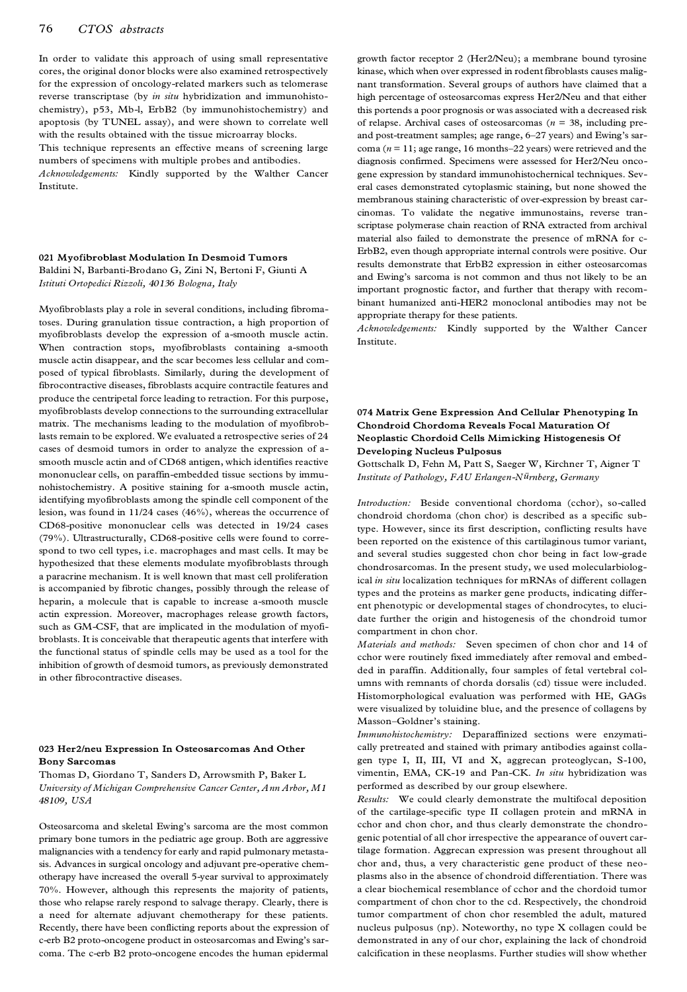In order to validate this approach of using small representative cores, the original donor blocks were also examined retrospectively for the expression of oncology-related markers such as telomerase reverse transcriptase (by *in situ* hybridization and immunohistochemistry), p53, Mb-l, ErbB2 (by immunohistochemistry) and apoptosis (by TUNEL assay), and were shown to correlate well with the results obtained with the tissue microarray blocks.

This technique represents an effective means of screening large numbers of specimens with multiple probes and antibodies. *Acknowledgements:* Kindly supported by the Walther Cancer Institute.

### **021 Myofibroblast Modulation In Desmoid Tumors** Baldini N, Barbanti-Brodano G, Zini N, Bertoni F, Giunti A *Istituti Ortopedici Rizzoli, 40136 Bologna, Italy*

Myofibroblasts play a role in several conditions, including fibromatoses. During granulation tissue contraction, a high proportion of myofibroblasts develop the expression of a-smooth muscle actin. When contraction stops, myofibroblasts containing a-smooth muscle actin disappear, and the scar becomes less cellular and com posed of typical fibroblasts. Similarly, during the development of fibrocontractive diseases, fibroblasts acquire contractile features and produce the centripetal force leading to retraction. For this purpose, myofibroblasts develop connections to the surrounding extracellular matrix. The mechanisms leading to the modulation of myofibroblasts remain to be explored. We evaluated a retrospective series of 24 cases of desmoid tumors in order to analyze the expression of asmooth muscle actin and of CD68 antigen, which identifies reactive mononuclear cells, on paraffin-embedded tissue sections by immunohistochemistry. A positive staining for a-smooth muscle actin, identifying myofibroblasts among the spindle cell component of the lesion, was found in 11/24 cases (46%), whereas the occurrence of CD68-positive mononuclear cells was detected in 19/24 cases (79%). Ultrastructurally, CD68-positive cells were found to correspond to two cell types, i.e. macrophages and mast cells. It may be hypothesized that these elements modulate myofibroblasts through a paracrine mechanism. It is well known that mast cell proliferation is accompanied by fibrotic changes, possibly through the release of heparin, a molecule that is capable to increase a-smooth muscle actin expression. Moreover, macrophages release growth factors, such as GM-CSF, that are implicated in the modulation of myofibroblasts. It is conceivable that therapeutic agents that interfere with the functional status of spindle cells may be used as a tool for the inhibition of growth of desmoid tumors, as previously demonstrated in other fibrocontractive diseases.

### **023 Her2/neu Expression In Osteosarcomas And Other Bony Sarcomas**

Thomas D, Giordano T, Sanders D, Arrowsmith P, Baker L *University of Michigan Comprehensive Cancer Center, Ann Arbor, M1 48109, USA*

Osteosarcoma and skeletal Ewing's sarcoma are the most common primary bone tumors in the pediatric age group. Both are aggressive malignancies with a tendency for early and rapid pulmonary metastasis. Advances in surgical oncology and adjuvant pre-operative chemotherapy have increased the overall 5-year survival to approximately 70%. However, although this represents the majority of patients, those who relapse rarely respond to salvage therapy. Clearly, there is a need for alternate adjuvant chemotherapy for these patients. Recently, there have been conflicting reports about the expression of c-erb B2 proto-oncogene product in osteosarcomas and Ewing's sar coma. The c-erb B2 proto-oncogene encodes the human epidermal growth factor receptor 2 (Her2/Neu); a membrane bound tyrosine kinase, which when over expressed in rodent fibroblasts causes malig nant transformation. Several groups of authors have claimed that a high percentage of osteosarcomas express Her2/Neu and that either this portends a poor prognosis or was associated with a decreased risk of relapse. Archival cases of osteosarcomas (*n* = 38, including preand post-treatment samples; age range,  $6-27$  years) and Ewing's sarcoma ( $n = 11$ ; age range, 16 months-22 years) were retrieved and the diagnosis confirmed. Specimens were assessed for Her2/Neu onco gene expression by standard immunohistochernical techniques. Several cases demonstrated cytoplasmic staining, but none showed the membranous staining characteristic of over-expression by breast car cinomas. To validate the negative immunostains, reverse transcriptase polymerase chain reaction of RNA extracted from archival material also failed to demonstrate the presence of mRNA for c- ErbB2, even though appropriate internal controls were positive. Our results demonstrate that ErbB2 expression in either osteosarcomas and Ewing's sarcoma is not common and thus not likely to be an important prognostic factor, and further that therapy with recom binant humanized anti-HER2 monoclonal antibodies may not be appropriate therapy for these patients.

*Acknowledgements:* Kindly supported by the Walther Cancer Institute.

# **074 Matrix Gene Expression And Cellular Phenotyping In Chondroid Chordoma Reveals Focal Maturation Of Neoplastic Chordoid Cells Mimicking Histogenesis Of Developing Nucleus Pulposus**

Gottschalk D, Fehn M, Patt S, Saeger W, Kirchner T, Aigner T *Institute of Pathology, FAU Erlangen-Nürnberg, Germany*

*Introduction:* Beside conventional chordoma (cchor), so-called chondroid chordoma (chon chor) is described as a specific subtype. However, since its first description, conflicting results have been reported on the existence of this cartilaginous tumor variant, and several studies suggested chon chor being in fact low-grade chondrosarcomas. In the present study, we used molecularbiological *in situ* localization techniques for mRNAs of different collagen types and the proteins as marker gene products, indicating differ ent phenotypic or developmental stages of chondrocytes, to elucidate further the origin and histogenesis of the chondroid tumor compartment in chon chor.

*Materials and methods:* Seven specimen of chon chor and 14 of cchor were routinely fixed immediately after removal and embedded in paraffin. Additionally, four samples of fetal vertebral col umns with remnants of chorda dorsalis (cd) tissue were included. Histomorphological evaluation was performed with HE, GAGs were visualized by toluidine blue, and the presence of collagens by Masson-Goldner's staining.

*Immunohistochemistry:* Deparaffinized sections were enzymatically pretreated and stained with primary antibodies against collagen type I, II, III, VI and X, aggrecan proteoglycan, S-100, vimentin, EMA, CK-19 and Pan-CK. *In situ* hybridization was performed as described by our group elsewhere.

*Results:* We could clearly demonstrate the multifocal deposition of the cartilage-specific type II collagen protein and mRNA in cchor and chon chor, and thus clearly demonstrate the chondrogenic potential of all chor irrespective the appearance of ouvert cartilage formation. Aggrecan expression was present throughout all chor and, thus, a very characteristic gene product of these neo plasms also in the absence of chondroid differentiation. There was a clear biochemical resemblance of cchor and the chordoid tumor compartment of chon chor to the cd. Respectively, the chondroid tumor compartment of chon chor resembled the adult, matured nucleus pulposus (np). Noteworthy, no type X collagen could be demonstrated in any of our chor, explaining the lack of chondroid calcification in these neoplasms. Further studies will show whether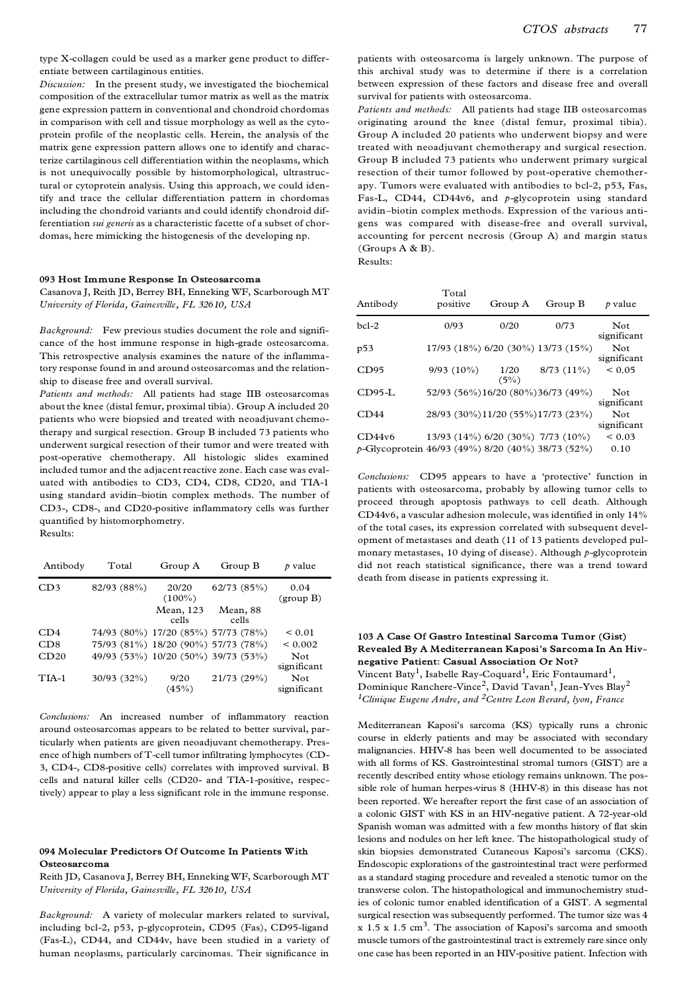type X-collagen could be used as a marker gene product to differentiate between cartilaginous entities.

*Discussion:* In the present study, we investigated the biochemical composition of the extracellular tumor matrix as well as the matrix gene expression pattern in conventional and chondroid chordomas in comparison with cell and tissue morphology as well as the cytoprotein profile of the neoplastic cells. Herein, the analysis of the matrix gene expression pattern allows one to identify and characterize cartilaginous cell differentiation within the neoplasms, which is not unequivocally possible by histomorphological, ultrastructural or cytoprotein analysis. Using this approach, we could identify and trace the cellular differentiation pattern in chordomas including the chondroid variants and could identify chondroid differentiation *sui generis* as a characteristic facette of a subset of chordomas, here mimicking the histogenesis of the developing np.

#### **093 Host Immune Response In Osteosarcoma**

Casanova J, Reith JD, Berrey BH, Enneking WF, Scarborough MT *University of Florida, Gainesville, FL 32610, USA*

*Background:* Few previous studies document the role and signifi cance of the host immune response in high-grade osteosarcoma. This retrospective analysis examines the nature of the inflammatory response found in and around osteosarcomas and the relationship to disease free and overall survival.

*Patients and methods:* All patients had stage IIB osteosarcomas about the knee (distal femur, proximal tibia). Group A included 20 patients who were biopsied and treated with neoadjuvant chemotherapy and surgical resection. Group B included 73 patients who underwent surgical resection of their tumor and were treated with post-operative chemotherapy. All histologic slides examined included tumor and the adjacent reactive zone. Each case was evaluated with antibodies to CD3, CD4, CD8, CD20, and TIA-1 using standard avidin-biotin complex methods. The number of CD3-, CD8-, and CD20-positive inflammatory cells was further quantified by histomorphometry. Results:

| Antibody | Total       | Group A                             | Group B           | $\rho$ value       |
|----------|-------------|-------------------------------------|-------------------|--------------------|
| CD3      | 82/93 (88%) | 20/20<br>$(100\%)$                  | 62/73(85%)        | 0.04<br>(group B)  |
|          |             | Mean, 123<br>cells                  | Mean, 88<br>cells |                    |
| CD4      |             | 74/93 (80%) 17/20 (85%) 57/73 (78%) |                   | ${}_{0.01}$        |
| CD8      |             | 75/93 (81%) 18/20 (90%) 57/73 (78%) |                   | ${}_{0.002}$       |
| CD20     |             | 49/93 (53%) 10/20 (50%) 39/73 (53%) |                   | Not<br>significant |
| TIA-1    | 30/93 (32%) | 9/20<br>(45%)                       | 21/73(29%)        | Not<br>significant |

*Conclusions:* An increased number of inflammatory reaction around osteosarcomas appears to be related to better survival, particularly when patients are given neoadjuvant chemotherapy. Pres ence of high numbers of T-cell tumor infiltrating lymphocytes (CD-3, CD4-, CD8-positive cells) correlates with improved survival. B cells and natural killer cells (CD20- and TIA-1-positive, respectively) appear to play a less significant role in the immune response.

### **094 Molecular Predictors Of Outcome In Patients With Osteosarcoma**

Reith JD, Casanova J, Berrey BH, Enneking WF, Scarborough MT *University of Florida, Gainesville, FL 32610, USA*

*Background:* A variety of molecular markers related to survival, including bcl-2, p53, p-glycoprotein, CD95 (Fas), CD95-ligand (Fas-L), CD44, and CD44v, have been studied in a variety of human neoplasms, particularly carcinomas. Their significance in patients with osteosarcoma is largely unknown. The purpose of this archival study was to determine if there is a correlation between expression of these factors and disease free and overall survival for patients with osteosarcoma.

*Patients and methods:* All patients had stage IIB osteosarcomas originating around the knee (distal femur, proximal tibia). Group A included 20 patients who underwent biopsy and were treated with neoadjuvant chemotherapy and surgical resection. Group B included 73 patients who underwent primary surgical resection of their tumor followed by post-operative chemother apy. Tumors were evaluated with antibodies to bcl-2, p53, Fas, Fas-L, CD44, CD44v6, and *p*-glycoprotein using standard avidin-biotin complex methods. Expression of the various antigens was compared with disease-free and overall survival, accounting for percent necrosis (Group A) and margin status (Groups A & B).

Results:

| Antibody                                                    | Total<br>positive                  | Group A      | Group B      | $\rho$ value        |
|-------------------------------------------------------------|------------------------------------|--------------|--------------|---------------------|
| bcl-2                                                       | 0/93                               | 0/20         | 0/73         | Not<br>significant  |
| p53                                                         | 17/93 (18%) 6/20 (30%) 13/73 (15%) |              |              | Not<br>significant  |
| CD95                                                        | $9/93(10\%)$                       | 1/20<br>(5%) | $8/73(11\%)$ | ${}_{0.05}$         |
| CD95-L                                                      | 52/93 (56%)16/20 (80%)36/73 (49%)  |              |              | Not<br>significant  |
| CD44                                                        | 28/93 (30%)11/20 (55%)17/73 (23%)  |              |              | Not<br>significant  |
| CD44v6<br>p-Glycoprotein 46/93 (49%) 8/20 (40%) 38/73 (52%) | 13/93 (14%) 6/20 (30%) 7/73 (10%)  |              |              | ${}_{0.03}$<br>0.10 |

*Conclusions:* CD95 appears to have a `protective' function in patients with osteosarcoma, probably by allowing tumor cells to proceed through apoptosis pathways to cell death. Although CD44v6, a vascular adhesion molecule, was identified in only 14% of the total cases, its expression correlated with subsequent development of metastases and death (11 of 13 patients developed pulmonary metastases, 10 dying of disease). Although *p*-glycoprotein did not reach statistical significance, there was a trend toward death from disease in patients expressing it.

# **103 A Case Of Gastro Intestinal Sarcoma Tumor (Gist) Revealed By A Mediterranean Kaposi's Sarcoma In An Hivnegative Patient: Casual Association Or Not?**

Vincent Baty $^{\rm l}$ , Isabelle Ray-Coquard $^{\rm l}$ , Eric Fontaumard $^{\rm l}$ , Vincent Baty<sup>1</sup>, Isabelle Ray-Coquard<sup>1</sup>, Eric Fontaumard<sup>1</sup>,<br>Dominique Ranchere-Vince<sup>2</sup>, David Tavan<sup>1</sup>, Jean-Yves Blay<sup>2</sup> *<sup>1</sup>Clinique Eugene Andre, and 2Centre Leon Berard, lyon, France*

Mediterranean Kaposi's sarcoma (KS) typically runs a chronic course in elderly patients and may be associated with secondary malignancies. HHV-8 has been well documented to be associated with all forms of KS. Gastrointestinal stromal tumors (GIST) are a recently described entity whose etiology remains unknown. The possible role of human herpes-virus 8 (HHV-8) in this disease has not been reported. We hereafter report the first case of an association of a colonic GIST with KS in an HIV-negative patient. A 72-year-old Spanish woman was admitted with a few months history of flat skin lesions and nodules on her left knee. The histopathological study of skin biopsies demonstrated Cutaneous Kaposi's sarcoma (CKS). Endoscopic explorations of the gastrointestinal tract were performed as a standard staging procedure and revealed a stenotic tumor on the transverse colon. The histopathological and immunochemistry studies of colonic tumor enabled identification of a GIST. A segmental surgical resection was subsequently performed. The tumor size was 4  $x$  1.5  $x$  1.5 cm<sup>3</sup>. The association of Kaposi's sarcoma and smooth muscle tumors of the gastrointestinal tract is extremely rare since only one case has been reported in an HIV-positive patient. Infection with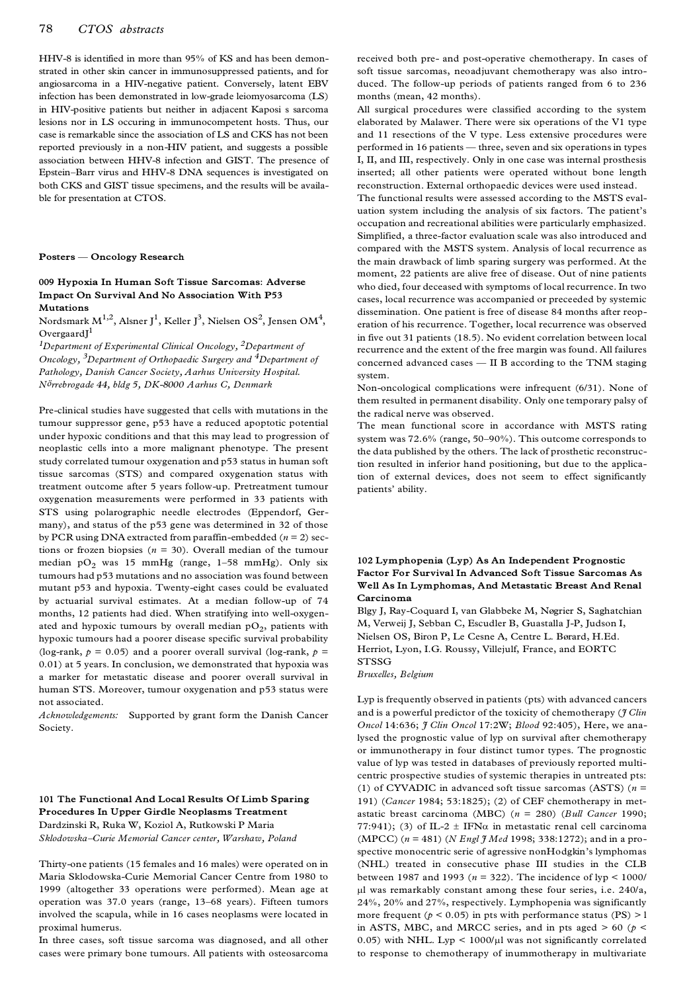### 78 *CTOS abstracts*

HHV-8 is identified in more than 95% of KS and has been demonstrated in other skin cancer in immunosuppressed patients, and for angiosarcoma in a HIV-negative patient. Conversely, latent EBV infection has been demonstrated in low-grade leiomyosarcoma (LS) in HIV-positive patients but neither in adjacent Kaposi s sarcoma lesions nor in LS occuring in immunocompetent hosts. Thus, our case is remarkable since the association of LS and CKS has not been reported previously in a non-HIV patient, and suggests a possible association between HHV-8 infection and GIST. The presence of Epstein-Barr virus and HHV-8 DNA sequences is investigated on both CKS and GIST tissue specimens, and the results will be available for presentation at CTOS.

#### **Posters Ð Oncology Research**

#### **009 Hypoxia In Human Soft Tissue Sarcomas: Adverse Impact On Survival And No Association With P53 Mutations**

Nordsmark M<sup>1,2</sup>, Alsner J<sup>1</sup>, Keller J<sup>3</sup>, Nielsen OS<sup>2</sup>, Jensen OM<sup>4</sup>,<br>OvergaardJ<sup>1</sup>

*<sup>1</sup>Department of Experimental Clinical Oncology, 2Department of Oncology, 3Department of Orthopaedic Surgery and 4Department of Pathology, Danish Cancer Society, Aarhus University Hospital. Nörrebrogade 44, bldg 5, DK-8000 Aarhus C, Denmark*

Pre-clinical studies have suggested that cells with mutations in the tumour suppressor gene, p53 have a reduced apoptotic potential under hypoxic conditions and that this may lead to progression of neoplastic cells into a more malignant phenotype. The present study correlated tumour oxygenation and p53 status in human soft tissue sarcomas (STS) and compared oxygenation status with treatment outcome after 5 years follow-up. Pretreatment tumour oxygenation measurements were performed in 33 patients with STS using polarographic needle electrodes (Eppendorf, Germany), and status of the p53 gene was determined in 32 of those by PCR using DNA extracted from paraffin-embedded (*n* = 2) sections or frozen biopsies (*n* = 30). Overall median of the tumour median  $pO_2$  was 15 mmHg (range, 1-58 mmHg). Only six tumours had p53 mutations and no association was found between mutant p53 and hypoxia. Twenty-eight cases could be evaluated by actuarial survival estimates. At a median follow-up of 74 months, 12 patients had died. When stratifying into well-oxygenated and hypoxic tumours by overall median  $pO_2$ , patients with hypoxic tumours had a poorer disease specific survival probability (log-rank,  $p = 0.05$ ) and a poorer overall survival (log-rank,  $p =$ 0.01) at 5 years. In conclusion, we demonstrated that hypoxia was a marker for metastatic disease and poorer overall survival in human STS. Moreover, tumour oxygenation and p53 status were not associated.

*Acknowledgements:* Supported by grant form the Danish Cancer Society.

### **101 The Functional And Local Results Of Limb Sparing Procedures In Upper Girdle Neoplasms Treatment** Dardzinski R, Ruka W, Koziol A, Rutkowski P Maria *Sklodowska±Curie Memorial Cancer center, Warshaw, Poland*

Thirty-one patients (15 females and 16 males) were operated on in Maria Sklodowska-Curie Memorial Cancer Centre from 1980 to 1999 (altogether 33 operations were performed). Mean age at operation was 37.0 years (range, 13-68 years). Fifteen tumors involved the scapula, while in 16 cases neoplasms were located in proximal humerus.

In three cases, soft tissue sarcoma was diagnosed, and all other cases were primary bone tumours. All patients with osteosarcoma received both pre- and post-operative chemotherapy. In cases of soft tissue sarcomas, neoadjuvant chemotherapy was also introduced. The follow-up periods of patients ranged from 6 to 236 months (mean, 42 months).

All surgical procedures were classified according to the system elaborated by Malawer. There were six operations of the V1 type and 11 resections of the V type. Less extensive procedures were performed in 16 patients — three, seven and six operations in types I, II, and III, respectively. Only in one case was internal prosthesis inserted; all other patients were operated without bone length reconstruction. External orthopaedic devices were used instead.

The functional results were assessed according to the MSTS evaluation system including the analysis of six factors. The patient's occupation and recreational abilities were particularly emphasized. Simplified, a three-factor evaluation scale was also introduced and compared with the MSTS system. Analysis of local recurrence as the main drawback of limb sparing surgery was performed. At the moment, 22 patients are alive free of disease. Out of nine patients who died, four deceased with symptoms of local recurrence. In two cases, local recurrence was accompanied or preceeded by systemic dissemination. One patient is free of disease 84 months after reoperation of his recurrence. Together, local recurrence was observed in five out 31 patients (18.5). No evident correlation between local recurrence and the extent of the free margin was found. All failures concerned advanced cases  $-$  II B according to the TNM staging system.

Non-oncological complications were infrequent (6/31). None of them resulted in permanent disability. Only one temporary palsy of the radical nerve was observed.

The mean functional score in accordance with MSTS rating system was 72.6% (range, 50-90%). This outcome corresponds to the data published by the others. The lack of prosthetic reconstruction resulted in inferior hand positioning, but due to the application of external devices, does not seem to effect significantly patients' ability.

### **102 Lymphopenia (Lyp) As An Independent Prognostic Factor For Survival In Advanced Soft Tissue Sarcomas As Well As In Lymphomas, And Metastatic Breast And Renal Carcinoma**

Blgy J, Ray-Coquard I, van Glabbeke M, Nøgrier S, Saghatchian M, Verweij J, Sebban C, Escudler B, Guastalla J-P, Judson I, Nielsen OS, Biron P, Le Cesne A, Centre L. Børard, H.Ed. Herriot, Lyon, I.G. Roussy, Villejulf, France, and EORTC STSSG

*Bruxelles, Belgium*

Lyp is frequently observed in patients (pts) with advanced cancers and is a powerful predictor of the toxicity of chemotherapy (*J Clin Oncol* 14:636; *J Clin Oncol* 17:2W; *Blood* 92:405), Here, we analysed the prognostic value of lyp on survival after chemotherapy or immunotherapy in four distinct tumor types. The prognostic value of lyp was tested in databases of previously reported multicentric prospective studies of systemic therapies in untreated pts: (1) of CYVADIC in advanced soft tissue sarcomas (ASTS) (*n* = 191) (*Cancer* 1984; 53:1825); (2) of CEF chemotherapy in met astatic breast carcinoma (MBC) (*n* = 280) (*Bull Cancer* 1990; 77:941); (3) of IL-2  $\pm$  IFN $\alpha$  in metastatic renal cell carcinoma (MPCC) (*n* = 481) (*N Engl J Med* 1998; 338:1272); and in a prospective monocentric serie of agressive nonHodgkin's lymphomas (NHL) treated in consecutive phase III studies in the CLB between 1987 and 1993 (*n* = 322). The incidence of lyp < 1000/  $\mu$ l was remarkably constant among these four series, i.e. 240/a, 24%, 20% and 27%, respectively. Lymphopenia was significantly more frequent ( $p < 0.05$ ) in pts with performance status (PS) > 1 in ASTS, MBC, and MRCC series, and in pts aged > 60 (*p* < 0.05) with NHL. Lyp <  $1000/\mu l$  was not significantly correlated to response to chemotherapy of inummotherapy in multivariate